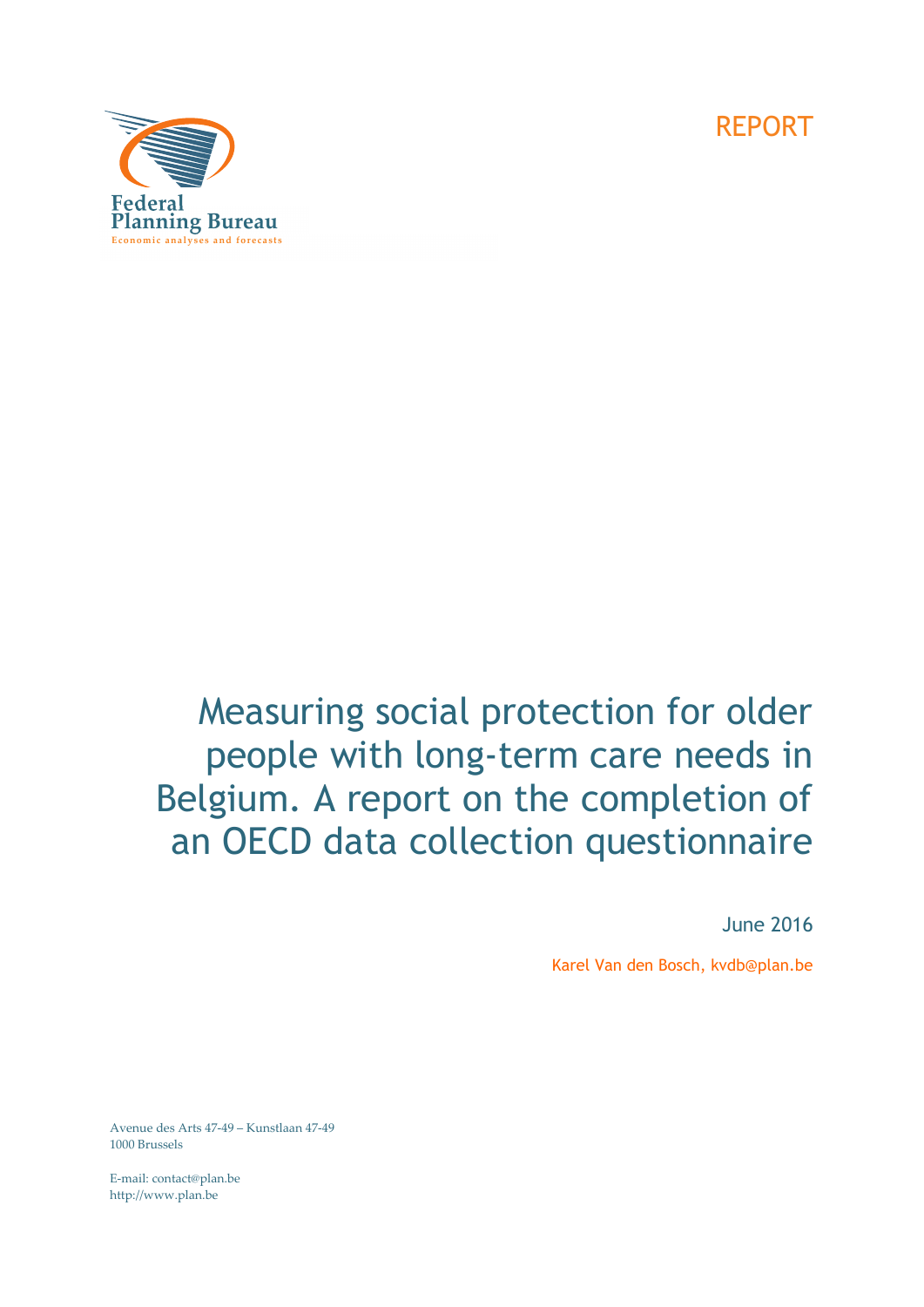

# Measuring social protection for older people with long-term care needs in Belgium. A report on the completion of an OECD data collection questionnaire

June 2016

Karel Van den Bosch, kvdb@plan.be

Avenue des Arts 47‐49 – Kunstlaan 47‐49 1000 Brussels

E‐mail: contact@plan.be http://www.plan.be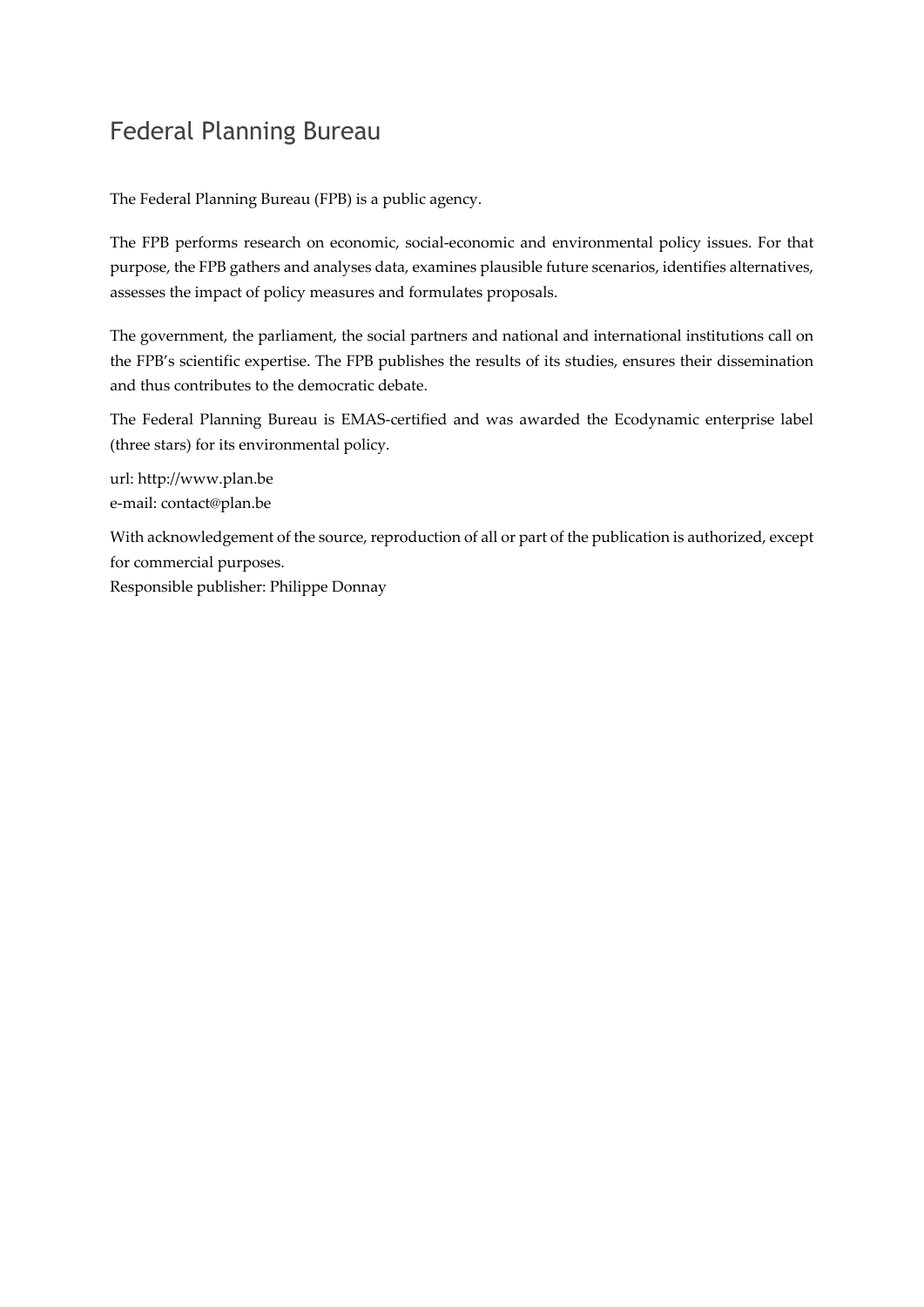## Federal Planning Bureau

The Federal Planning Bureau (FPB) is a public agency.

The FPB performs research on economic, social-economic and environmental policy issues. For that purpose, the FPB gathers and analyses data, examines plausible future scenarios, identifies alternatives, assesses the impact of policy measures and formulates proposals.

The government, the parliament, the social partners and national and international institutions call on the FPB's scientific expertise. The FPB publishes the results of its studies, ensures their dissemination and thus contributes to the democratic debate.

The Federal Planning Bureau is EMAS‐certified and was awarded the Ecodynamic enterprise label (three stars) for its environmental policy.

url: http://www.plan.be e‐mail: contact@plan.be

With acknowledgement of the source, reproduction of all or part of the publication is authorized, except for commercial purposes.

Responsible publisher: Philippe Donnay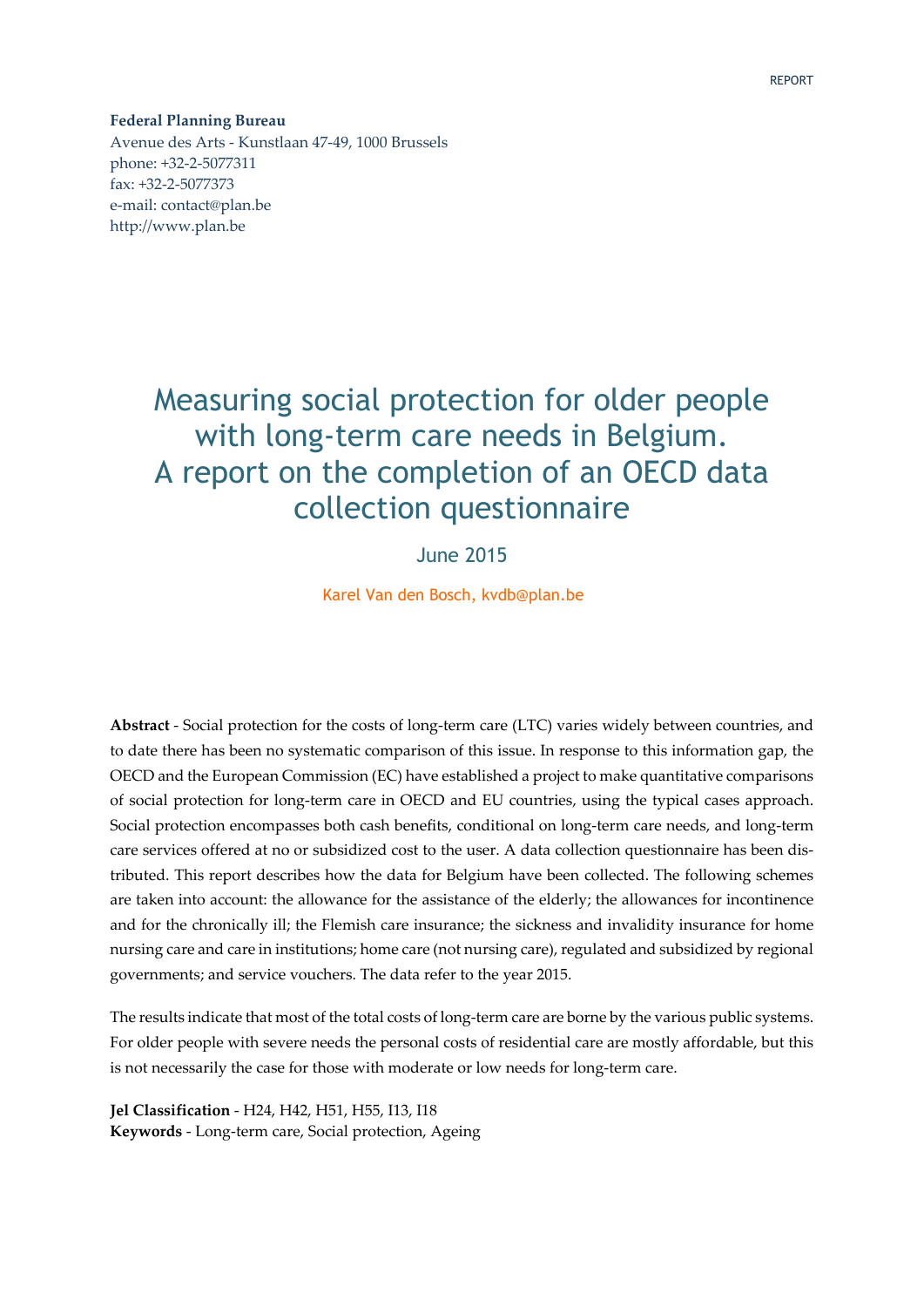**Federal Planning Bureau** Avenue des Arts ‐ Kunstlaan 47‐49, 1000 Brussels phone: +32‐2‐5077311 fax: +32‐2‐5077373 e‐mail: contact@plan.be http://www.plan.be

# Measuring social protection for older people with long-term care needs in Belgium. A report on the completion of an OECD data collection questionnaire

### June 2015

Karel Van den Bosch, kvdb@plan.be

**Abstract** ‐ Social protection for the costs of long‐term care (LTC) varies widely between countries, and to date there has been no systematic comparison of this issue. In response to this information gap, the OECD and the European Commission (EC) have established a project to make quantitative comparisons of social protection for long‐term care in OECD and EU countries, using the typical cases approach. Social protection encompasses both cash benefits, conditional on long‐term care needs, and long‐term care services offered at no or subsidized cost to the user. A data collection questionnaire has been distributed. This report describes how the data for Belgium have been collected. The following schemes are taken into account: the allowance for the assistance of the elderly; the allowances for incontinence and for the chronically ill; the Flemish care insurance; the sickness and invalidity insurance for home nursing care and care in institutions; home care (not nursing care), regulated and subsidized by regional governments; and service vouchers. The data refer to the year 2015.

The results indicate that most of the total costs of long-term care are borne by the various public systems. For older people with severe needs the personal costs of residential care are mostly affordable, but this is not necessarily the case for those with moderate or low needs for long‐term care.

**Jel Classification** ‐ H24, H42, H51, H55, I13, I18 **Keywords** ‐ Long‐term care, Social protection, Ageing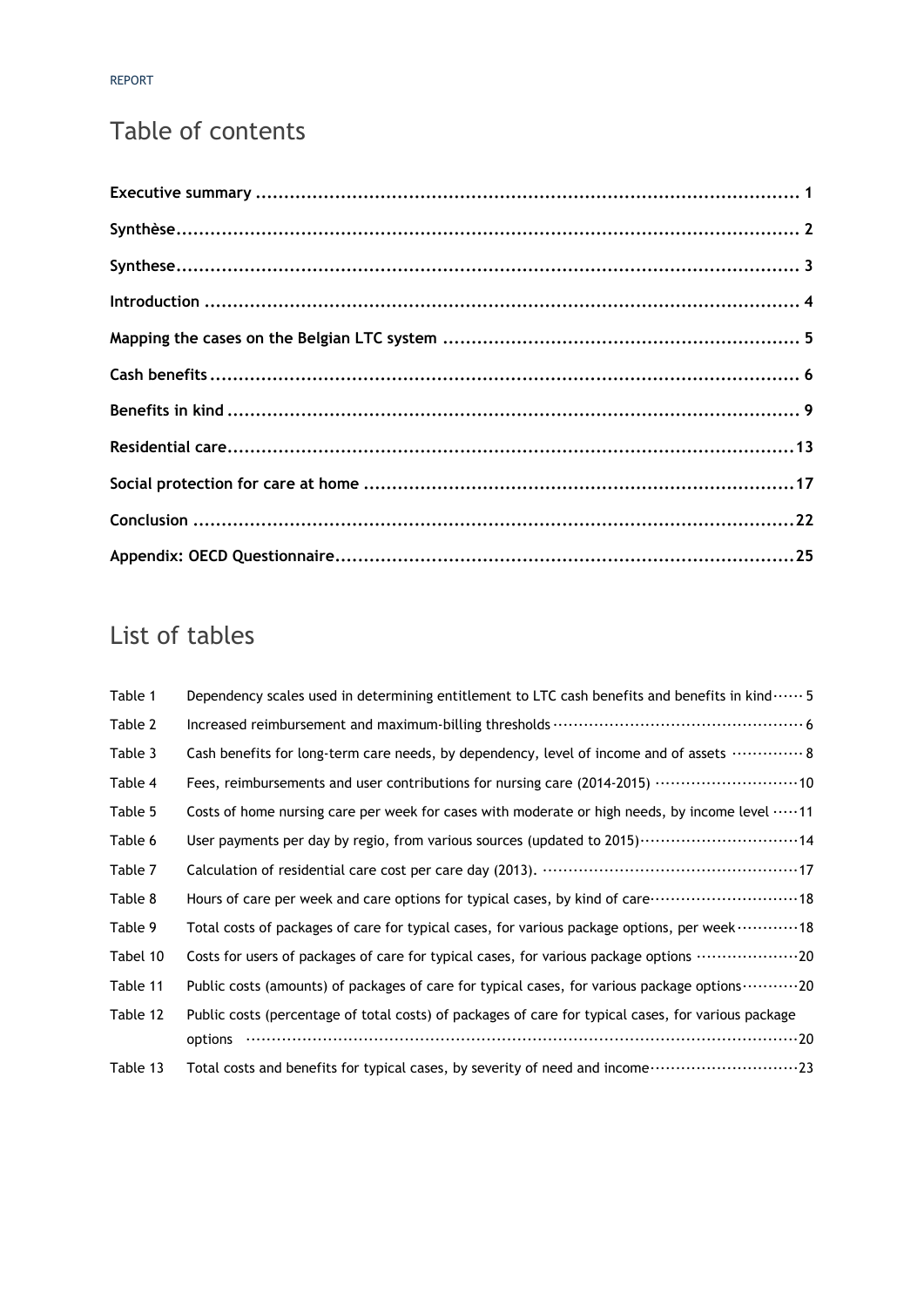# Table of contents

# List of tables

| Table 1  | Dependency scales used in determining entitlement to LTC cash benefits and benefits in kind $\cdots$ 5      |
|----------|-------------------------------------------------------------------------------------------------------------|
| Table 2  |                                                                                                             |
| Table 3  | Cash benefits for long-term care needs, by dependency, level of income and of assets  8                     |
| Table 4  | Fees, reimbursements and user contributions for nursing care (2014-2015) ………………………10                        |
| Table 5  | Costs of home nursing care per week for cases with moderate or high needs, by income level 11               |
| Table 6  |                                                                                                             |
| Table 7  |                                                                                                             |
| Table 8  | Hours of care per week and care options for typical cases, by kind of care ······························18 |
| Table 9  | Total costs of packages of care for typical cases, for various package options, per week 18                 |
| Tabel 10 | Costs for users of packages of care for typical cases, for various package options 20                       |
| Table 11 | Public costs (amounts) of packages of care for typical cases, for various package options 20                |
| Table 12 | Public costs (percentage of total costs) of packages of care for typical cases, for various package         |
|          | options                                                                                                     |
| Table 13 | Total costs and benefits for typical cases, by severity of need and income                                  |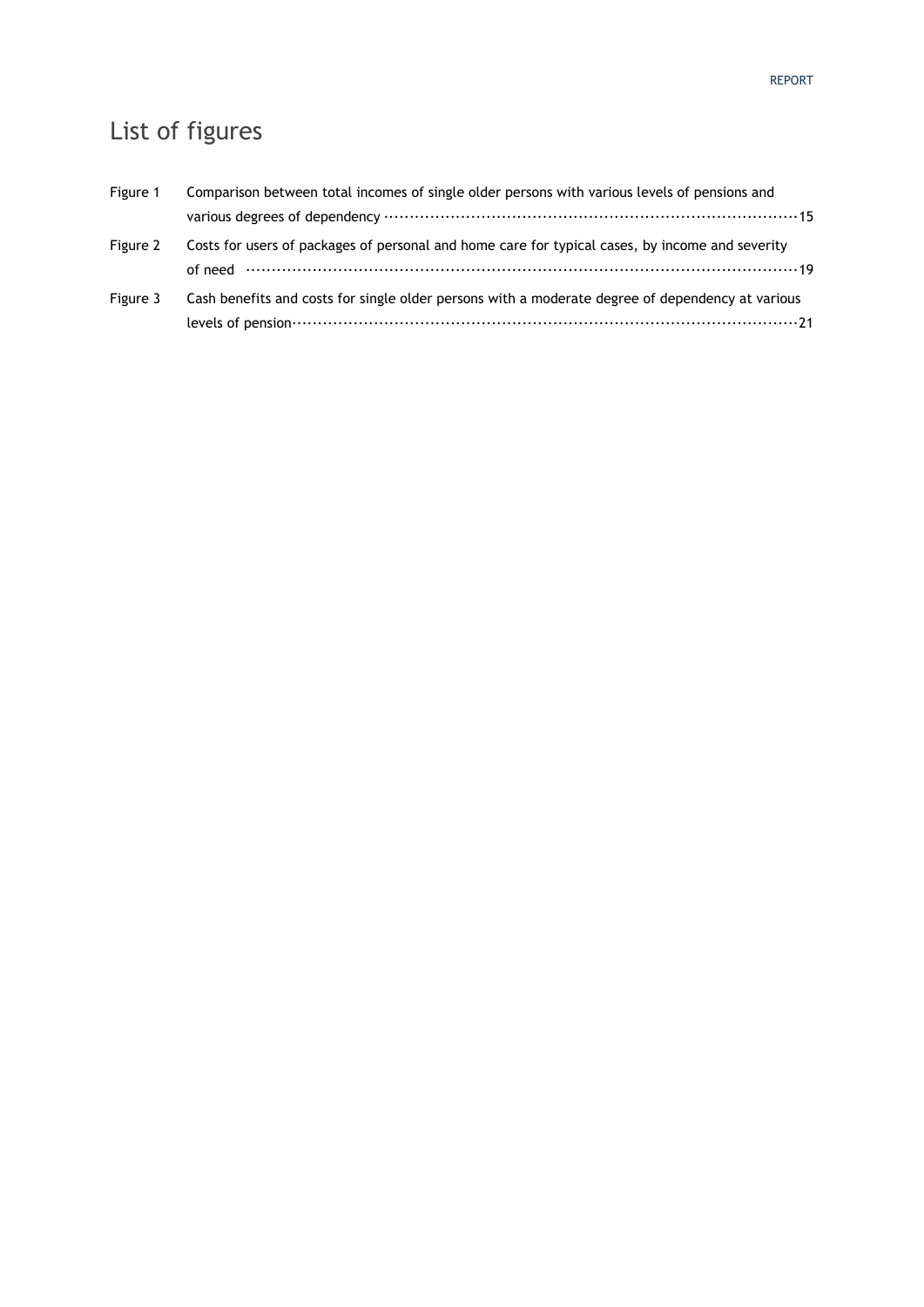# List of figures

| Figure 1 | Comparison between total incomes of single older persons with various levels of pensions and     |
|----------|--------------------------------------------------------------------------------------------------|
|          |                                                                                                  |
| Figure 2 | Costs for users of packages of personal and home care for typical cases, by income and severity  |
|          |                                                                                                  |
| Figure 3 | Cash benefits and costs for single older persons with a moderate degree of dependency at various |

levels of pension ··································································································· 21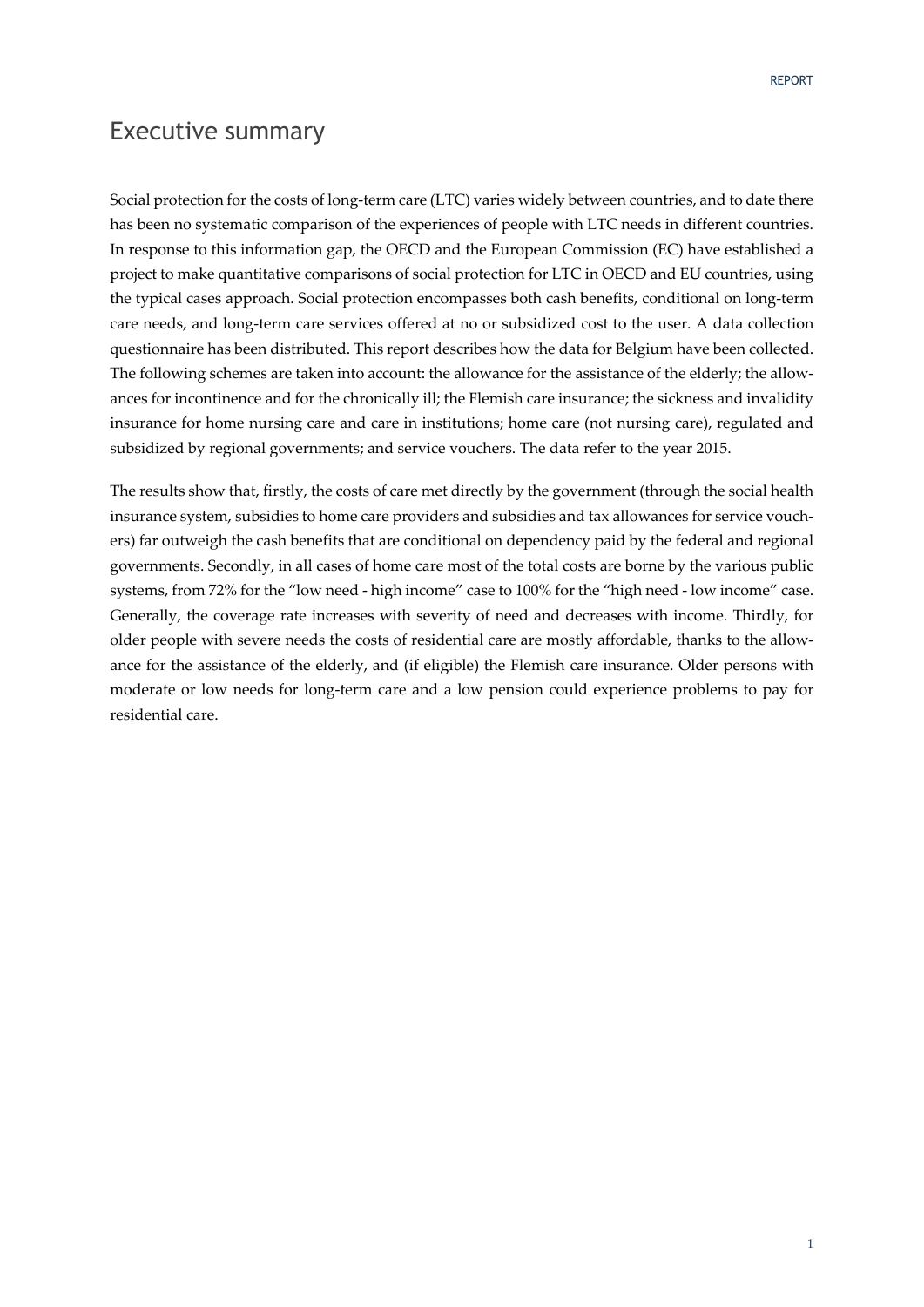### Executive summary

Social protection for the costs of long-term care (LTC) varies widely between countries, and to date there has been no systematic comparison of the experiences of people with LTC needs in different countries. In response to this information gap, the OECD and the European Commission (EC) have established a project to make quantitative comparisons of social protection for LTC in OECD and EU countries, using the typical cases approach. Social protection encompasses both cash benefits, conditional on long‐term care needs, and long‐term care services offered at no or subsidized cost to the user. A data collection questionnaire has been distributed. This report describes how the data for Belgium have been collected. The following schemes are taken into account: the allowance for the assistance of the elderly; the allowances for incontinence and for the chronically ill; the Flemish care insurance; the sickness and invalidity insurance for home nursing care and care in institutions; home care (not nursing care), regulated and subsidized by regional governments; and service vouchers. The data refer to the year 2015.

The results show that, firstly, the costs of care met directly by the government (through the social health insurance system, subsidies to home care providers and subsidies and tax allowances for service vouchers) far outweigh the cash benefits that are conditional on dependency paid by the federal and regional governments. Secondly, in all cases of home care most of the total costs are borne by the various public systems, from 72% for the "low need ‐ high income" case to 100% for the "high need ‐ low income" case. Generally, the coverage rate increases with severity of need and decreases with income. Thirdly, for older people with severe needs the costs of residential care are mostly affordable, thanks to the allow‐ ance for the assistance of the elderly, and (if eligible) the Flemish care insurance. Older persons with moderate or low needs for long‐term care and a low pension could experience problems to pay for residential care.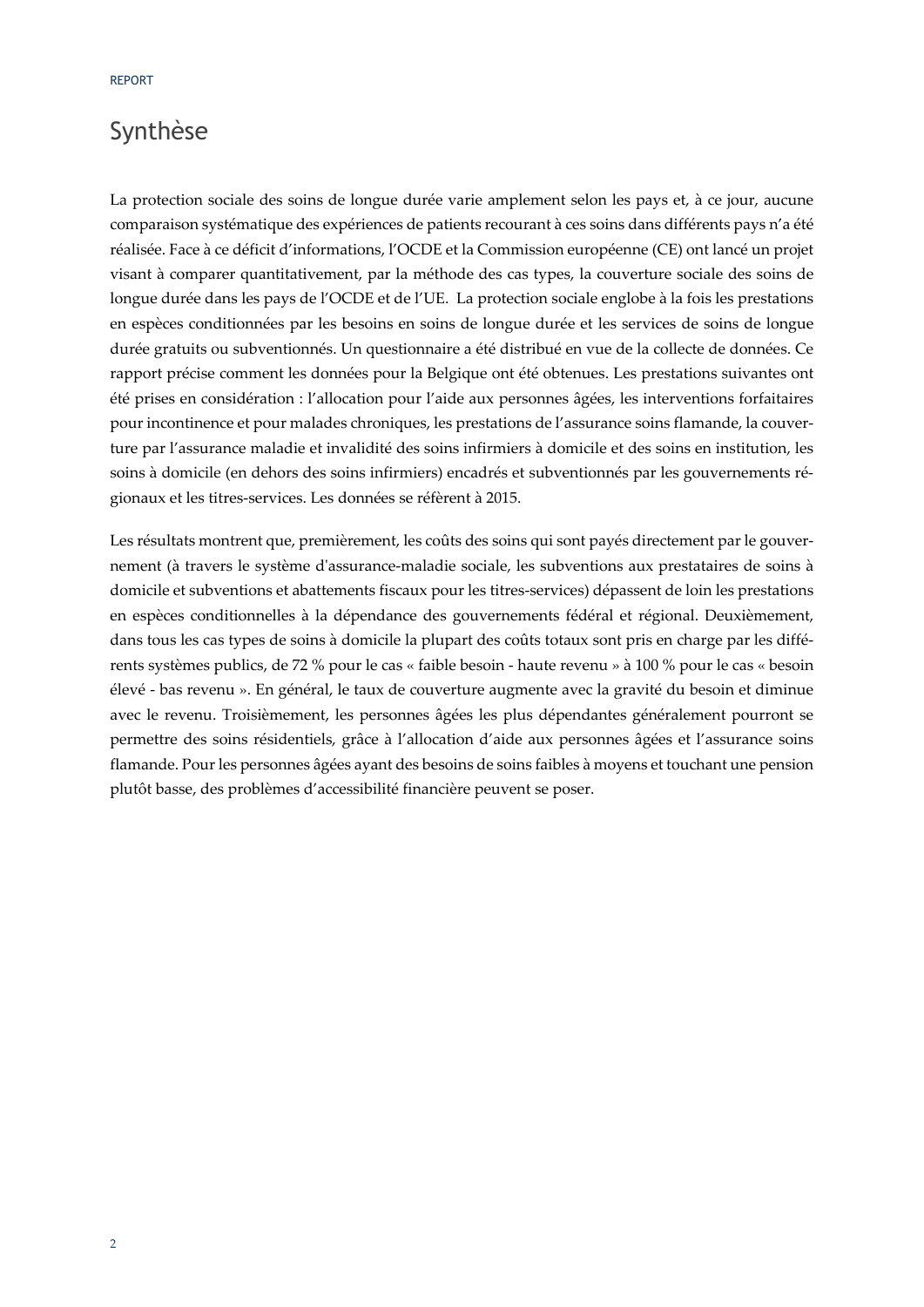### Synthèse

La protection sociale des soins de longue durée varie amplement selon les pays et, à ce jour, aucune comparaison systématique des expériences de patients recourant à ces soins dans différents pays n'a été réalisée. Face à ce déficit d'informations, l'OCDE et la Commission européenne (CE) ont lancé un projet visant à comparer quantitativement, par la méthode des cas types, la couverture sociale des soins de longue durée dans les pays de l'OCDE et de l'UE. La protection sociale englobe à la fois les prestations en espèces conditionnées par les besoins en soins de longue durée et les services de soins de longue durée gratuits ou subventionnés. Un questionnaire a été distribué en vue de la collecte de données. Ce rapport précise comment les données pour la Belgique ont été obtenues. Les prestations suivantes ont été prises en considération : l'allocation pour l'aide aux personnes âgées, les interventions forfaitaires pour incontinence et pour malades chroniques, les prestations de l'assurance soins flamande, la couver‐ ture par l'assurance maladie et invalidité des soins infirmiers à domicile et des soins en institution, les soins à domicile (en dehors des soins infirmiers) encadrés et subventionnés par les gouvernements ré‐ gionaux et les titres‐services. Les données se réfèrent à 2015.

Les résultats montrent que, premièrement, les coûts des soins qui sont payés directement par le gouvernement (à travers le système dʹassurance‐maladie sociale, les subventions aux prestataires de soins à domicile et subventions et abattements fiscaux pour les titres‐services) dépassent de loin les prestations en espèces conditionnelles à la dépendance des gouvernements fédéral et régional. Deuxièmement, dans tous les cas types de soins à domicile la plupart des coûts totaux sont pris en charge par les différents systèmes publics, de 72 % pour le cas « faible besoin ‐ haute revenu » à 100 % pour le cas « besoin élevé ‐ bas revenu ». En général, le taux de couverture augmente avec la gravité du besoin et diminue avec le revenu. Troisièmement, les personnes âgées les plus dépendantes généralement pourront se permettre des soins résidentiels, grâce à l'allocation d'aide aux personnes âgées et l'assurance soins flamande. Pour les personnes âgées ayant des besoins de soins faibles à moyens et touchant une pension plutôt basse, des problèmes d'accessibilité financière peuvent se poser.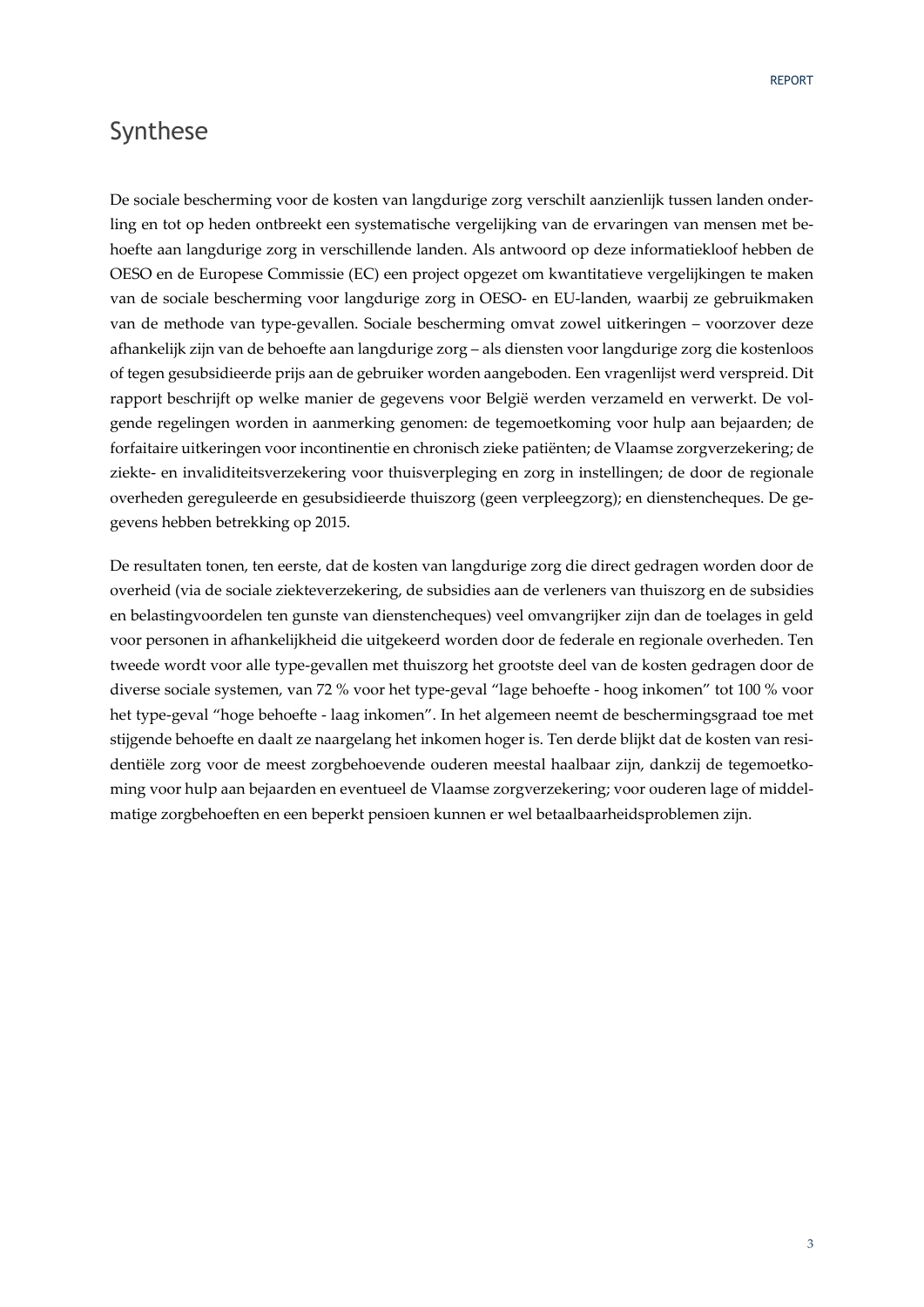### Synthese

De sociale bescherming voor de kosten van langdurige zorg verschilt aanzienlijk tussen landen onder‐ ling en tot op heden ontbreekt een systematische vergelijking van de ervaringen van mensen met be‐ hoefte aan langdurige zorg in verschillende landen. Als antwoord op deze informatiekloof hebben de OESO en de Europese Commissie (EC) een project opgezet om kwantitatieve vergelijkingen te maken van de sociale bescherming voor langdurige zorg in OESO‐ en EU‐landen, waarbij ze gebruikmaken van de methode van type‐gevallen. Sociale bescherming omvat zowel uitkeringen – voorzover deze afhankelijk zijn van de behoefte aan langdurige zorg – als diensten voor langdurige zorg die kostenloos of tegen gesubsidieerde prijs aan de gebruiker worden aangeboden. Een vragenlijst werd verspreid. Dit rapport beschrijft op welke manier de gegevens voor België werden verzameld en verwerkt. De volgende regelingen worden in aanmerking genomen: de tegemoetkoming voor hulp aan bejaarden; de forfaitaire uitkeringen voor incontinentie en chronisch zieke patiënten; de Vlaamse zorgverzekering; de ziekte‐ en invaliditeitsverzekering voor thuisverpleging en zorg in instellingen; de door de regionale overheden gereguleerde en gesubsidieerde thuiszorg (geen verpleegzorg); en dienstencheques. De ge‐ gevens hebben betrekking op 2015.

De resultaten tonen, ten eerste, dat de kosten van langdurige zorg die direct gedragen worden door de overheid (via de sociale ziekteverzekering, de subsidies aan de verleners van thuiszorg en de subsidies en belastingvoordelen ten gunste van dienstencheques) veel omvangrijker zijn dan de toelages in geld voor personen in afhankelijkheid die uitgekeerd worden door de federale en regionale overheden. Ten tweede wordt voor alle type‐gevallen met thuiszorg het grootste deel van de kosten gedragen door de diverse sociale systemen, van 72 % voor het type‐geval "lage behoefte ‐ hoog inkomen" tot 100 % voor het type‐geval "hoge behoefte ‐ laag inkomen". In het algemeen neemt de beschermingsgraad toe met stijgende behoefte en daalt ze naargelang het inkomen hoger is. Ten derde blijkt dat de kosten van resi‐ dentiële zorg voor de meest zorgbehoevende ouderen meestal haalbaar zijn, dankzij de tegemoetko‐ ming voor hulp aan bejaarden en eventueel de Vlaamse zorgverzekering; voor ouderen lage of middel‐ matige zorgbehoeften en een beperkt pensioen kunnen er wel betaalbaarheidsproblemen zijn.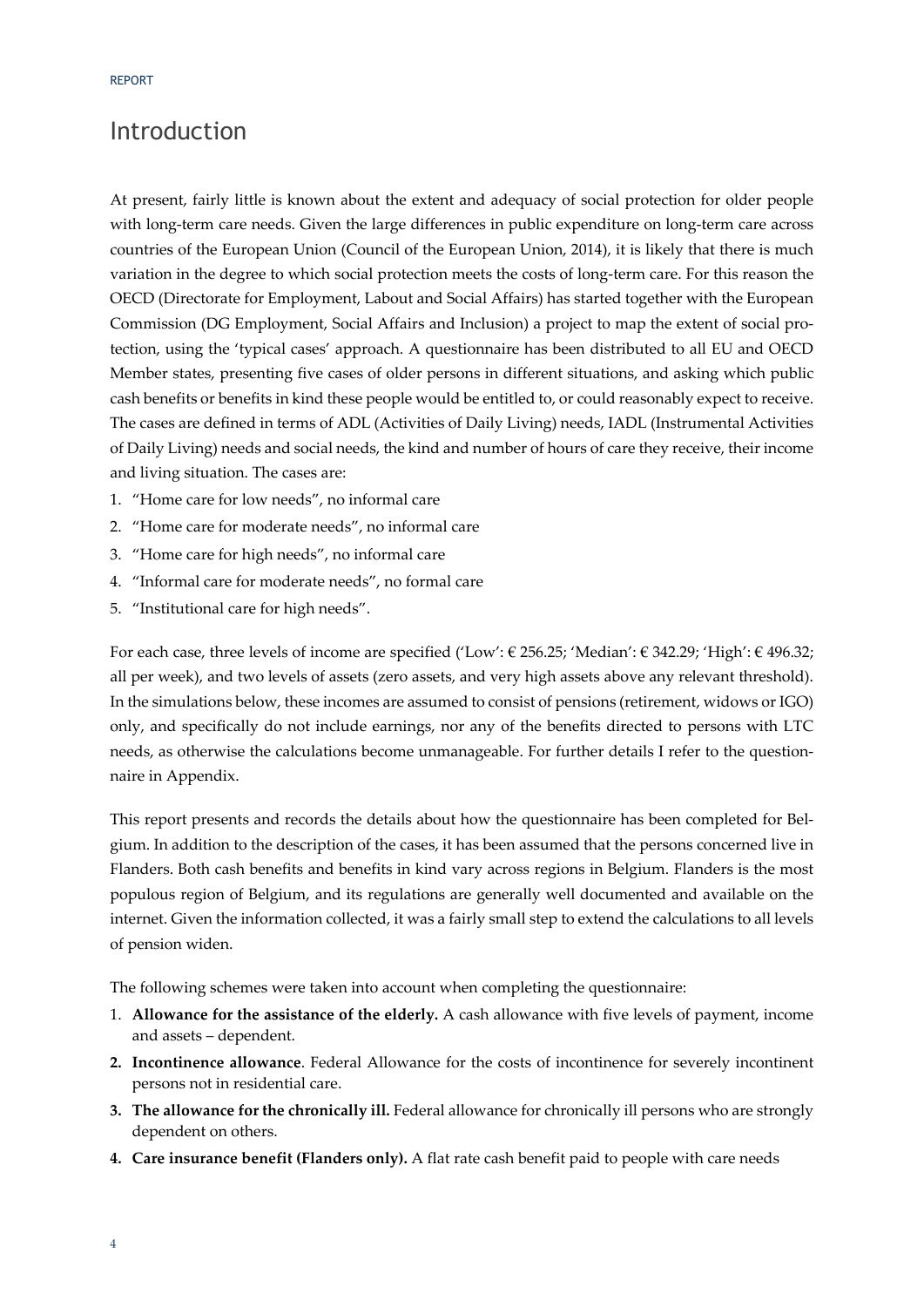### Introduction

At present, fairly little is known about the extent and adequacy of social protection for older people with long-term care needs. Given the large differences in public expenditure on long-term care across countries of the European Union (Council of the European Union, 2014), it is likely that there is much variation in the degree to which social protection meets the costs of long-term care. For this reason the OECD (Directorate for Employment, Labout and Social Affairs) has started together with the European Commission (DG Employment, Social Affairs and Inclusion) a project to map the extent of social pro‐ tection, using the 'typical cases' approach. A questionnaire has been distributed to all EU and OECD Member states, presenting five cases of older persons in different situations, and asking which public cash benefits or benefits in kind these people would be entitled to, or could reasonably expect to receive. The cases are defined in terms of ADL (Activities of Daily Living) needs, IADL (Instrumental Activities of Daily Living) needs and social needs, the kind and number of hours of care they receive, their income and living situation. The cases are:

- 1. "Home care for low needs", no informal care
- 2. "Home care for moderate needs", no informal care
- 3. "Home care for high needs", no informal care
- 4. "Informal care for moderate needs", no formal care
- 5. "Institutional care for high needs".

For each case, three levels of income are specified ('Low': € 256.25; 'Median': € 342.29; 'High': € 496.32; all per week), and two levels of assets (zero assets, and very high assets above any relevant threshold). In the simulations below, these incomes are assumed to consist of pensions (retirement, widows or IGO) only, and specifically do not include earnings, nor any of the benefits directed to persons with LTC needs, as otherwise the calculations become unmanageable. For further details I refer to the questionnaire in Appendix.

This report presents and records the details about how the questionnaire has been completed for Bel‐ gium. In addition to the description of the cases, it has been assumed that the persons concerned live in Flanders. Both cash benefits and benefits in kind vary across regions in Belgium. Flanders is the most populous region of Belgium, and its regulations are generally well documented and available on the internet. Given the information collected, it was a fairly small step to extend the calculations to all levels of pension widen.

The following schemes were taken into account when completing the questionnaire:

- 1. **Allowance for the assistance of the elderly.** A cash allowance with five levels of payment, income and assets – dependent.
- **2. Incontinence allowance**. Federal Allowance for the costs of incontinence for severely incontinent persons not in residential care.
- **3. The allowance for the chronically ill.** Federal allowance for chronically ill persons who are strongly dependent on others.
- **4. Care insurance benefit (Flanders only).** A flat rate cash benefit paid to people with care needs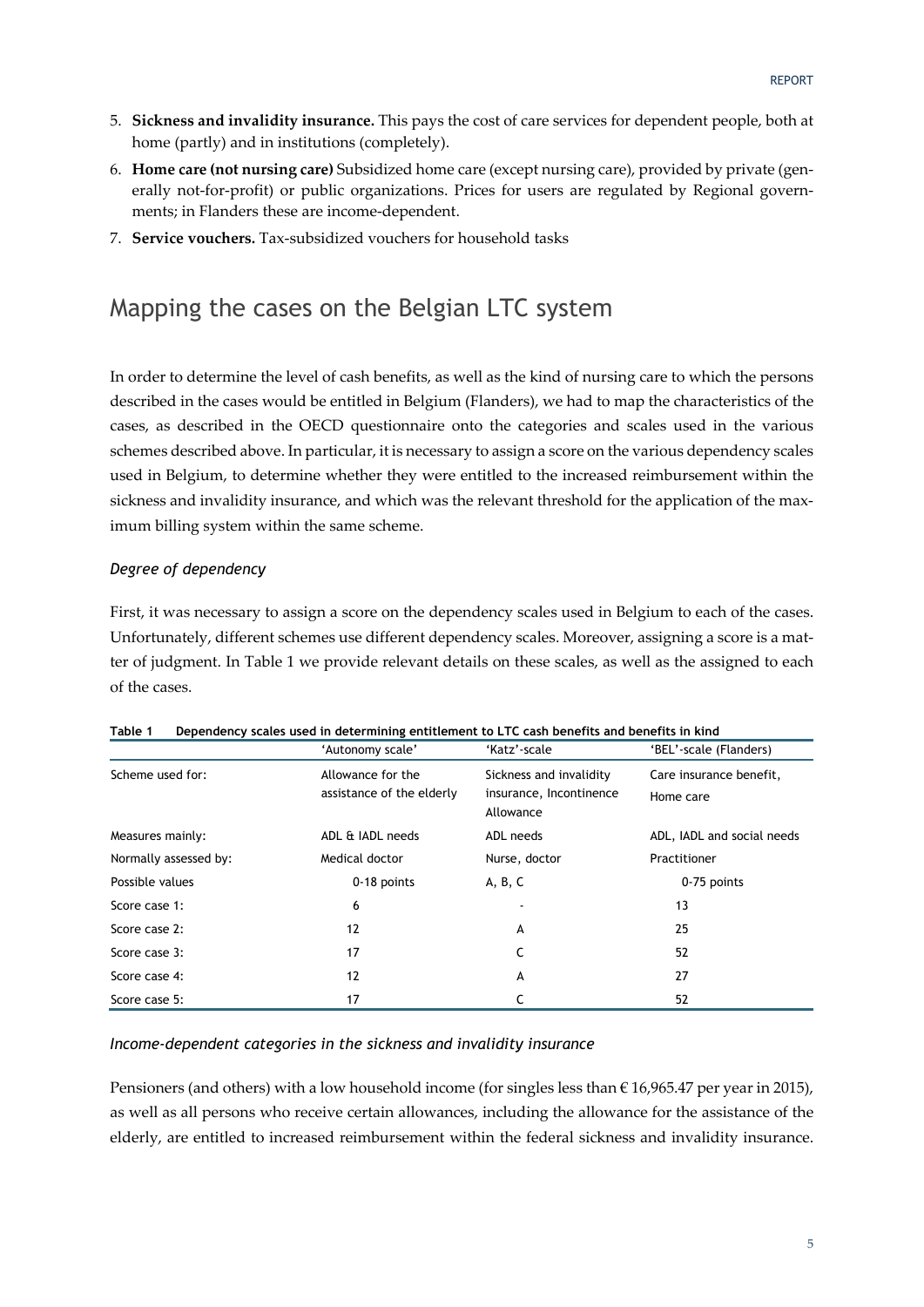- 5. **Sickness and invalidity insurance.** This pays the cost of care services for dependent people, both at home (partly) and in institutions (completely).
- 6. **Home care (not nursing care)** Subsidized home care (except nursing care), provided by private (gen‐ erally not-for-profit) or public organizations. Prices for users are regulated by Regional governments; in Flanders these are income‐dependent.
- 7. **Service vouchers.** Tax‐subsidized vouchers for household tasks

### Mapping the cases on the Belgian LTC system

In order to determine the level of cash benefits, as well as the kind of nursing care to which the persons described in the cases would be entitled in Belgium (Flanders), we had to map the characteristics of the cases, as described in the OECD questionnaire onto the categories and scales used in the various schemes described above. In particular, it is necessary to assign a score on the various dependency scales used in Belgium, to determine whether they were entitled to the increased reimbursement within the sickness and invalidity insurance, and which was the relevant threshold for the application of the maximum billing system within the same scheme.

### *Degree of dependency*

First, it was necessary to assign a score on the dependency scales used in Belgium to each of the cases. Unfortunately, different schemes use different dependency scales. Moreover, assigning a score is a matter of judgment. In Table 1 we provide relevant details on these scales, as well as the assigned to each of the cases.

|                       | 'Autonomy scale'                               | 'Katz'-scale                                                    | 'BEL'-scale (Flanders)               |
|-----------------------|------------------------------------------------|-----------------------------------------------------------------|--------------------------------------|
| Scheme used for:      | Allowance for the<br>assistance of the elderly | Sickness and invalidity<br>insurance, Incontinence<br>Allowance | Care insurance benefit,<br>Home care |
| Measures mainly:      | ADL & IADL needs                               | ADL needs                                                       | ADL, IADL and social needs           |
| Normally assessed by: | Medical doctor                                 | Nurse, doctor                                                   | Practitioner                         |
| Possible values       | 0-18 points                                    | A, B, C                                                         | 0-75 points                          |
| Score case 1:         | 6                                              |                                                                 | 13                                   |
| Score case 2:         | 12                                             | A                                                               | 25                                   |
| Score case 3:         | 17                                             |                                                                 | 52                                   |
| Score case 4:         | 12                                             | A                                                               | 27                                   |
| Score case 5:         | 17                                             |                                                                 | 52                                   |

### **Table 1 Dependency scales used in determining entitlement to LTC cash benefits and benefits in kind**

### *Income-dependent categories in the sickness and invalidity insurance*

Pensioners (and others) with a low household income (for singles less than  $\epsilon$  16,965.47 per year in 2015), as well as all persons who receive certain allowances, including the allowance for the assistance of the elderly, are entitled to increased reimbursement within the federal sickness and invalidity insurance.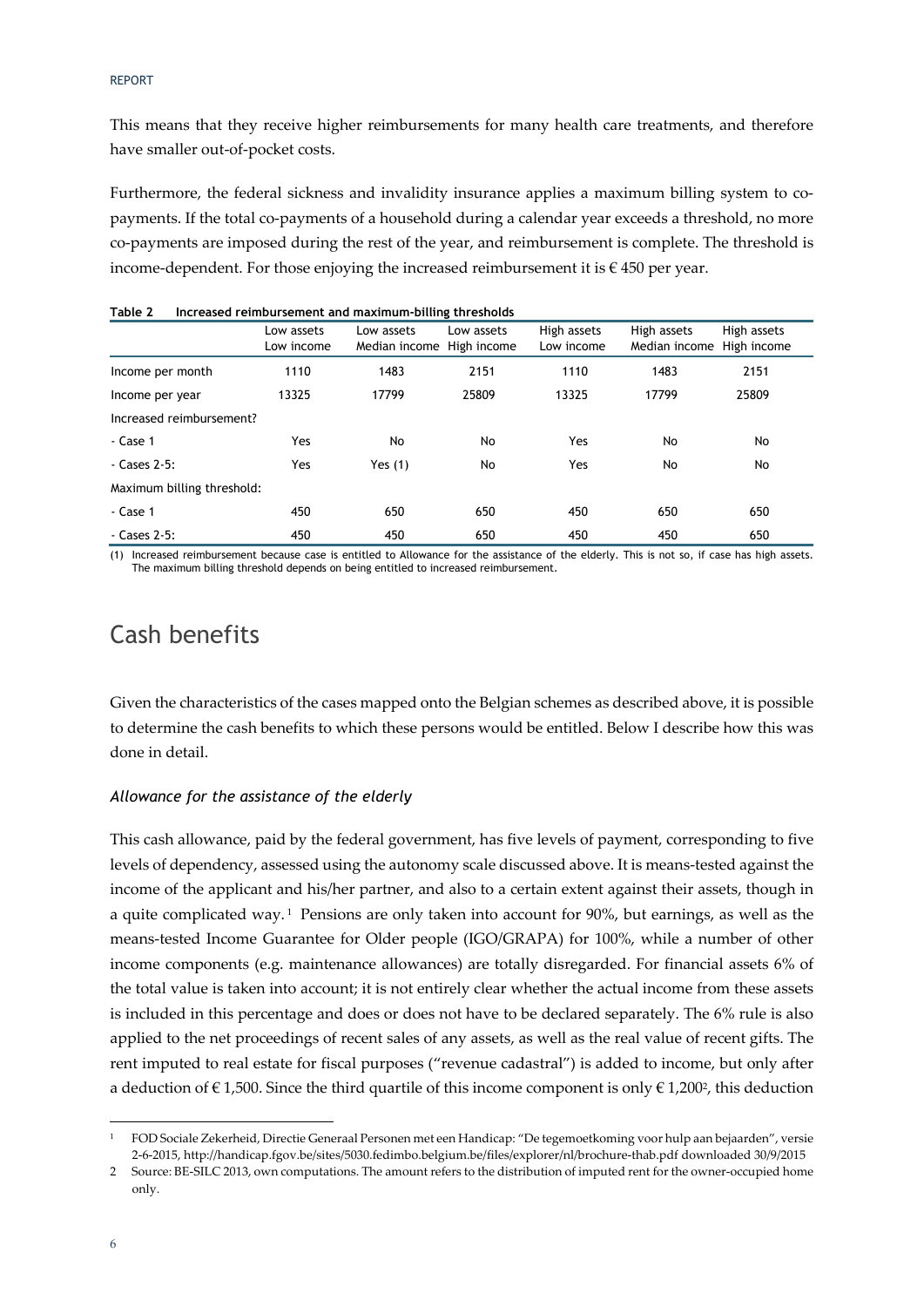This means that they receive higher reimbursements for many health care treatments, and therefore have smaller out‐of‐pocket costs.

Furthermore, the federal sickness and invalidity insurance applies a maximum billing system to copayments. If the total co-payments of a household during a calendar year exceeds a threshold, no more co-payments are imposed during the rest of the year, and reimbursement is complete. The threshold is income-dependent. For those enjoying the increased reimbursement it is  $\epsilon$  450 per year.

| $\cdots$                   |                          | mercasea remisarsement ana maximam situng tinesnotas |            |                           |                                          |             |
|----------------------------|--------------------------|------------------------------------------------------|------------|---------------------------|------------------------------------------|-------------|
|                            | Low assets<br>Low income | Low assets<br>Median income High income              | Low assets | High assets<br>Low income | High assets<br>Median income High income | High assets |
| Income per month           | 1110                     | 1483                                                 | 2151       | 1110                      | 1483                                     | 2151        |
| Income per year            | 13325                    | 17799                                                | 25809      | 13325                     | 17799                                    | 25809       |
| Increased reimbursement?   |                          |                                                      |            |                           |                                          |             |
| - Case 1                   | Yes                      | No                                                   | No         | Yes                       | No                                       | No.         |
| $-$ Cases 2-5:             | Yes                      | Yes $(1)$                                            | No         | Yes                       | No                                       | No          |
| Maximum billing threshold: |                          |                                                      |            |                           |                                          |             |
| - Case 1                   | 450                      | 650                                                  | 650        | 450                       | 650                                      | 650         |
| - Cases 2-5:               | 450                      | 450                                                  | 650        | 450                       | 450                                      | 650         |

| Table 2 | Increased reimbursement and maximum-billing thresholds |  |  |
|---------|--------------------------------------------------------|--|--|
|---------|--------------------------------------------------------|--|--|

(1) Increased reimbursement because case is entitled to Allowance for the assistance of the elderly. This is not so, if case has high assets. The maximum billing threshold depends on being entitled to increased reimbursement.

### Cash benefits

Given the characteristics of the cases mapped onto the Belgian schemes as described above, it is possible to determine the cash benefits to which these persons would be entitled. Below I describe how this was done in detail.

### *Allowance for the assistance of the elderly*

This cash allowance, paid by the federal government, has five levels of payment, corresponding to five levels of dependency, assessed using the autonomy scale discussed above. It is means‐tested against the income of the applicant and his/her partner, and also to a certain extent against their assets, though in a quite complicated way. <sup>1</sup> Pensions are only taken into account for 90%, but earnings, as well as the means‐tested Income Guarantee for Older people (IGO/GRAPA) for 100%, while a number of other income components (e.g. maintenance allowances) are totally disregarded. For financial assets 6% of the total value is taken into account; it is not entirely clear whether the actual income from these assets is included in this percentage and does or does not have to be declared separately. The 6% rule is also applied to the net proceedings of recent sales of any assets, as well as the real value of recent gifts. The rent imputed to real estate for fiscal purposes ("revenue cadastral") is added to income, but only after a deduction of  $\epsilon$  1,500. Since the third quartile of this income component is only  $\epsilon$  1,200<sup>2</sup>, this deduction

<sup>1</sup> FOD Sociale Zekerheid, Directie Generaal Personen met een Handicap: "De tegemoetkoming voor hulp aan bejaarden", versie 2‐6‐2015, http://handicap.fgov.be/sites/5030.fedimbo.belgium.be/files/explorer/nl/brochure‐thab.pdf downloaded 30/9/2015

<sup>2</sup> Source: BE-SILC 2013, own computations. The amount refers to the distribution of imputed rent for the owner-occupied home only.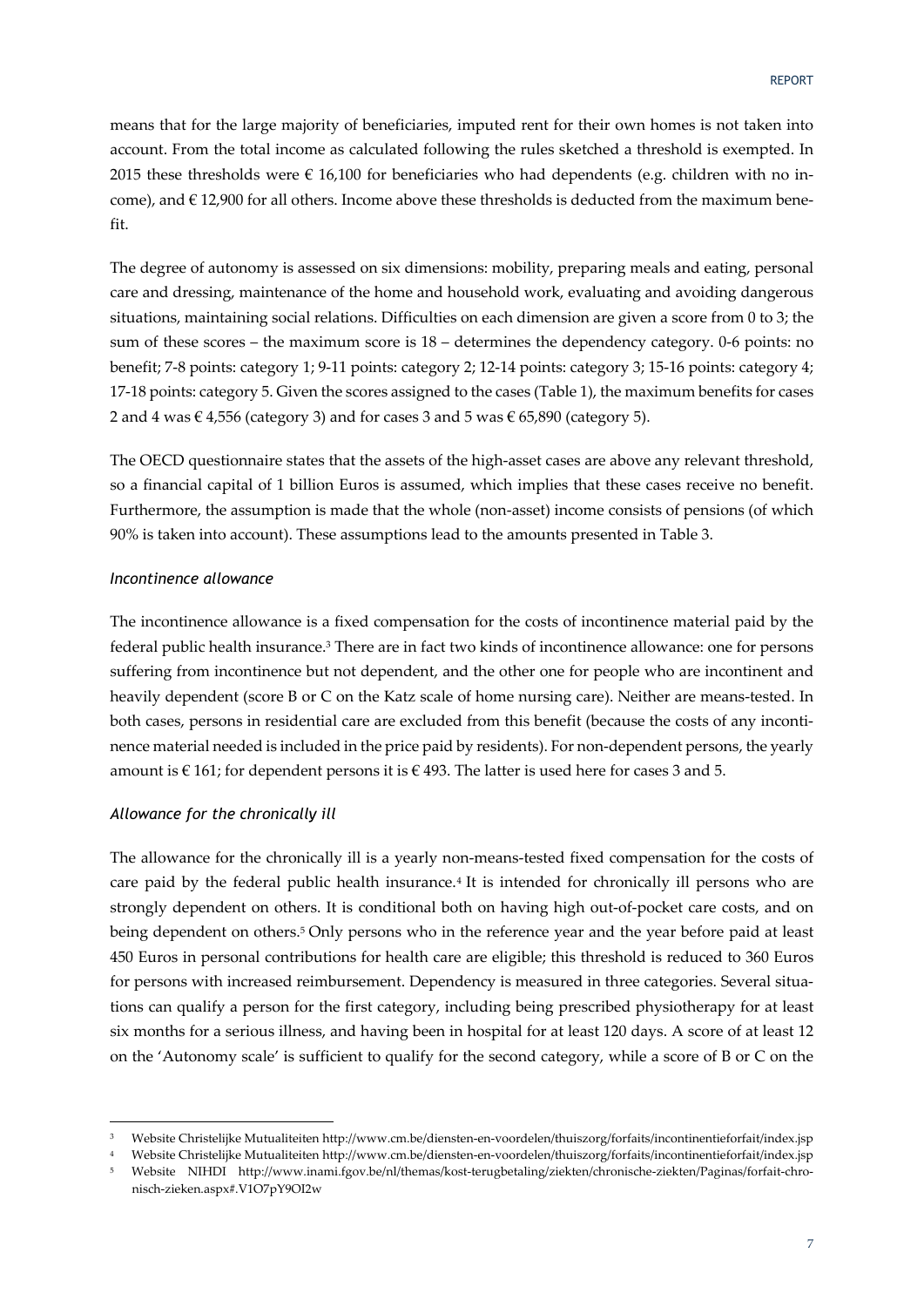means that for the large majority of beneficiaries, imputed rent for their own homes is not taken into account. From the total income as calculated following the rules sketched a threshold is exempted. In 2015 these thresholds were  $\epsilon$  16,100 for beneficiaries who had dependents (e.g. children with no income), and  $\in$  12,900 for all others. Income above these thresholds is deducted from the maximum benefit.

The degree of autonomy is assessed on six dimensions: mobility, preparing meals and eating, personal care and dressing, maintenance of the home and household work, evaluating and avoiding dangerous situations, maintaining social relations. Difficulties on each dimension are given a score from 0 to 3; the sum of these scores – the maximum score is 18 – determines the dependency category. 0‐6 points: no benefit; 7‐8 points: category 1; 9‐11 points: category 2; 12‐14 points: category 3; 15‐16 points: category 4; 17‐18 points: category 5. Given the scores assigned to the cases (Table 1), the maximum benefits for cases 2 and 4 was € 4,556 (category 3) and for cases 3 and 5 was € 65,890 (category 5).

The OECD questionnaire states that the assets of the high-asset cases are above any relevant threshold, so a financial capital of 1 billion Euros is assumed, which implies that these cases receive no benefit. Furthermore, the assumption is made that the whole (non‐asset) income consists of pensions (of which 90% is taken into account). These assumptions lead to the amounts presented in Table 3.

#### *Incontinence allowance*

The incontinence allowance is a fixed compensation for the costs of incontinence material paid by the federal public health insurance.3 There are in fact two kinds of incontinence allowance: one for persons suffering from incontinence but not dependent, and the other one for people who are incontinent and heavily dependent (score B or C on the Katz scale of home nursing care). Neither are means-tested. In both cases, persons in residential care are excluded from this benefit (because the costs of any incontinence material needed is included in the price paid by residents). For non‐dependent persons, the yearly amount is  $\epsilon$  161; for dependent persons it is  $\epsilon$  493. The latter is used here for cases 3 and 5.

### *Allowance for the chronically ill*

The allowance for the chronically ill is a yearly non-means-tested fixed compensation for the costs of care paid by the federal public health insurance.4 It is intended for chronically ill persons who are strongly dependent on others. It is conditional both on having high out‐of‐pocket care costs, and on being dependent on others.5 Only persons who in the reference year and the year before paid at least 450 Euros in personal contributions for health care are eligible; this threshold is reduced to 360 Euros for persons with increased reimbursement. Dependency is measured in three categories. Several situations can qualify a person for the first category, including being prescribed physiotherapy for at least six months for a serious illness, and having been in hospital for at least 120 days. A score of at least 12 on the 'Autonomy scale' is sufficient to qualify for the second category, while a score of B or C on the

<sup>3</sup> Website Christelijke Mutualiteiten http://www.cm.be/diensten‐en‐voordelen/thuiszorg/forfaits/incontinentieforfait/index.jsp

<sup>4</sup> Website Christelijke Mutualiteiten http://www.cm.be/diensten‐en‐voordelen/thuiszorg/forfaits/incontinentieforfait/index.jsp

Website NIHDI http://www.inami.fgov.be/nl/themas/kost-terugbetaling/ziekten/chronische-ziekten/Paginas/forfait-chronisch‐zieken.aspx#.V1O7pY9OI2w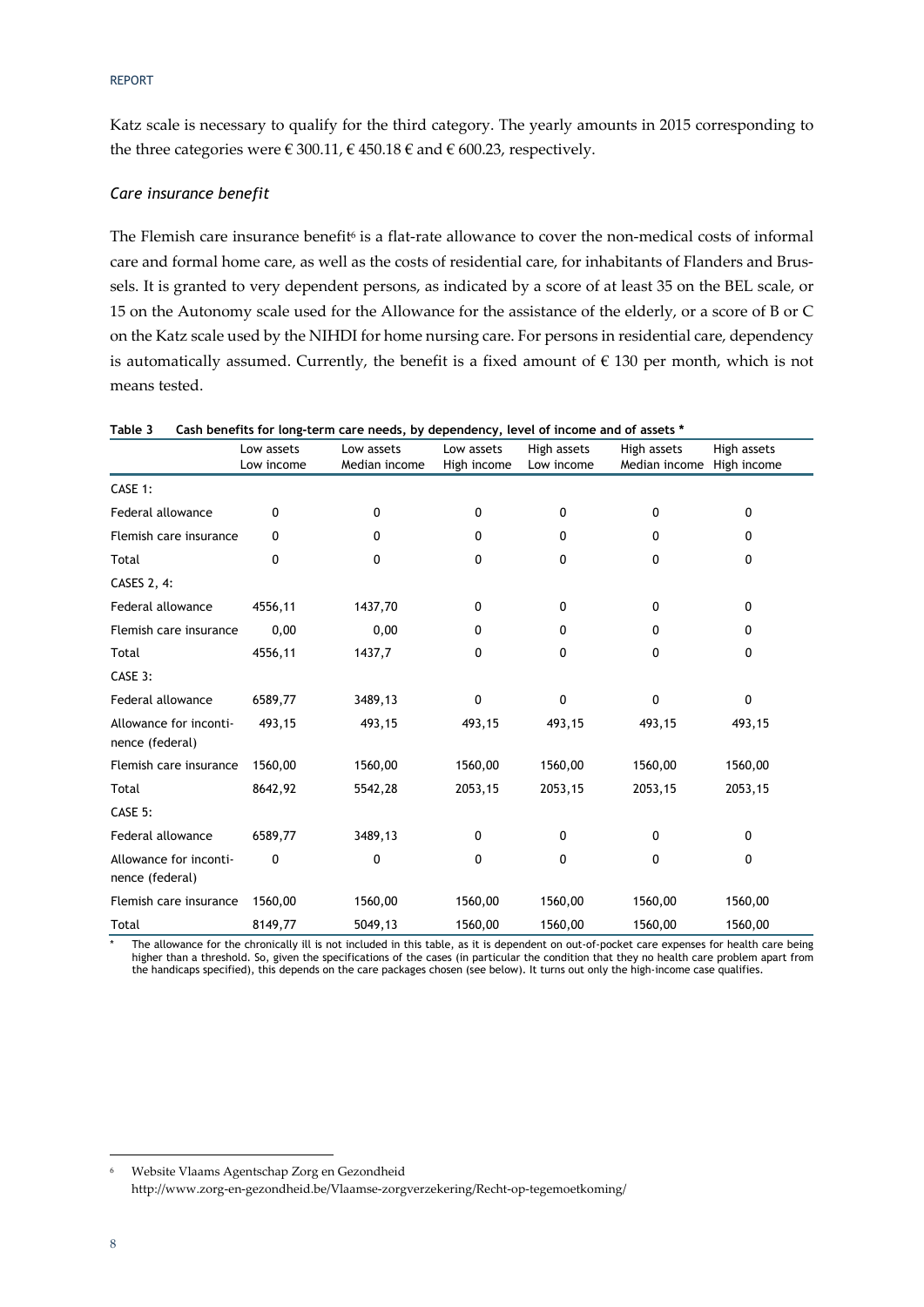Katz scale is necessary to qualify for the third category. The yearly amounts in 2015 corresponding to the three categories were  $\in$  300.11,  $\in$  450.18  $\in$  and  $\in$  600.23, respectively.

### *Care insurance benefit*

The Flemish care insurance benefit<sup>6</sup> is a flat-rate allowance to cover the non-medical costs of informal care and formal home care, as well as the costs of residential care, for inhabitants of Flanders and Brus‐ sels. It is granted to very dependent persons, as indicated by a score of at least 35 on the BEL scale, or 15 on the Autonomy scale used for the Allowance for the assistance of the elderly, or a score of B or C on the Katz scale used by the NIHDI for home nursing care. For persons in residential care, dependency is automatically assumed. Currently, the benefit is a fixed amount of  $\epsilon$  130 per month, which is not means tested.

|                                           | Low assets<br>Low income | Low assets<br>Median income | Low assets<br>High income | High assets<br>Low income | High assets<br>Median income | High assets<br>High income |
|-------------------------------------------|--------------------------|-----------------------------|---------------------------|---------------------------|------------------------------|----------------------------|
| CASE 1:                                   |                          |                             |                           |                           |                              |                            |
| Federal allowance                         | 0                        | 0                           | 0                         | 0                         | 0                            | $\Omega$                   |
| Flemish care insurance                    | 0                        | 0                           | 0                         | 0                         | 0                            | 0                          |
| Total                                     | $\mathbf{0}$             | 0                           | 0                         | 0                         | 0                            | $\mathbf{0}$               |
| CASES 2, 4:                               |                          |                             |                           |                           |                              |                            |
| Federal allowance                         | 4556,11                  | 1437,70                     | 0                         | 0                         | 0                            | $\Omega$                   |
| Flemish care insurance                    | 0,00                     | 0,00                        | 0                         | 0                         | 0                            | 0                          |
| Total                                     | 4556,11                  | 1437,7                      | 0                         | 0                         | 0                            | 0                          |
| CASE 3:                                   |                          |                             |                           |                           |                              |                            |
| Federal allowance                         | 6589,77                  | 3489,13                     | 0                         | 0                         | 0                            | 0                          |
| Allowance for inconti-<br>nence (federal) | 493,15                   | 493,15                      | 493,15                    | 493,15                    | 493,15                       | 493,15                     |
| Flemish care insurance                    | 1560,00                  | 1560,00                     | 1560,00                   | 1560,00                   | 1560,00                      | 1560,00                    |
| Total                                     | 8642,92                  | 5542,28                     | 2053,15                   | 2053,15                   | 2053,15                      | 2053,15                    |
| CASE 5:                                   |                          |                             |                           |                           |                              |                            |
| Federal allowance                         | 6589,77                  | 3489,13                     | 0                         | 0                         | 0                            | $\mathbf{0}$               |
| Allowance for inconti-<br>nence (federal) | 0                        | 0                           | 0                         | 0                         | 0                            | 0                          |
| Flemish care insurance                    | 1560,00                  | 1560,00                     | 1560,00                   | 1560,00                   | 1560,00                      | 1560,00                    |
| Total                                     | 8149,77                  | 5049,13                     | 1560,00                   | 1560,00                   | 1560,00                      | 1560,00                    |

**Table 3 Cash benefits for long-term care needs, by dependency, level of income and of assets \*** 

The allowance for the chronically ill is not included in this table, as it is dependent on out-of-pocket care expenses for health care being higher than a threshold. So, given the specifications of the cases (in particular the condition that they no health care problem apart from the handicaps specified), this depends on the care packages chosen (see below). It turns out only the high-income case qualifies.

<sup>&</sup>lt;u> Andrew Maria (1989)</u> <sup>6</sup> Website Vlaams Agentschap Zorg en Gezondheid http://www.zorg‐en‐gezondheid.be/Vlaamse‐zorgverzekering/Recht‐op‐tegemoetkoming/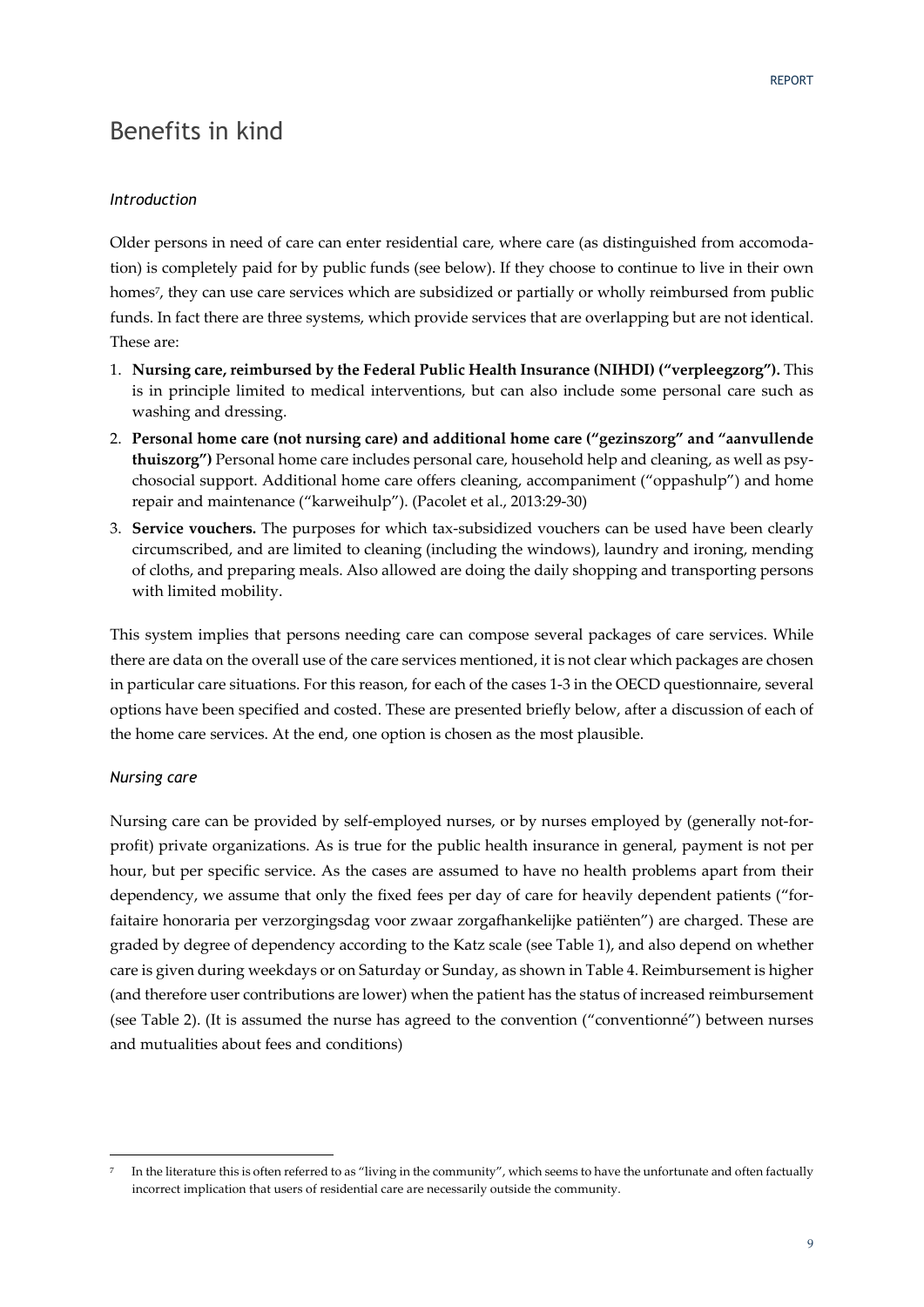### Benefits in kind

### *Introduction*

Older persons in need of care can enter residential care, where care (as distinguished from accomodation) is completely paid for by public funds (see below). If they choose to continue to live in their own homes<sup>7</sup>, they can use care services which are subsidized or partially or wholly reimbursed from public funds. In fact there are three systems, which provide services that are overlapping but are not identical. These are:

- 1. **Nursing care, reimbursed by the Federal Public Health Insurance (NIHDI) ("verpleegzorg").** This is in principle limited to medical interventions, but can also include some personal care such as washing and dressing.
- 2. **Personal home care (not nursing care) and additional home care ("gezinszorg" and "aanvullende thuiszorg")** Personal home care includes personal care, household help and cleaning, as well as psy‐ chosocial support. Additional home care offers cleaning, accompaniment ("oppashulp") and home repair and maintenance ("karweihulp"). (Pacolet et al., 2013:29‐30)
- 3. **Service vouchers.** The purposes for which tax‐subsidized vouchers can be used have been clearly circumscribed, and are limited to cleaning (including the windows), laundry and ironing, mending of cloths, and preparing meals. Also allowed are doing the daily shopping and transporting persons with limited mobility.

This system implies that persons needing care can compose several packages of care services. While there are data on the overall use of the care services mentioned, it is not clear which packages are chosen in particular care situations. For this reason, for each of the cases 1‐3 in the OECD questionnaire, several options have been specified and costed. These are presented briefly below, after a discussion of each of the home care services. At the end, one option is chosen as the most plausible.

### *Nursing care*

<u> Andrew Maria (1989)</u>

Nursing care can be provided by self-employed nurses, or by nurses employed by (generally not-forprofit) private organizations. As is true for the public health insurance in general, payment is not per hour, but per specific service. As the cases are assumed to have no health problems apart from their dependency, we assume that only the fixed fees per day of care for heavily dependent patients ("for‐ faitaire honoraria per verzorgingsdag voor zwaar zorgafhankelijke patiënten") are charged. These are graded by degree of dependency according to the Katz scale (see Table 1), and also depend on whether care is given during weekdays or on Saturday or Sunday, as shown in Table 4. Reimbursement is higher (and therefore user contributions are lower) when the patient has the status of increased reimbursement (see Table 2). (It is assumed the nurse has agreed to the convention ("conventionné") between nurses and mutualities about fees and conditions)

In the literature this is often referred to as "living in the community", which seems to have the unfortunate and often factually incorrect implication that users of residential care are necessarily outside the community.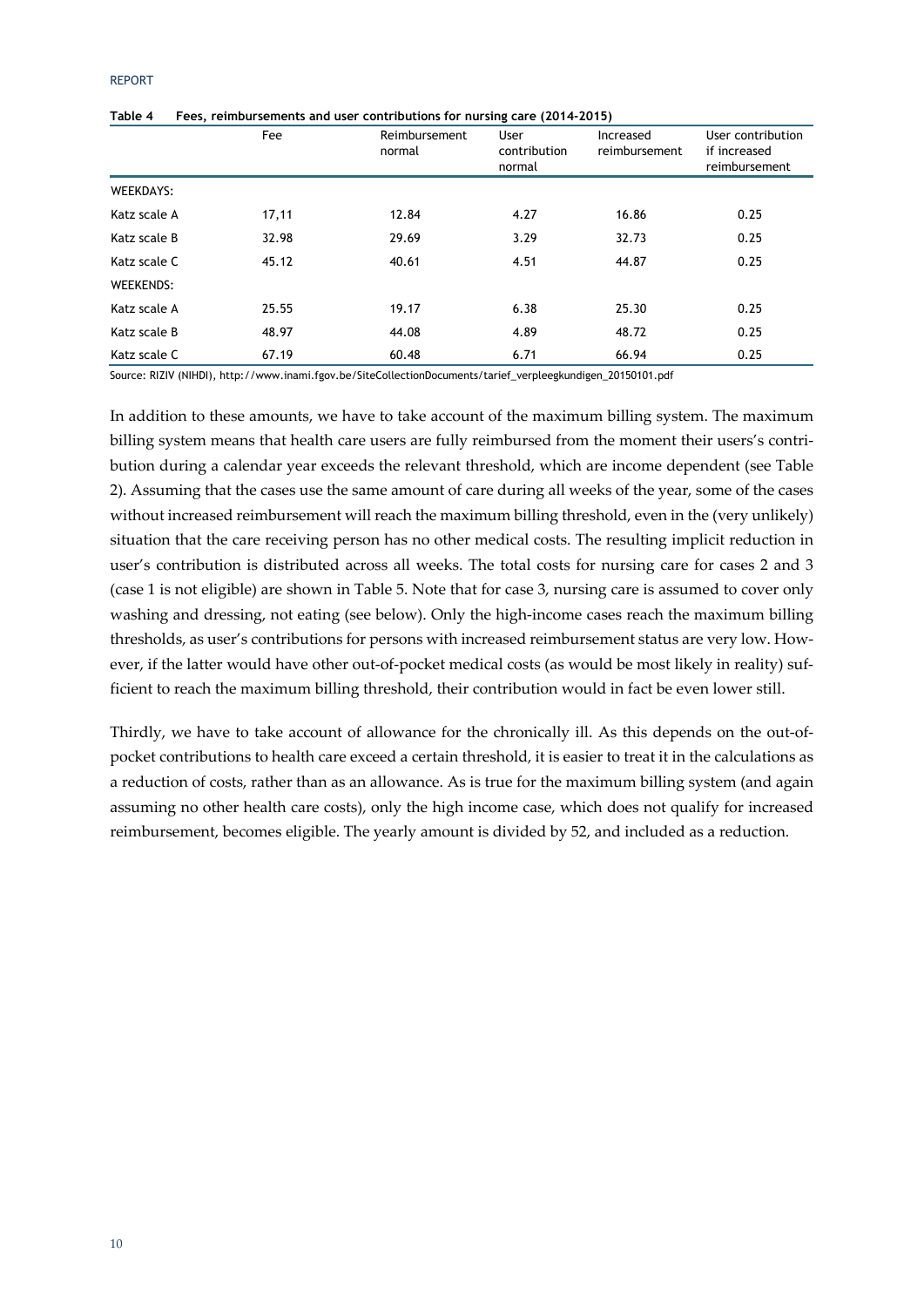|                  | Fee   | Reimbursement<br>normal | User<br>contribution<br>normal | Increased<br>reimbursement | User contribution<br>if increased<br>reimbursement |
|------------------|-------|-------------------------|--------------------------------|----------------------------|----------------------------------------------------|
| <b>WEEKDAYS:</b> |       |                         |                                |                            |                                                    |
| Katz scale A     | 17,11 | 12.84                   | 4.27                           | 16.86                      | 0.25                                               |
| Katz scale B     | 32.98 | 29.69                   | 3.29                           | 32.73                      | 0.25                                               |
| Katz scale C     | 45.12 | 40.61                   | 4.51                           | 44.87                      | 0.25                                               |
| <b>WEEKENDS:</b> |       |                         |                                |                            |                                                    |
| Katz scale A     | 25.55 | 19.17                   | 6.38                           | 25.30                      | 0.25                                               |
| Katz scale B     | 48.97 | 44.08                   | 4.89                           | 48.72                      | 0.25                                               |
| Katz scale C     | 67.19 | 60.48                   | 6.71                           | 66.94                      | 0.25                                               |

**Table 4 Fees, reimbursements and user contributions for nursing care (2014-2015)** 

Source: RIZIV (NIHDI), http://www.inami.fgov.be/SiteCollectionDocuments/tarief\_verpleegkundigen\_20150101.pdf

In addition to these amounts, we have to take account of the maximum billing system. The maximum billing system means that health care users are fully reimbursed from the moment their users's contribution during a calendar year exceeds the relevant threshold, which are income dependent (see Table 2). Assuming that the cases use the same amount of care during all weeks of the year, some of the cases without increased reimbursement will reach the maximum billing threshold, even in the (very unlikely) situation that the care receiving person has no other medical costs. The resulting implicit reduction in user's contribution is distributed across all weeks. The total costs for nursing care for cases 2 and 3 (case 1 is not eligible) are shown in Table 5. Note that for case 3, nursing care is assumed to cover only washing and dressing, not eating (see below). Only the high-income cases reach the maximum billing thresholds, as user's contributions for persons with increased reimbursement status are very low. However, if the latter would have other out-of-pocket medical costs (as would be most likely in reality) sufficient to reach the maximum billing threshold, their contribution would in fact be even lower still.

Thirdly, we have to take account of allowance for the chronically ill. As this depends on the out‐of‐ pocket contributions to health care exceed a certain threshold, it is easier to treat it in the calculations as a reduction of costs, rather than as an allowance. As is true for the maximum billing system (and again assuming no other health care costs), only the high income case, which does not qualify for increased reimbursement, becomes eligible. The yearly amount is divided by 52, and included as a reduction.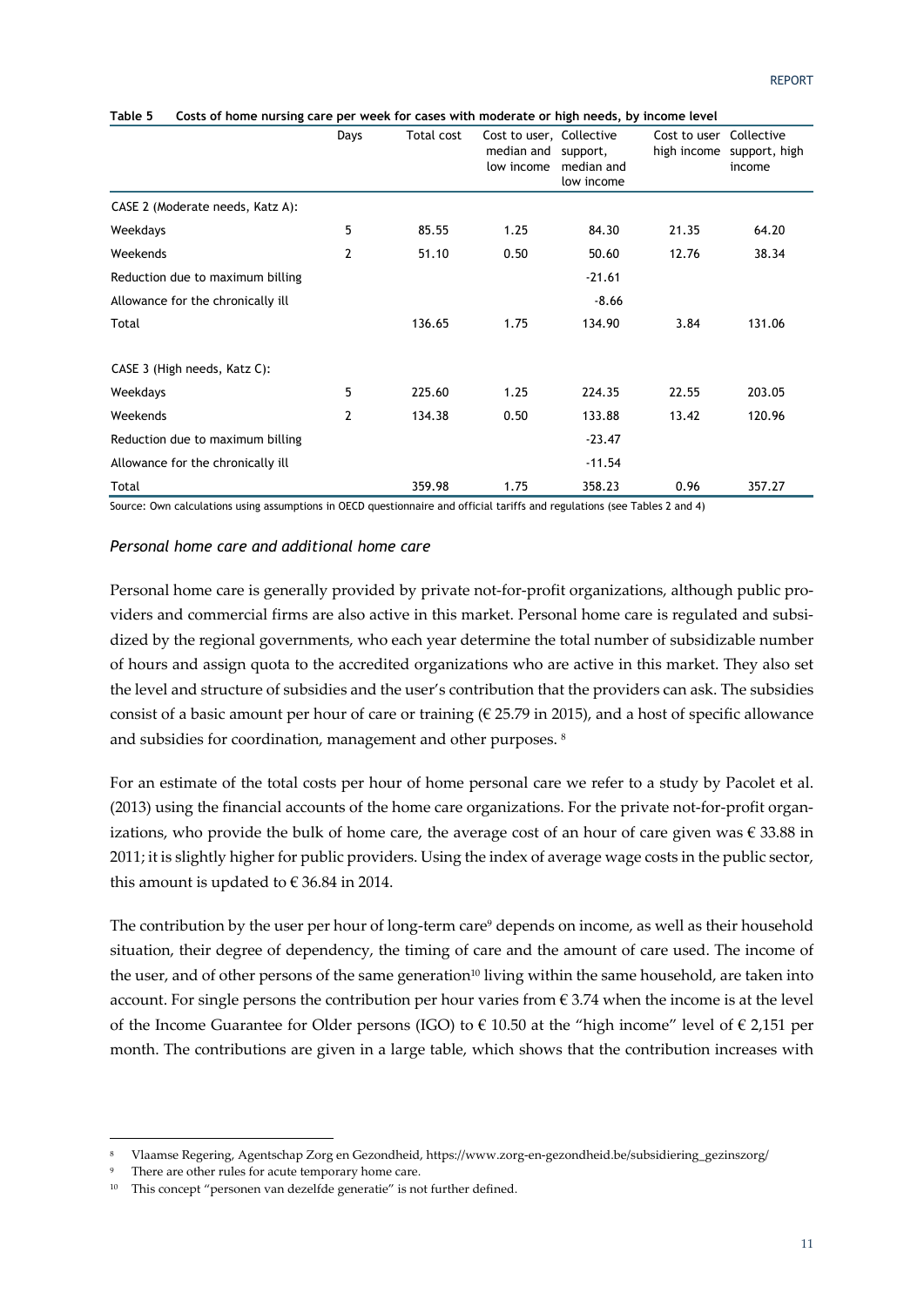|                                   | Days | Total cost | Cost to user, Collective<br>median and<br>low income | support,<br>median and<br>low income | Cost to user<br>high income | Collective<br>support, high<br>income |
|-----------------------------------|------|------------|------------------------------------------------------|--------------------------------------|-----------------------------|---------------------------------------|
| CASE 2 (Moderate needs, Katz A):  |      |            |                                                      |                                      |                             |                                       |
| Weekdays                          | 5    | 85.55      | 1.25                                                 | 84.30                                | 21.35                       | 64.20                                 |
| Weekends                          | 2    | 51.10      | 0.50                                                 | 50.60                                | 12.76                       | 38.34                                 |
| Reduction due to maximum billing  |      |            |                                                      | $-21.61$                             |                             |                                       |
| Allowance for the chronically ill |      |            |                                                      | $-8.66$                              |                             |                                       |
| Total                             |      | 136.65     | 1.75                                                 | 134.90                               | 3.84                        | 131.06                                |
| CASE 3 (High needs, Katz C):      |      |            |                                                      |                                      |                             |                                       |
| Weekdays                          | 5    | 225.60     | 1.25                                                 | 224.35                               | 22.55                       | 203.05                                |
| Weekends                          | 2    | 134.38     | 0.50                                                 | 133.88                               | 13.42                       | 120.96                                |
| Reduction due to maximum billing  |      |            |                                                      | $-23.47$                             |                             |                                       |
| Allowance for the chronically ill |      |            |                                                      | $-11.54$                             |                             |                                       |
| Total                             |      | 359.98     | 1.75                                                 | 358.23                               | 0.96                        | 357.27                                |

#### **Table 5 Costs of home nursing care per week for cases with moderate or high needs, by income level**

Source: Own calculations using assumptions in OECD questionnaire and official tariffs and regulations (see Tables 2 and 4)

### *Personal home care and additional home care*

Personal home care is generally provided by private not-for-profit organizations, although public providers and commercial firms are also active in this market. Personal home care is regulated and subsidized by the regional governments, who each year determine the total number of subsidizable number of hours and assign quota to the accredited organizations who are active in this market. They also set the level and structure of subsidies and the user's contribution that the providers can ask. The subsidies consist of a basic amount per hour of care or training ( $\epsilon$  25.79 in 2015), and a host of specific allowance and subsidies for coordination, management and other purposes. <sup>8</sup>

For an estimate of the total costs per hour of home personal care we refer to a study by Pacolet et al. (2013) using the financial accounts of the home care organizations. For the private not-for-profit organizations, who provide the bulk of home care, the average cost of an hour of care given was  $\epsilon$  33.88 in 2011; it is slightly higher for public providers. Using the index of average wage costs in the public sector, this amount is updated to  $\epsilon$  36.84 in 2014.

The contribution by the user per hour of long-term care<sup>9</sup> depends on income, as well as their household situation, their degree of dependency, the timing of care and the amount of care used. The income of the user, and of other persons of the same generation<sup>10</sup> living within the same household, are taken into account. For single persons the contribution per hour varies from  $\epsilon$  3.74 when the income is at the level of the Income Guarantee for Older persons (IGO) to  $\epsilon$  10.50 at the "high income" level of  $\epsilon$  2,151 per month. The contributions are given in a large table, which shows that the contribution increases with

<u> Andrew Maria (1989)</u>

<sup>8</sup> Vlaamse Regering, Agentschap Zorg en Gezondheid, https://www.zorg‐en‐gezondheid.be/subsidiering\_gezinszorg/

There are other rules for acute temporary home care.

<sup>&</sup>lt;sup>10</sup> This concept "personen van dezelfde generatie" is not further defined.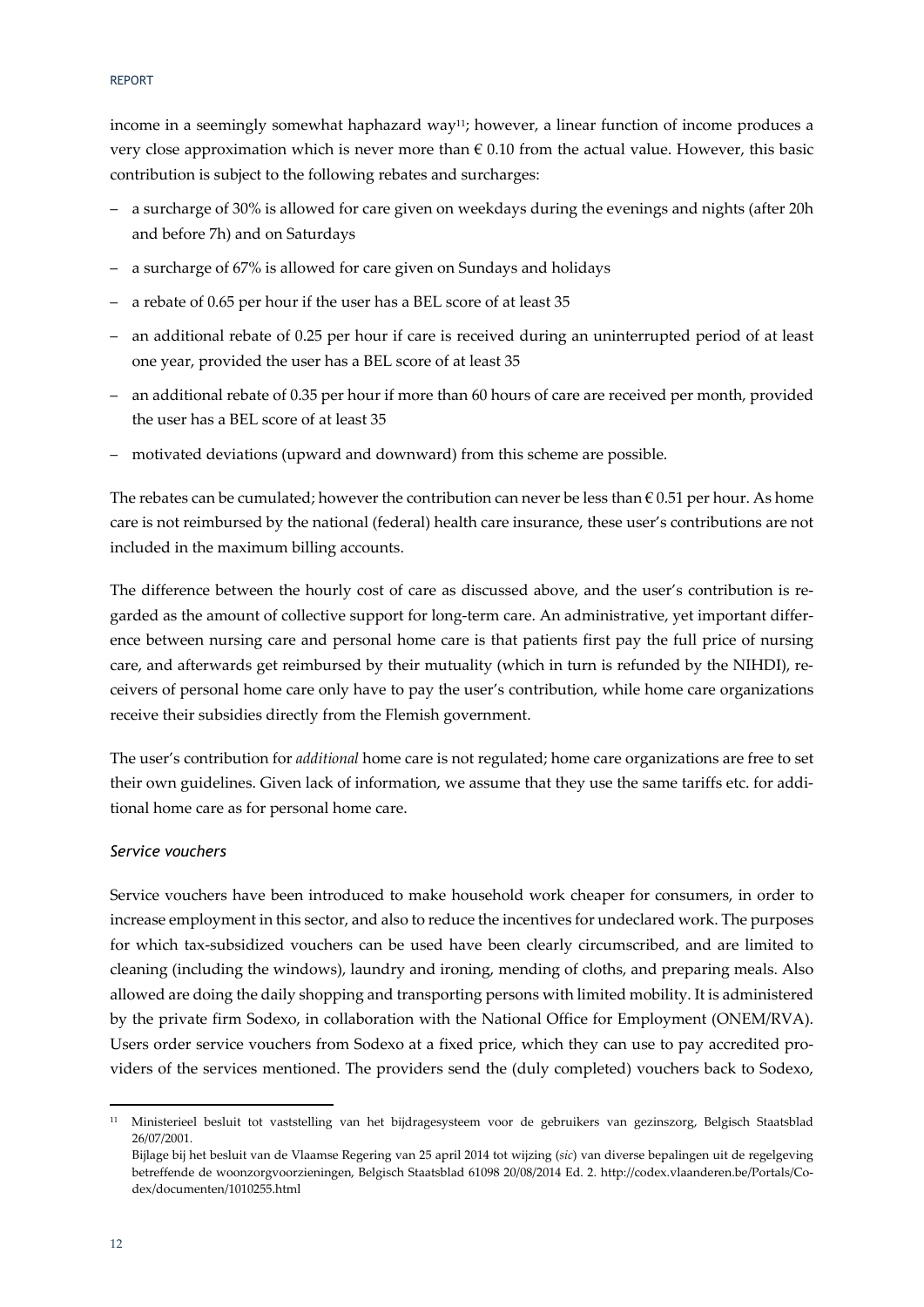income in a seemingly somewhat haphazard way<sup>11</sup>; however, a linear function of income produces a very close approximation which is never more than  $\epsilon$  0.10 from the actual value. However, this basic contribution is subject to the following rebates and surcharges:

- a surcharge of 30% is allowed for care given on weekdays during the evenings and nights (after 20h and before 7h) and on Saturdays
- a surcharge of 67% is allowed for care given on Sundays and holidays
- a rebate of 0.65 per hour if the user has a BEL score of at least 35
- an additional rebate of 0.25 per hour if care is received during an uninterrupted period of at least one year, provided the user has a BEL score of at least 35
- an additional rebate of 0.35 per hour if more than 60 hours of care are received per month, provided the user has a BEL score of at least 35
- motivated deviations (upward and downward) from this scheme are possible.

The rebates can be cumulated; however the contribution can never be less than  $\epsilon$  0.51 per hour. As home care is not reimbursed by the national (federal) health care insurance, these user's contributions are not included in the maximum billing accounts.

The difference between the hourly cost of care as discussed above, and the user's contribution is regarded as the amount of collective support for long-term care. An administrative, yet important difference between nursing care and personal home care is that patients first pay the full price of nursing care, and afterwards get reimbursed by their mutuality (which in turn is refunded by the NIHDI), receivers of personal home care only have to pay the user's contribution, while home care organizations receive their subsidies directly from the Flemish government.

The user's contribution for *additional* home care is not regulated; home care organizations are free to set their own guidelines. Given lack of information, we assume that they use the same tariffs etc. for additional home care as for personal home care.

### *Service vouchers*

<u> Andrew Maria (1989)</u>

Service vouchers have been introduced to make household work cheaper for consumers, in order to increase employment in this sector, and also to reduce the incentives for undeclared work. The purposes for which tax‐subsidized vouchers can be used have been clearly circumscribed, and are limited to cleaning (including the windows), laundry and ironing, mending of cloths, and preparing meals. Also allowed are doing the daily shopping and transporting persons with limited mobility. It is administered by the private firm Sodexo, in collaboration with the National Office for Employment (ONEM/RVA). Users order service vouchers from Sodexo at a fixed price, which they can use to pay accredited pro‐ viders of the services mentioned. The providers send the (duly completed) vouchers back to Sodexo,

<sup>11</sup> Ministerieel besluit tot vaststelling van het bijdragesysteem voor de gebruikers van gezinszorg, Belgisch Staatsblad 26/07/2001.

Bijlage bij het besluit van de Vlaamse Regering van 25 april 2014 tot wijzing (*sic*) van diverse bepalingen uit de regelgeving betreffende de woonzorgvoorzieningen, Belgisch Staatsblad 61098 20/08/2014 Ed. 2. http://codex.vlaanderen.be/Portals/Co‐ dex/documenten/1010255.html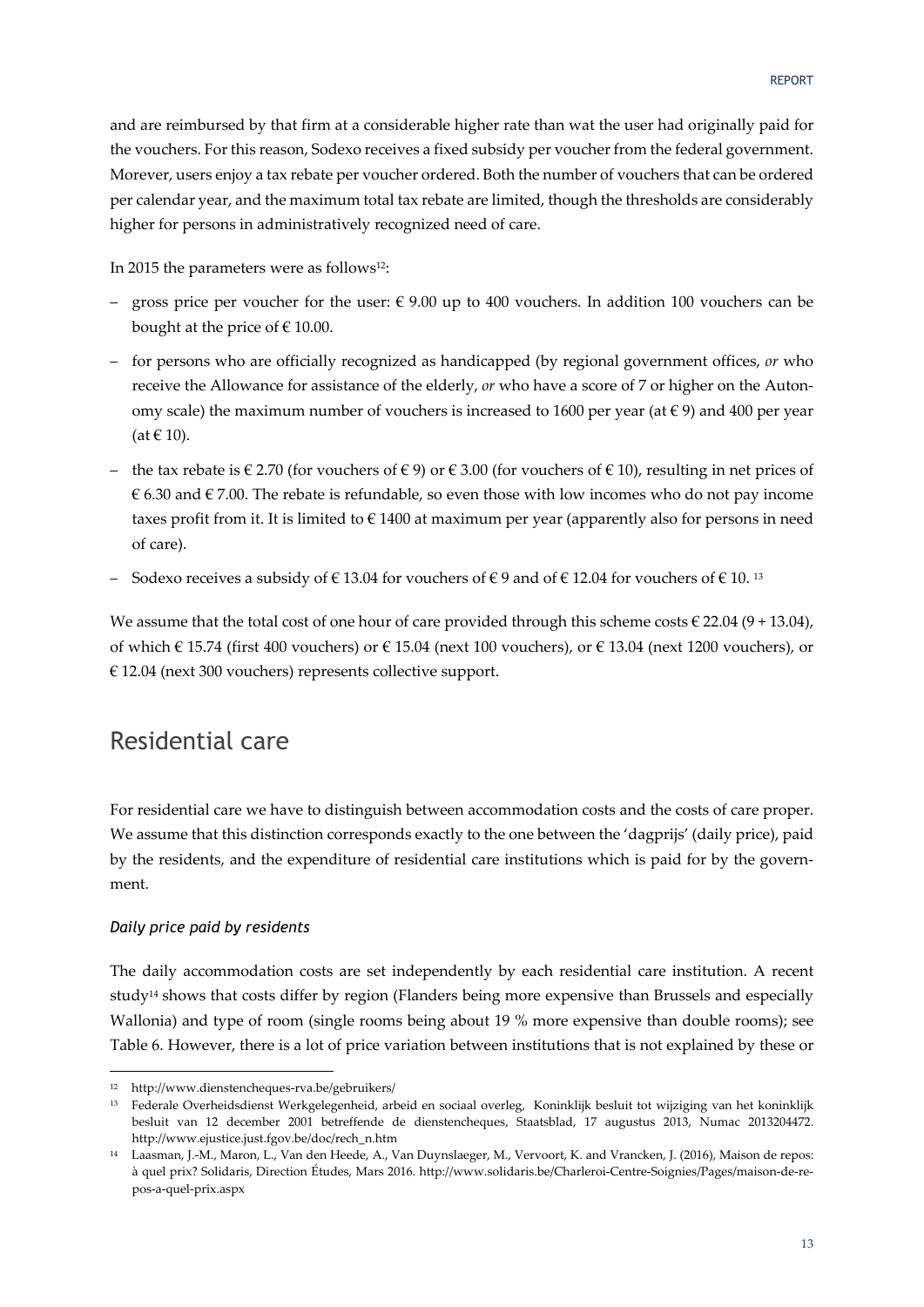and are reimbursed by that firm at a considerable higher rate than wat the user had originally paid for the vouchers. For this reason, Sodexo receives a fixed subsidy per voucher from the federal government. Morever, users enjoy a tax rebate per voucher ordered. Both the number of vouchers that can be ordered per calendar year, and the maximum total tax rebate are limited, though the thresholds are considerably higher for persons in administratively recognized need of care.

In 2015 the parameters were as follows<sup>12</sup>:

- gross price per voucher for the user:  $\epsilon$  9.00 up to 400 vouchers. In addition 100 vouchers can be bought at the price of  $\in$  10.00.
- for persons who are officially recognized as handicapped (by regional government offices, *or* who receive the Allowance for assistance of the elderly, *or* who have a score of 7 or higher on the Autonomy scale) the maximum number of vouchers is increased to 1600 per year (at  $\epsilon$  9) and 400 per year  $(at \in 10)$ .
- the tax rebate is € 2.70 (for vouchers of € 9) or € 3.00 (for vouchers of € 10), resulting in net prices of € 6.30 and  $€$  7.00. The rebate is refundable, so even those with low incomes who do not pay income taxes profit from it. It is limited to  $\epsilon$  1400 at maximum per year (apparently also for persons in need of care).
- Sodexo receives a subsidy of € 13.04 for vouchers of € 9 and of € 12.04 for vouchers of € 10. <sup>13</sup>

We assume that the total cost of one hour of care provided through this scheme costs  $\in$  22.04 (9 + 13.04), of which € 15.74 (first 400 vouchers) or € 15.04 (next 100 vouchers), or € 13.04 (next 1200 vouchers), or € 12.04 (next 300 vouchers) represents collective support.

### Residential care

For residential care we have to distinguish between accommodation costs and the costs of care proper. We assume that this distinction corresponds exactly to the one between the 'dagprijs' (daily price), paid by the residents, and the expenditure of residential care institutions which is paid for by the government.

### *Daily price paid by residents*

The daily accommodation costs are set independently by each residential care institution. A recent study14 shows that costs differ by region (Flanders being more expensive than Brussels and especially Wallonia) and type of room (single rooms being about 19 % more expensive than double rooms); see Table 6. However, there is a lot of price variation between institutions that is not explained by these or

<u> Andrew Maria (1989)</u>

<sup>12</sup> http://www.dienstencheques‐rva.be/gebruikers/

<sup>13</sup> Federale Overheidsdienst Werkgelegenheid, arbeid en sociaal overleg, Koninklijk besluit tot wijziging van het koninklijk besluit van 12 december 2001 betreffende de dienstencheques, Staatsblad, 17 augustus 2013, Numac 2013204472. http://www.ejustice.just.fgov.be/doc/rech\_n.htm

<sup>14</sup> Laasman, J.‐M., Maron, L., Van den Heede, A., Van Duynslaeger, M., Vervoort, K. and Vrancken, J. (2016), Maison de repos: à quel prix? Solidaris, Direction Études, Mars 2016. http://www.solidaris.be/Charleroi‐Centre‐Soignies/Pages/maison‐de‐re‐ pos‐a‐quel‐prix.aspx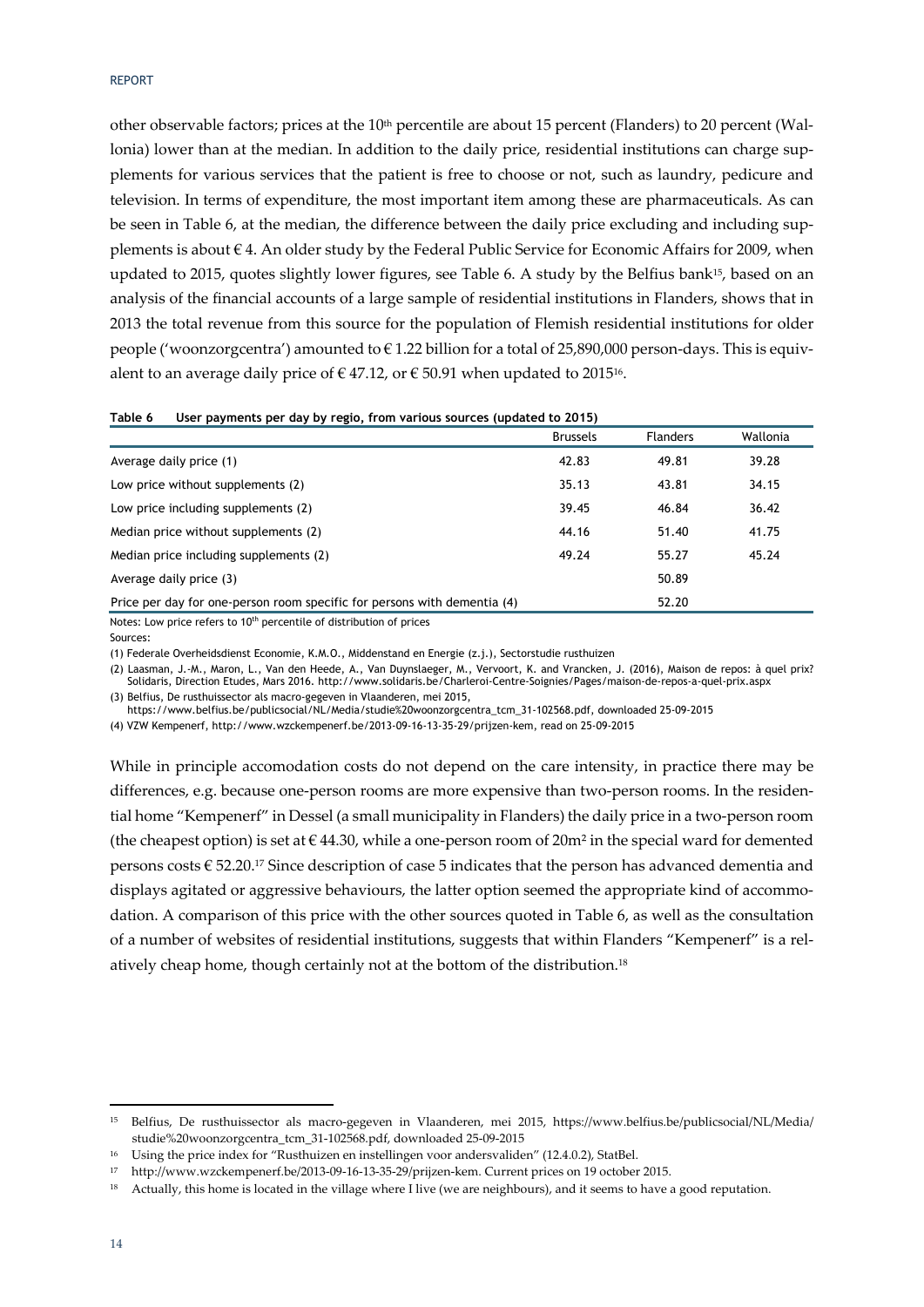other observable factors; prices at the  $10<sup>th</sup>$  percentile are about 15 percent (Flanders) to 20 percent (Wallonia) lower than at the median. In addition to the daily price, residential institutions can charge supplements for various services that the patient is free to choose or not, such as laundry, pedicure and television. In terms of expenditure, the most important item among these are pharmaceuticals. As can be seen in Table 6, at the median, the difference between the daily price excluding and including supplements is about € 4. An older study by the Federal Public Service for Economic Affairs for 2009, when updated to 2015, quotes slightly lower figures, see Table 6. A study by the Belfius bank<sup>15</sup>, based on an analysis of the financial accounts of a large sample of residential institutions in Flanders, shows that in 2013 the total revenue from this source for the population of Flemish residential institutions for older people ('woonzorgcentra') amounted to  $\epsilon$  1.22 billion for a total of 25,890,000 person-days. This is equivalent to an average daily price of  $\in$  47.12, or  $\in$  50.91 when updated to 2015<sup>16</sup>.

| Table 6 | User payments per day by regio, from various sources (updated to 2015) |
|---------|------------------------------------------------------------------------|
|---------|------------------------------------------------------------------------|

|                                                                                                                                | <b>Brussels</b> | <b>Flanders</b> | Wallonia |
|--------------------------------------------------------------------------------------------------------------------------------|-----------------|-----------------|----------|
| Average daily price (1)                                                                                                        | 42.83           | 49.81           | 39.28    |
| Low price without supplements (2)                                                                                              | 35.13           | 43.81           | 34.15    |
| Low price including supplements (2)                                                                                            | 39.45           | 46.84           | 36.42    |
| Median price without supplements (2)                                                                                           | 44.16           | 51.40           | 41.75    |
| Median price including supplements (2)                                                                                         | 49.24           | 55.27           | 45.24    |
| Average daily price (3)                                                                                                        |                 | 50.89           |          |
| Price per day for one-person room specific for persons with dementia (4)                                                       |                 | 52.20           |          |
| $\mathbf{v}$ , and $\mathbf{v}$ , and $\mathbf{v}$ , and $\mathbf{v}$ , and $\mathbf{v}$ , and $\mathbf{v}$ , and $\mathbf{v}$ |                 |                 |          |

Notes: Low price refers to 10<sup>th</sup> percentile of distribution of prices

Sources:

(1) Federale Overheidsdienst Economie, K.M.O., Middenstand en Energie (z.j.), Sectorstudie rusthuizen

(2) Laasman, J.-M., Maron, L., Van den Heede, A., Van Duynslaeger, M., Vervoort, K. and Vrancken, J. (2016), Maison de repos: à quel prix? Solidaris, Direction Etudes, Mars 2016. http://www.solidaris.be/Charleroi-Centre-Soignies/Pages/maison-de-repos-a-quel-prix.aspx

(3) Belfius, De rusthuissector als macro-gegeven in Vlaanderen, mei 2015, https://www.belfius.be/publicsocial/NL/Media/studie%20woonzorgcentra\_tcm\_31-102568.pdf, downloaded 25-09-2015

(4) VZW Kempenerf, http://www.wzckempenerf.be/2013-09-16-13-35-29/prijzen-kem, read on 25-09-2015

While in principle accomodation costs do not depend on the care intensity, in practice there may be differences, e.g. because one-person rooms are more expensive than two-person rooms. In the residential home "Kempenerf" in Dessel (a small municipality in Flanders) the daily price in a two-person room (the cheapest option) is set at  $\epsilon$  44.30, while a one-person room of 20m<sup>2</sup> in the special ward for demented persons costs € 52.20.17 Since description of case 5 indicates that the person has advanced dementia and displays agitated or aggressive behaviours, the latter option seemed the appropriate kind of accommodation. A comparison of this price with the other sources quoted in Table 6, as well as the consultation of a number of websites of residential institutions, suggests that within Flanders "Kempenerf" is a rel‐ atively cheap home, though certainly not at the bottom of the distribution.18

<u> Andrew Maria (1989)</u>

<sup>15</sup> Belfius, De rusthuissector als macro‐gegeven in Vlaanderen, mei 2015, https://www.belfius.be/publicsocial/NL/Media/ studie%20woonzorgcentra\_tcm\_31‐102568.pdf, downloaded 25‐09‐2015

<sup>&</sup>lt;sup>16</sup> Using the price index for "Rusthuizen en instellingen voor andersvaliden" (12.4.0.2), StatBel.

<sup>17</sup> http://www.wzckempenerf.be/2013‐09‐16‐13‐35‐29/prijzen‐kem. Current prices on 19 october 2015.

<sup>&</sup>lt;sup>18</sup> Actually, this home is located in the village where I live (we are neighbours), and it seems to have a good reputation.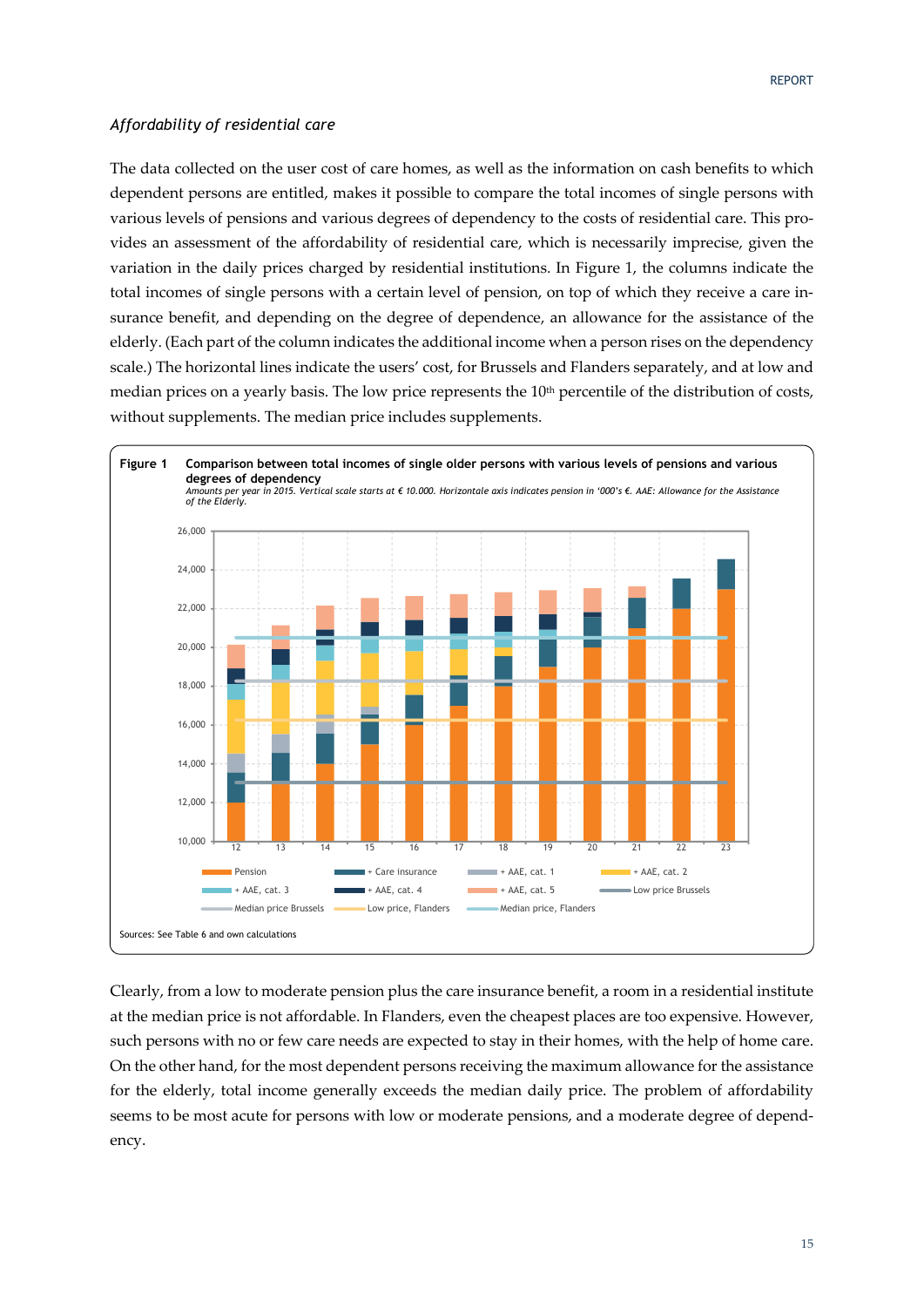### *Affordability of residential care*

The data collected on the user cost of care homes, as well as the information on cash benefits to which dependent persons are entitled, makes it possible to compare the total incomes of single persons with various levels of pensions and various degrees of dependency to the costs of residential care. This provides an assessment of the affordability of residential care, which is necessarily imprecise, given the variation in the daily prices charged by residential institutions. In Figure 1, the columns indicate the total incomes of single persons with a certain level of pension, on top of which they receive a care in‐ surance benefit, and depending on the degree of dependence, an allowance for the assistance of the elderly. (Each part of the column indicates the additional income when a person rises on the dependency scale.) The horizontal lines indicate the users' cost, for Brussels and Flanders separately, and at low and median prices on a yearly basis. The low price represents the 10<sup>th</sup> percentile of the distribution of costs, without supplements. The median price includes supplements.



Clearly, from a low to moderate pension plus the care insurance benefit, a room in a residential institute at the median price is not affordable. In Flanders, even the cheapest places are too expensive. However, such persons with no or few care needs are expected to stay in their homes, with the help of home care. On the other hand, for the most dependent persons receiving the maximum allowance for the assistance for the elderly, total income generally exceeds the median daily price. The problem of affordability seems to be most acute for persons with low or moderate pensions, and a moderate degree of dependency.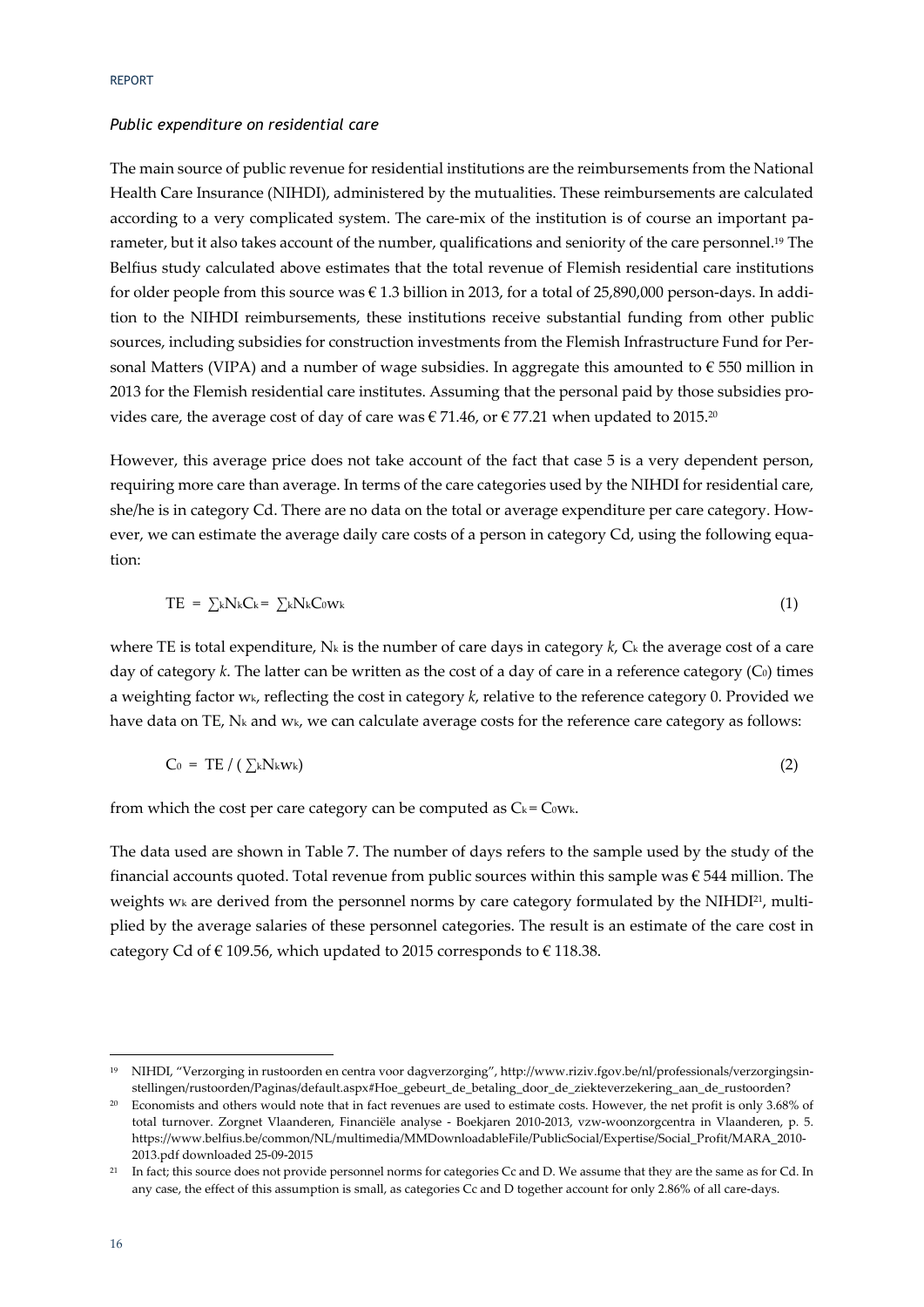#### *Public expenditure on residential care*

The main source of public revenue for residential institutions are the reimbursements from the National Health Care Insurance (NIHDI), administered by the mutualities. These reimbursements are calculated according to a very complicated system. The care-mix of the institution is of course an important parameter, but it also takes account of the number, qualifications and seniority of the care personnel.19 The Belfius study calculated above estimates that the total revenue of Flemish residential care institutions for older people from this source was  $\epsilon$  1.3 billion in 2013, for a total of 25,890,000 person-days. In addition to the NIHDI reimbursements, these institutions receive substantial funding from other public sources, including subsidies for construction investments from the Flemish Infrastructure Fund for Personal Matters (VIPA) and a number of wage subsidies. In aggregate this amounted to  $\epsilon$  550 million in 2013 for the Flemish residential care institutes. Assuming that the personal paid by those subsidies pro‐ vides care, the average cost of day of care was  $\epsilon$  71.46, or  $\epsilon$  77.21 when updated to 2015.<sup>20</sup>

However, this average price does not take account of the fact that case 5 is a very dependent person, requiring more care than average. In terms of the care categories used by the NIHDI for residential care, she/he is in category Cd. There are no data on the total or average expenditure per care category. However, we can estimate the average daily care costs of a person in category Cd, using the following equation:

$$
TE = \sum k N_k C_k = \sum k N_k C_0 w_k \tag{1}
$$

where TE is total expenditure,  $N_k$  is the number of care days in category  $k$ ,  $C_k$  the average cost of a care day of category  $k$ . The latter can be written as the cost of a day of care in a reference category  $(C_0)$  times a weighting factor wk, reflecting the cost in category *k*, relative to the reference category 0. Provided we have data on TE, N<sub>k</sub> and w<sub>k</sub>, we can calculate average costs for the reference care category as follows:

$$
C_0 = TE / (\sum_k N_k w_k)
$$
 (2)

from which the cost per care category can be computed as  $C_k = C_0 w_k$ .

The data used are shown in Table 7. The number of days refers to the sample used by the study of the financial accounts quoted. Total revenue from public sources within this sample was  $\epsilon$  544 million. The weights w<sub>k</sub> are derived from the personnel norms by care category formulated by the NIHDI<sup>21</sup>, multiplied by the average salaries of these personnel categories. The result is an estimate of the care cost in category Cd of  $\in$  109.56, which updated to 2015 corresponds to  $\in$  118.38.

<sup>&</sup>lt;sup>19</sup> NIHDI, "Verzorging in rustoorden en centra voor dagverzorging", http://www.riziv.fgov.be/nl/professionals/verzorgingsinstellingen/rustoorden/Paginas/default.aspx#Hoe\_gebeurt\_de\_betaling\_door\_de\_ziekteverzekering\_aan\_de\_rustoorden?

<sup>&</sup>lt;sup>20</sup> Economists and others would note that in fact revenues are used to estimate costs. However, the net profit is only 3.68% of total turnover. Zorgnet Vlaanderen, Financiële analyse - Boekjaren 2010-2013, vzw-woonzorgcentra in Vlaanderen, p. 5. https://www.belfius.be/common/NL/multimedia/MMDownloadableFile/PublicSocial/Expertise/Social\_Profit/MARA\_2010‐ 2013.pdf downloaded 25‐09‐2015

<sup>&</sup>lt;sup>21</sup> In fact; this source does not provide personnel norms for categories Cc and D. We assume that they are the same as for Cd. In any case, the effect of this assumption is small, as categories Cc and D together account for only 2.86% of all care-days.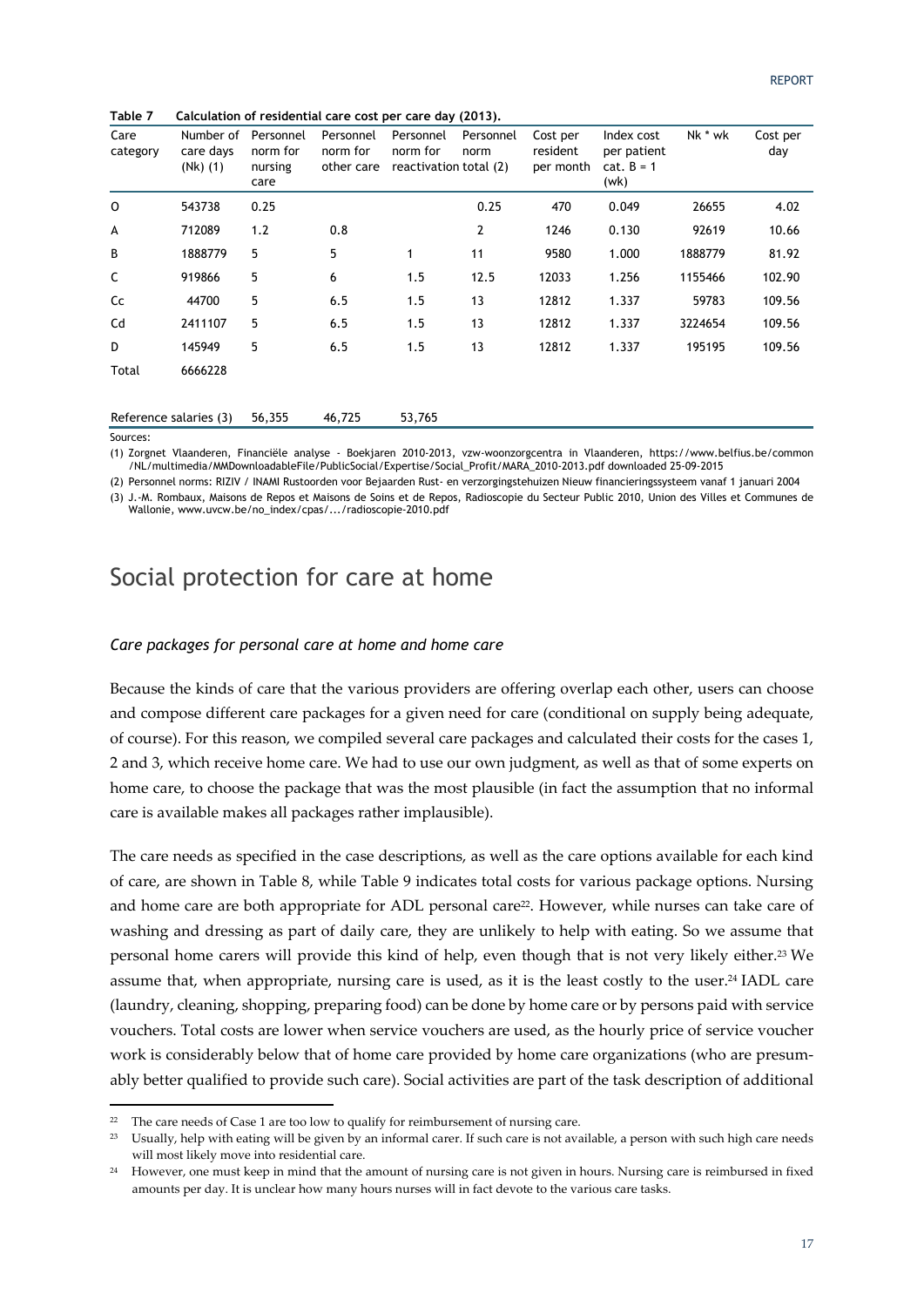|  |  | Table 7 Calculation of residential care cost per care day (2013). |
|--|--|-------------------------------------------------------------------|
|  |  |                                                                   |

| Care<br>category       | Number of<br>care days<br>$(Nk)$ $(1)$ | Personnel<br>norm for<br>nursing<br>care | Personnel<br>norm for<br>other care | Personnel<br>norm for<br>reactivation total (2) | Personnel<br>norm | Cost per<br>resident<br>per month | Index cost<br>per patient<br>$cat. B = 1$<br>(wk) | Nk * wk | Cost per<br>day |
|------------------------|----------------------------------------|------------------------------------------|-------------------------------------|-------------------------------------------------|-------------------|-----------------------------------|---------------------------------------------------|---------|-----------------|
| $\circ$                | 543738                                 | 0.25                                     |                                     |                                                 | 0.25              | 470                               | 0.049                                             | 26655   | 4.02            |
| А                      | 712089                                 | 1.2                                      | 0.8                                 |                                                 | 2                 | 1246                              | 0.130                                             | 92619   | 10.66           |
| B                      | 1888779                                | 5                                        | 5                                   | $\mathbf{1}$                                    | 11                | 9580                              | 1.000                                             | 1888779 | 81.92           |
| C                      | 919866                                 | 5                                        | 6                                   | 1.5                                             | 12.5              | 12033                             | 1.256                                             | 1155466 | 102.90          |
| Cc                     | 44700                                  | 5                                        | 6.5                                 | 1.5                                             | 13                | 12812                             | 1.337                                             | 59783   | 109.56          |
| Cd                     | 2411107                                | 5                                        | 6.5                                 | 1.5                                             | 13                | 12812                             | 1.337                                             | 3224654 | 109.56          |
| D                      | 145949                                 | 5                                        | 6.5                                 | 1.5                                             | 13                | 12812                             | 1.337                                             | 195195  | 109.56          |
| Total                  | 6666228                                |                                          |                                     |                                                 |                   |                                   |                                                   |         |                 |
| Reference salaries (3) |                                        | 56,355                                   | 46,725                              | 53,765                                          |                   |                                   |                                                   |         |                 |

Sources:

(1) Zorgnet Vlaanderen, Financiële analyse - Boekjaren 2010-2013, vzw-woonzorgcentra in Vlaanderen, https://www.belfius.be/common /NL/multimedia/MMDownloadableFile/PublicSocial/Expertise/Social\_Profit/MARA\_2010-2013.pdf downloaded 25-09-2015

(2) Personnel norms: RIZIV / INAMI Rustoorden voor Bejaarden Rust- en verzorgingstehuizen Nieuw financieringssysteem vanaf 1 januari 2004 (3) J.-M. Rombaux, Maisons de Repos et Maisons de Soins et de Repos, Radioscopie du Secteur Public 2010, Union des Villes et Communes de Wallonie, www.uvcw.be/no\_index/cpas/.../radioscopie-2010.pdf

### Social protection for care at home

#### *Care packages for personal care at home and home care*

Because the kinds of care that the various providers are offering overlap each other, users can choose and compose different care packages for a given need for care (conditional on supply being adequate, of course). For this reason, we compiled several care packages and calculated their costs for the cases 1, 2 and 3, which receive home care. We had to use our own judgment, as well as that of some experts on home care, to choose the package that was the most plausible (in fact the assumption that no informal care is available makes all packages rather implausible).

The care needs as specified in the case descriptions, as well as the care options available for each kind of care, are shown in Table 8, while Table 9 indicates total costs for various package options. Nursing and home care are both appropriate for ADL personal care<sup>22</sup>. However, while nurses can take care of washing and dressing as part of daily care, they are unlikely to help with eating. So we assume that personal home carers will provide this kind of help, even though that is not very likely either.23 We assume that, when appropriate, nursing care is used, as it is the least costly to the user.24 IADL care (laundry, cleaning, shopping, preparing food) can be done by home care or by persons paid with service vouchers. Total costs are lower when service vouchers are used, as the hourly price of service voucher work is considerably below that of home care provided by home care organizations (who are presumably better qualified to provide such care). Social activities are part of the task description of additional

<u> Andrew Maria (1989)</u>

The care needs of Case 1 are too low to qualify for reimbursement of nursing care.

<sup>23</sup> Usually, help with eating will be given by an informal carer. If such care is not available, a person with such high care needs will most likely move into residential care.

<sup>&</sup>lt;sup>24</sup> However, one must keep in mind that the amount of nursing care is not given in hours. Nursing care is reimbursed in fixed amounts per day. It is unclear how many hours nurses will in fact devote to the various care tasks.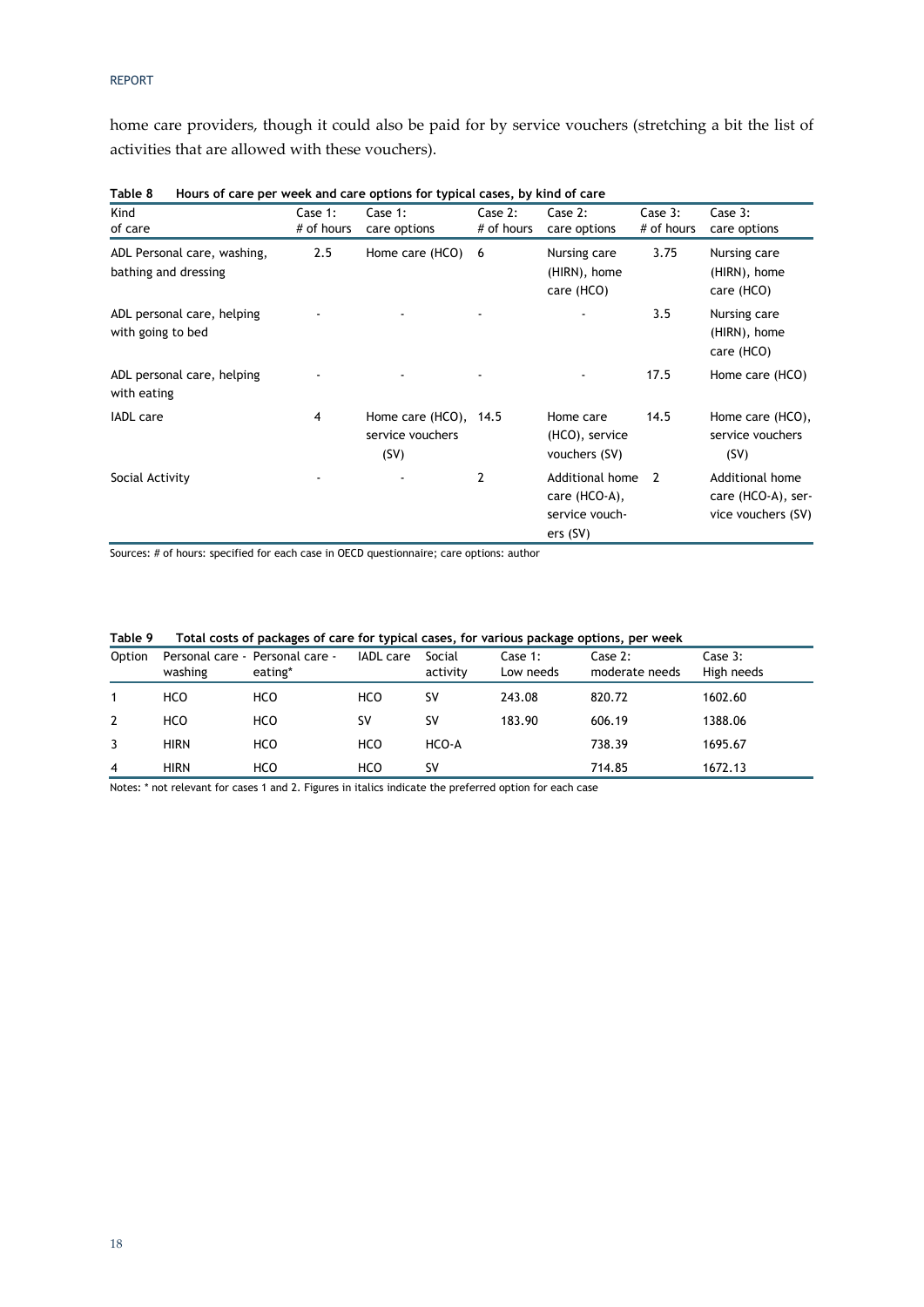home care providers, though it could also be paid for by service vouchers (stretching a bit the list of activities that are allowed with these vouchers).

| Kind<br>of care                                     | Case $1$ :<br># of hours | Case $1$ :<br>care options                           | Case 2:<br># of hours | Case 2:<br>care options                                        | Case 3:<br># of hours | Case 3:<br>care options                                     |
|-----------------------------------------------------|--------------------------|------------------------------------------------------|-----------------------|----------------------------------------------------------------|-----------------------|-------------------------------------------------------------|
| ADL Personal care, washing,<br>bathing and dressing | 2.5                      | Home care (HCO)                                      | -6                    | Nursing care<br>(HIRN), home<br>care (HCO)                     | 3.75                  | Nursing care<br>(HIRN), home<br>care (HCO)                  |
| ADL personal care, helping<br>with going to bed     |                          |                                                      |                       |                                                                | 3.5                   | Nursing care<br>(HIRN), home<br>care (HCO)                  |
| ADL personal care, helping<br>with eating           |                          |                                                      |                       |                                                                | 17.5                  | Home care (HCO)                                             |
| <b>IADL</b> care                                    | 4                        | Home care $(HCO)$ , 14.5<br>service vouchers<br>(SV) |                       | Home care<br>(HCO), service<br>vouchers (SV)                   | 14.5                  | Home care (HCO),<br>service vouchers<br>(SV)                |
| Social Activity                                     |                          |                                                      | 2                     | Additional home<br>care (HCO-A),<br>service vouch-<br>ers (SV) | $\overline{2}$        | Additional home<br>care (HCO-A), ser-<br>vice vouchers (SV) |

| Table 8 | Hours of care per week and care options for typical cases, by kind of care |  |  |
|---------|----------------------------------------------------------------------------|--|--|
|         |                                                                            |  |  |

Sources: # of hours: specified for each case in OECD questionnaire; care options: author

| Table 9 |  |  | Total costs of packages of care for typical cases, for various package options, per week |
|---------|--|--|------------------------------------------------------------------------------------------|
|---------|--|--|------------------------------------------------------------------------------------------|

| Option | washing     | Personal care - Personal care -<br>eating* | <b>IADL</b> care | Social<br>activity | Case $1$ :<br>Low needs | Case 2:<br>moderate needs | Case 3:<br>High needs |
|--------|-------------|--------------------------------------------|------------------|--------------------|-------------------------|---------------------------|-----------------------|
|        | HCO         | HCO                                        | HCO              | SV                 | 243.08                  | 820.72                    | 1602.60               |
| 2      | HCO         | HCO                                        | SV               | <b>SV</b>          | 183.90                  | 606.19                    | 1388.06               |
|        | <b>HIRN</b> | HCO                                        | HCO              | HCO-A              |                         | 738.39                    | 1695.67               |
| 4      | <b>HIRN</b> | HCO                                        | HCO              | sv                 |                         | 714.85                    | 1672.13               |

Notes: \* not relevant for cases 1 and 2. Figures in italics indicate the preferred option for each case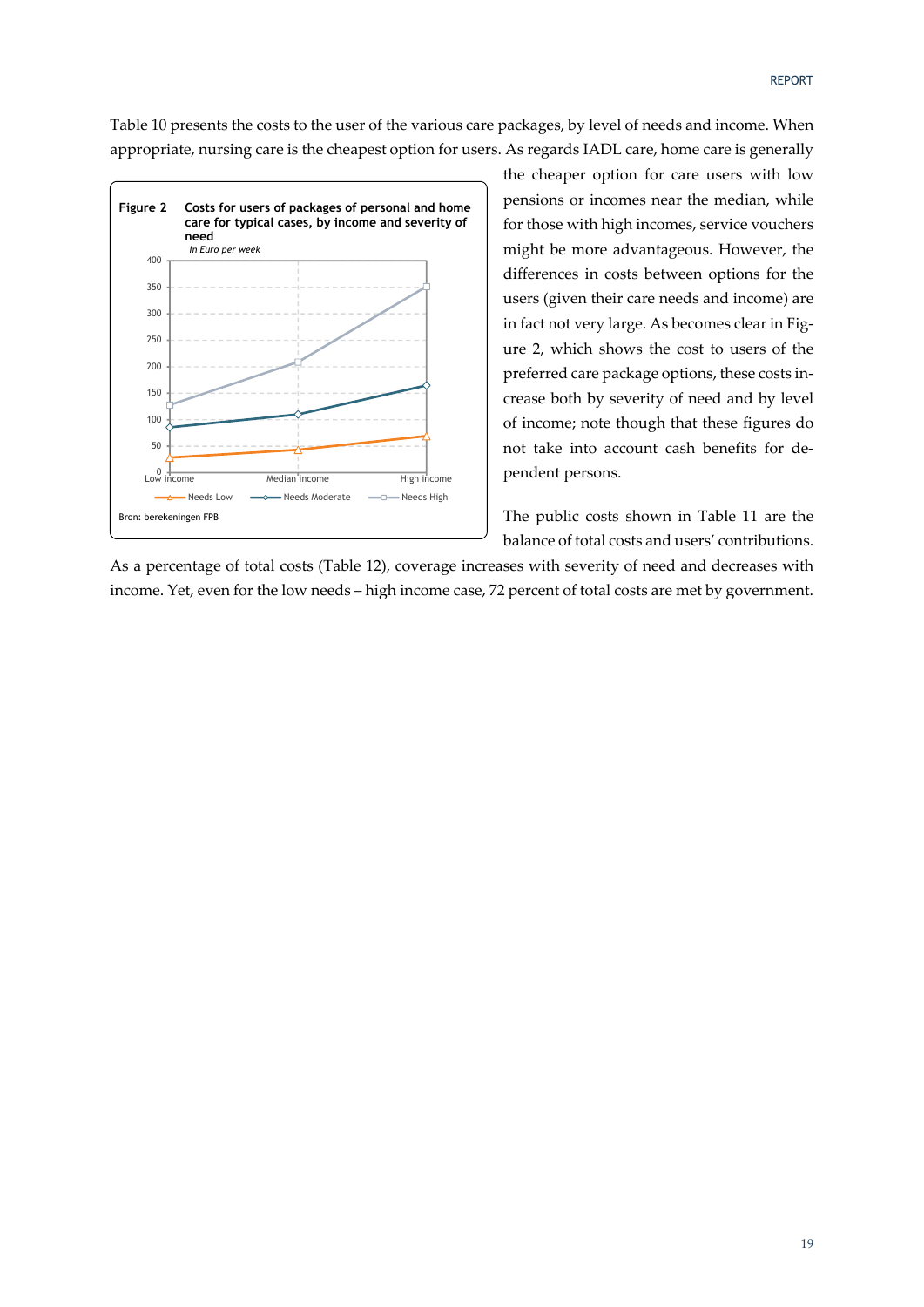Table 10 presents the costs to the user of the various care packages, by level of needs and income. When appropriate, nursing care is the cheapest option for users. As regards IADL care, home care is generally



the cheaper option for care users with low pensions or incomes near the median, while for those with high incomes, service vouchers might be more advantageous. However, the differences in costs between options for the users (given their care needs and income) are in fact not very large. As becomes clear in Figure 2, which shows the cost to users of the preferred care package options, these costs in‐ crease both by severity of need and by level of income; note though that these figures do not take into account cash benefits for de‐ pendent persons.

The public costs shown in Table 11 are the balance of total costs and users' contributions.

As a percentage of total costs (Table 12), coverage increases with severity of need and decreases with income. Yet, even for the low needs – high income case, 72 percent of total costs are met by government.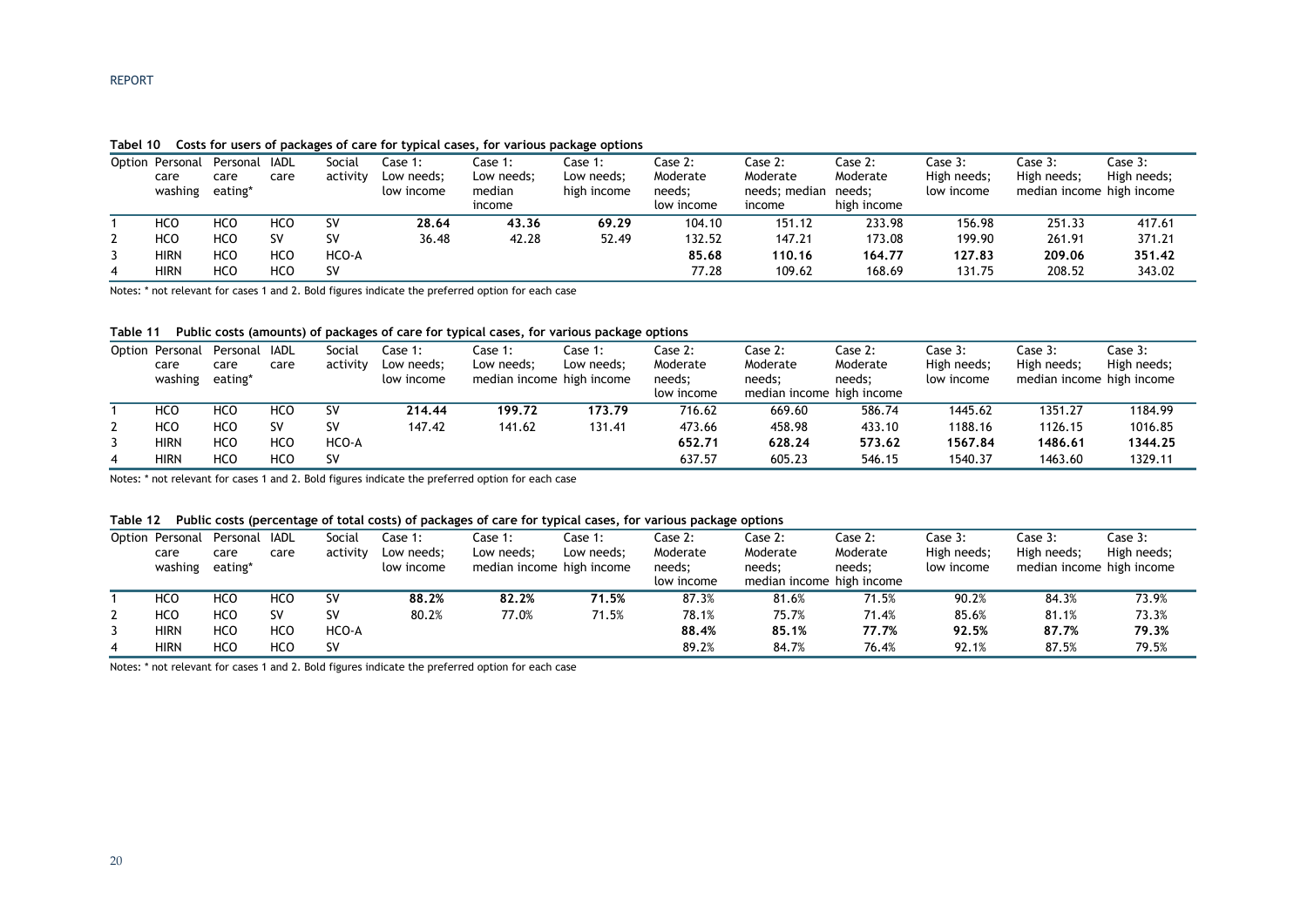#### **Tabel 10 Costs for users of packages of care for typical cases, for various package options**

|          | Option Personal<br>care<br>washing | Personal<br>care<br>eating* | IADL<br>care | Social<br>activity | .<br>Case 1:<br>Low needs;<br>low income | Case 1:<br>Low needs:<br>median<br>income | -<br>Case 1:<br>Low needs:<br>high income | Case 2:<br>Moderate<br>needs;<br>low income | Case 2:<br>Moderate<br>needs: median needs:<br>income | Case 2:<br>Moderate<br>high income | Case 3:<br>High needs;<br>low income | Case 3:<br>High needs;<br>median income high income | Case 3:<br>High needs; |
|----------|------------------------------------|-----------------------------|--------------|--------------------|------------------------------------------|-------------------------------------------|-------------------------------------------|---------------------------------------------|-------------------------------------------------------|------------------------------------|--------------------------------------|-----------------------------------------------------|------------------------|
|          | HCO                                | HCO                         | HCO          | SV                 | 28.64                                    | 43.36                                     | 69.29                                     | 104.10                                      | 151.12                                                | 233.98                             | 156.98                               | 251.33                                              | 417.61                 |
| <u>.</u> | <b>HCO</b>                         | <b>HCO</b>                  | S٧           | sv                 | 36.48                                    | 42.28                                     | 52.49                                     | 132.52                                      | 147.21                                                | 173.08                             | 199.90                               | 261.91                                              | 371.21                 |
|          | <b>HIRN</b>                        | <b>HCO</b>                  | HCO          | HCO-A              |                                          |                                           |                                           | 85.68                                       | 110.16                                                | 164.77                             | 127.83                               | 209.06                                              | 351.42                 |
| 4        | <b>HIRN</b>                        | HCO                         | HCO          | sv                 |                                          |                                           |                                           | 77.28                                       | 109.62                                                | 168.69                             | 131.75                               | 208.52                                              | 343.02                 |

Notes: \* not relevant for cases 1 and 2. Bold figures indicate the preferred option for each case

#### **Table 11 Public costs (amounts) of packages of care for typical cases, for various package options**

|   | Option Personal<br>care<br>washing | Personal IADL<br>care<br>eating* | care       | Social<br>activity | Case 1:<br>Low needs;<br>low income | Case 1:<br>Low needs:<br>median income high income | Case 1:<br>Low needs; | Case 2:<br>Moderate<br>needs;<br>low income | Case 2:<br>Moderate<br>needs; | Case 2:<br>Moderate<br>needs;<br>median income high income | Case 3:<br>High needs;<br>low income | Case 3:<br>High needs;<br>median income high income | Case $3:$<br>High needs; |
|---|------------------------------------|----------------------------------|------------|--------------------|-------------------------------------|----------------------------------------------------|-----------------------|---------------------------------------------|-------------------------------|------------------------------------------------------------|--------------------------------------|-----------------------------------------------------|--------------------------|
|   | HCO                                | HCO                              | HCO        | sv                 | 214.44                              | 199.72                                             | 173.79                | 716.62                                      | 669.60                        | 586.74                                                     | 1445.62                              | 1351.27                                             | 1184.99                  |
|   | <b>HCO</b>                         | <b>HCO</b>                       | <b>SV</b>  | sv                 | 147.42                              | 141.62                                             | 131.41                | 473.66                                      | 458.98                        | 433.10                                                     | 1188.16                              | 1126.15                                             | 1016.85                  |
|   | <b>HIRN</b>                        | <b>HCO</b>                       | HCO        | HCO-A              |                                     |                                                    |                       | 652.71                                      | 628.24                        | 573.62                                                     | 1567.84                              | 1486.61                                             | 1344.25                  |
| 4 | <b>HIRN</b>                        | <b>HCO</b>                       | <b>HCO</b> | sv                 |                                     |                                                    |                       | 637.57                                      | 605.23                        | 546.15                                                     | 1540.37                              | 1463.60                                             | 1329.11                  |

Notes: \* not relevant for cases 1 and 2. Bold figures indicate the preferred option for each case

#### **Table 12 Public costs (percentage of total costs) of packages of care for typical cases, for various package options**

|   | Option Personal<br>care<br>washing | Personal IADL<br>care<br>eating* | care       | Social<br>activity | Case $1$ :<br>Low needs;<br>low income | Case 1:<br>Low needs:<br>median income high income | Case 1:<br>Low needs: | Case 2:<br>Moderate<br>needs;<br>low income | Case 2:<br>Moderate<br>needs; | Case 2:<br>Moderate<br>needs;<br>median income high income | Case 3:<br>High needs;<br>low income | Case 3:<br>High needs;<br>median income high income | Case 3:<br>High needs; |
|---|------------------------------------|----------------------------------|------------|--------------------|----------------------------------------|----------------------------------------------------|-----------------------|---------------------------------------------|-------------------------------|------------------------------------------------------------|--------------------------------------|-----------------------------------------------------|------------------------|
|   | HCO                                | HCO                              | HCO        | <b>SV</b>          | 88.2%                                  | 82.2%                                              | 71.5%                 | 87.3%                                       | 81.6%                         | 71.5%                                                      | 90.2%                                | 84.3%                                               | 73.9%                  |
|   | <b>HCO</b>                         | <b>HCO</b>                       | SV         | sv                 | 80.2%                                  | 77.0%                                              | 71.5%                 | 78.1%                                       | 75.7%                         | 71.4%                                                      | 85.6%                                | 81.1%                                               | 73.3%                  |
|   | <b>HIRN</b>                        | HCO                              | <b>HCO</b> | HCO-A              |                                        |                                                    |                       | 88.4%                                       | 85.1%                         | 77.7%                                                      | 92.5%                                | 87.7%                                               | 79.3%                  |
| 4 | <b>HIRN</b>                        | HCO                              | <b>HCO</b> | <b>SV</b>          |                                        |                                                    |                       | 89.2%                                       | 84.7%                         | 76.4%                                                      | 92.1%                                | 87.5%                                               | 79.5%                  |

Notes: \* not relevant for cases 1 and 2. Bold figures indicate the preferred option for each case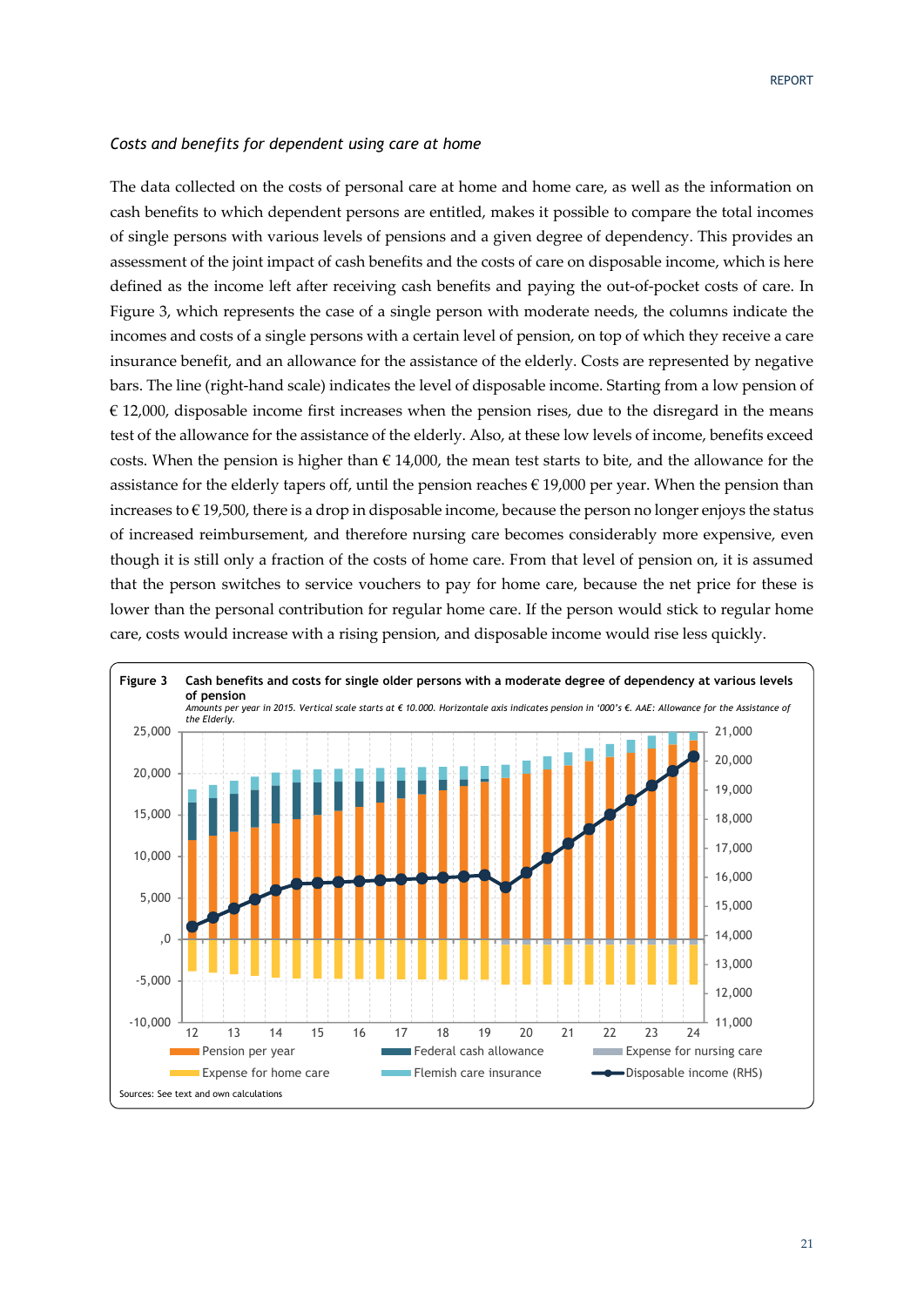### *Costs and benefits for dependent using care at home*

The data collected on the costs of personal care at home and home care, as well as the information on cash benefits to which dependent persons are entitled, makes it possible to compare the total incomes of single persons with various levels of pensions and a given degree of dependency. This provides an assessment of the joint impact of cash benefits and the costs of care on disposable income, which is here defined as the income left after receiving cash benefits and paying the out‐of‐pocket costs of care. In Figure 3, which represents the case of a single person with moderate needs, the columns indicate the incomes and costs of a single persons with a certain level of pension, on top of which they receive a care insurance benefit, and an allowance for the assistance of the elderly. Costs are represented by negative bars. The line (right‐hand scale) indicates the level of disposable income. Starting from a low pension of  $\epsilon$  12,000, disposable income first increases when the pension rises, due to the disregard in the means test of the allowance for the assistance of the elderly. Also, at these low levels of income, benefits exceed costs. When the pension is higher than  $\epsilon$  14,000, the mean test starts to bite, and the allowance for the assistance for the elderly tapers off, until the pension reaches  $\epsilon$  19,000 per year. When the pension than increases to  $\in$  19,500, there is a drop in disposable income, because the person no longer enjoys the status of increased reimbursement, and therefore nursing care becomes considerably more expensive, even though it is still only a fraction of the costs of home care. From that level of pension on, it is assumed that the person switches to service vouchers to pay for home care, because the net price for these is lower than the personal contribution for regular home care. If the person would stick to regular home care, costs would increase with a rising pension, and disposable income would rise less quickly.

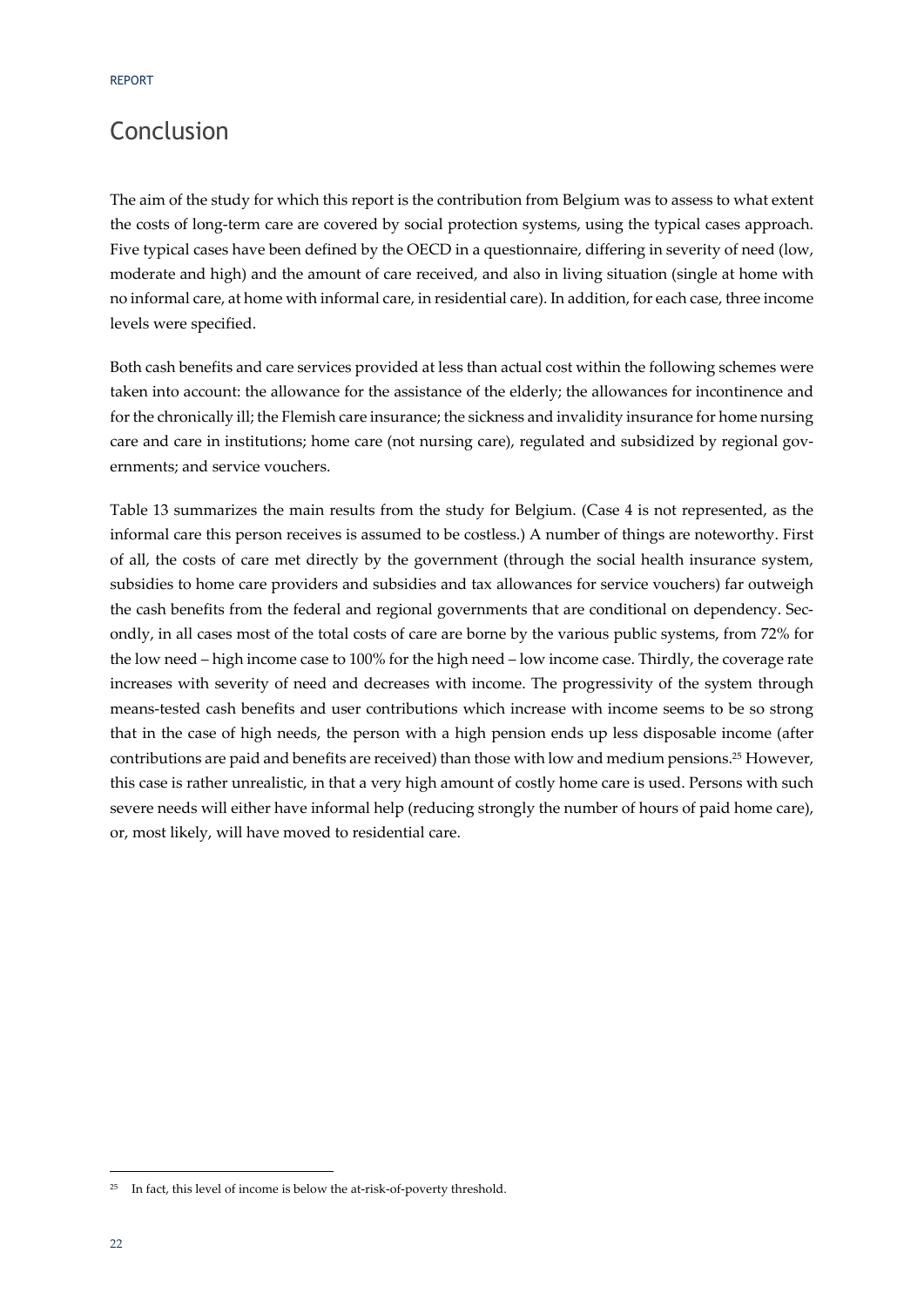### Conclusion

The aim of the study for which this report is the contribution from Belgium was to assess to what extent the costs of long-term care are covered by social protection systems, using the typical cases approach. Five typical cases have been defined by the OECD in a questionnaire, differing in severity of need (low, moderate and high) and the amount of care received, and also in living situation (single at home with no informal care, at home with informal care, in residential care). In addition, for each case, three income levels were specified.

Both cash benefits and care services provided at less than actual cost within the following schemes were taken into account: the allowance for the assistance of the elderly; the allowances for incontinence and for the chronically ill; the Flemish care insurance; the sickness and invalidity insurance for home nursing care and care in institutions; home care (not nursing care), regulated and subsidized by regional governments; and service vouchers.

Table 13 summarizes the main results from the study for Belgium. (Case 4 is not represented, as the informal care this person receives is assumed to be costless.) A number of things are noteworthy. First of all, the costs of care met directly by the government (through the social health insurance system, subsidies to home care providers and subsidies and tax allowances for service vouchers) far outweigh the cash benefits from the federal and regional governments that are conditional on dependency. Secondly, in all cases most of the total costs of care are borne by the various public systems, from 72% for the low need – high income case to 100% for the high need – low income case. Thirdly, the coverage rate increases with severity of need and decreases with income. The progressivity of the system through means‐tested cash benefits and user contributions which increase with income seems to be so strong that in the case of high needs, the person with a high pension ends up less disposable income (after contributions are paid and benefits are received) than those with low and medium pensions.25 However, this case is rather unrealistic, in that a very high amount of costly home care is used. Persons with such severe needs will either have informal help (reducing strongly the number of hours of paid home care), or, most likely, will have moved to residential care.

<u> Andrew Maria (1989)</u>

<sup>&</sup>lt;sup>25</sup> In fact, this level of income is below the at-risk-of-poverty threshold.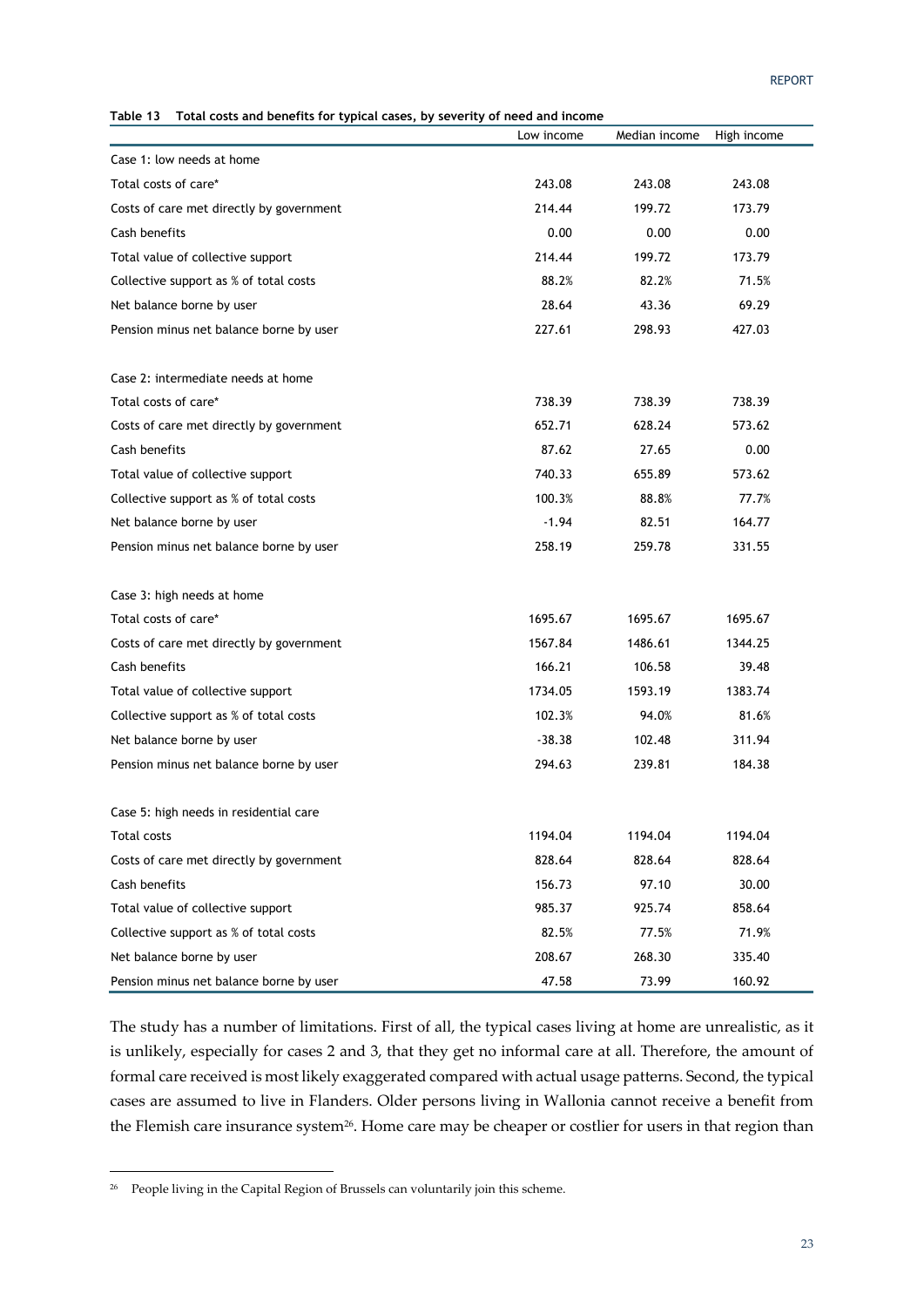**Table 13 Total costs and benefits for typical cases, by severity of need and income** 

| נו שטופ<br><u>Utai costs and benefits for typical cases</u> , | סכיכו ונץ טו ווככט מווט וווכטוווכ<br>Low income | Median income | High income |
|---------------------------------------------------------------|-------------------------------------------------|---------------|-------------|
| Case 1: low needs at home                                     |                                                 |               |             |
| Total costs of care*                                          | 243.08                                          | 243.08        | 243.08      |
| Costs of care met directly by government                      | 214.44                                          | 199.72        | 173.79      |
| Cash benefits                                                 | 0.00                                            | 0.00          | 0.00        |
| Total value of collective support                             | 214.44                                          | 199.72        | 173.79      |
| Collective support as % of total costs                        | 88.2%                                           | 82.2%         | 71.5%       |
| Net balance borne by user                                     | 28.64                                           | 43.36         | 69.29       |
| Pension minus net balance borne by user                       | 227.61                                          | 298.93        | 427.03      |
| Case 2: intermediate needs at home                            |                                                 |               |             |
| Total costs of care*                                          | 738.39                                          | 738.39        | 738.39      |
| Costs of care met directly by government                      | 652.71                                          | 628.24        | 573.62      |
| Cash benefits                                                 | 87.62                                           | 27.65         | 0.00        |
| Total value of collective support                             | 740.33                                          | 655.89        | 573.62      |
| Collective support as % of total costs                        | 100.3%                                          | 88.8%         | 77.7%       |
| Net balance borne by user                                     | $-1.94$                                         | 82.51         | 164.77      |
| Pension minus net balance borne by user                       | 258.19                                          | 259.78        | 331.55      |
| Case 3: high needs at home                                    |                                                 |               |             |
| Total costs of care*                                          | 1695.67                                         | 1695.67       | 1695.67     |
| Costs of care met directly by government                      | 1567.84                                         | 1486.61       | 1344.25     |
| Cash benefits                                                 | 166.21                                          | 106.58        | 39.48       |
| Total value of collective support                             | 1734.05                                         | 1593.19       | 1383.74     |
| Collective support as % of total costs                        | 102.3%                                          | 94.0%         | 81.6%       |
| Net balance borne by user                                     | $-38.38$                                        | 102.48        | 311.94      |
| Pension minus net balance borne by user                       | 294.63                                          | 239.81        | 184.38      |
| Case 5: high needs in residential care                        |                                                 |               |             |
| Total costs                                                   | 1194.04                                         | 1194.04       | 1194.04     |
| Costs of care met directly by government                      | 828.64                                          | 828.64        | 828.64      |
| Cash benefits                                                 | 156.73                                          | 97.10         | 30.00       |
| Total value of collective support                             | 985.37                                          | 925.74        | 858.64      |
| Collective support as % of total costs                        | 82.5%                                           | 77.5%         | 71.9%       |
| Net balance borne by user                                     | 208.67                                          | 268.30        | 335.40      |
| Pension minus net balance borne by user                       | 47.58                                           | 73.99         | 160.92      |

The study has a number of limitations. First of all, the typical cases living at home are unrealistic, as it is unlikely, especially for cases 2 and 3, that they get no informal care at all. Therefore, the amount of formal care received is most likely exaggerated compared with actual usage patterns. Second, the typical cases are assumed to live in Flanders. Older persons living in Wallonia cannot receive a benefit from the Flemish care insurance system<sup>26</sup>. Home care may be cheaper or costlier for users in that region than

<u> Andrew Maria (1989)</u>

<sup>&</sup>lt;sup>26</sup> People living in the Capital Region of Brussels can voluntarily join this scheme.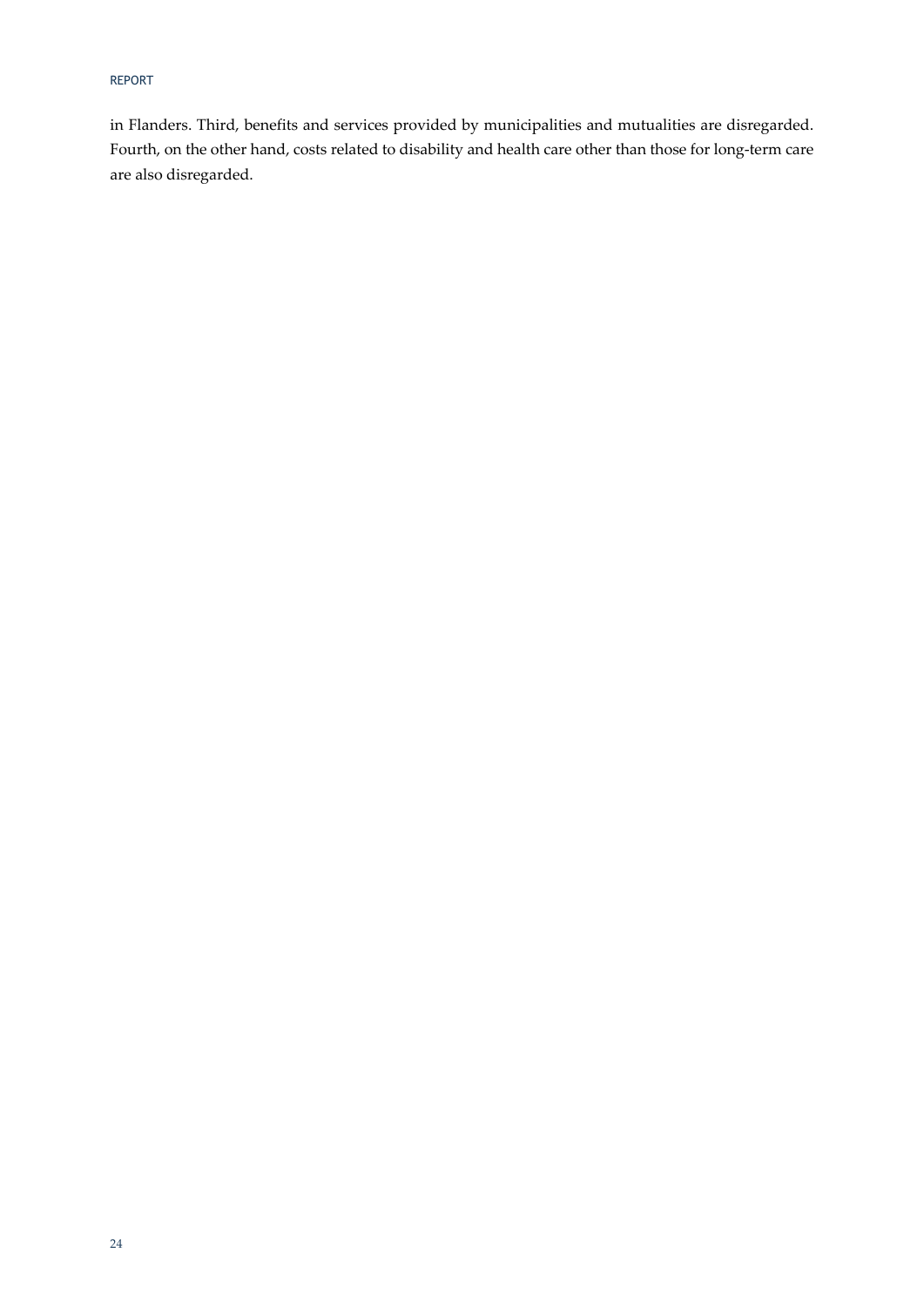in Flanders. Third, benefits and services provided by municipalities and mutualities are disregarded. Fourth, on the other hand, costs related to disability and health care other than those for long-term care are also disregarded.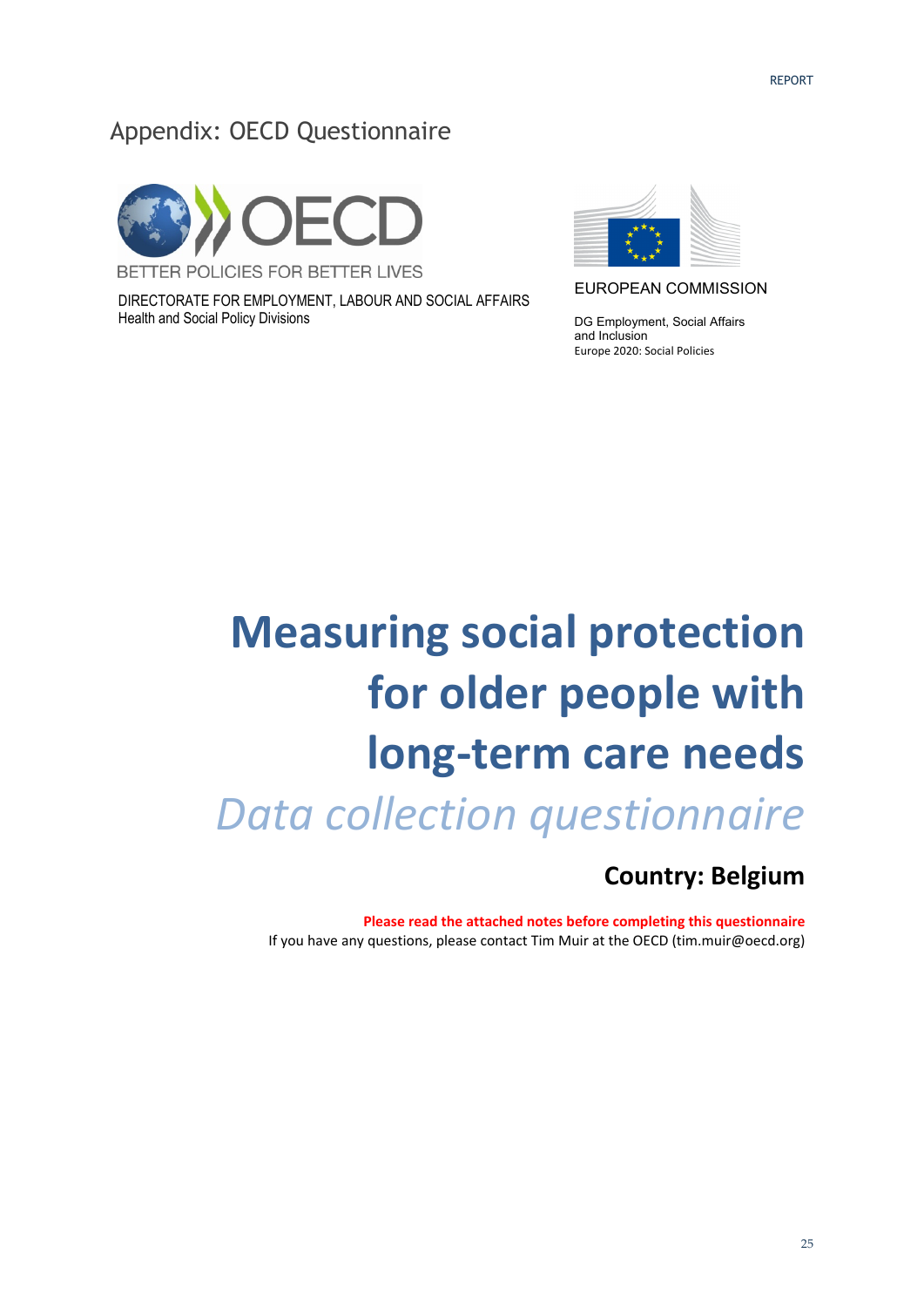### Appendix: OECD Questionnaire



DIRECTORATE FOR EMPLOYMENT, LABOUR AND SOCIAL AFFAIRS Health and Social Policy Divisions



EUROPEAN COMMISSION

DG Employment, Social Affairs and Inclusion Europe 2020: Social Policies

# **Measuring social protection for older people with long‐term care needs** *Data collection questionnaire*

### **Country: Belgium**

**Please read the attached notes before completing this questionnaire** If you have any questions, please contact Tim Muir at the OECD (tim.muir@oecd.org)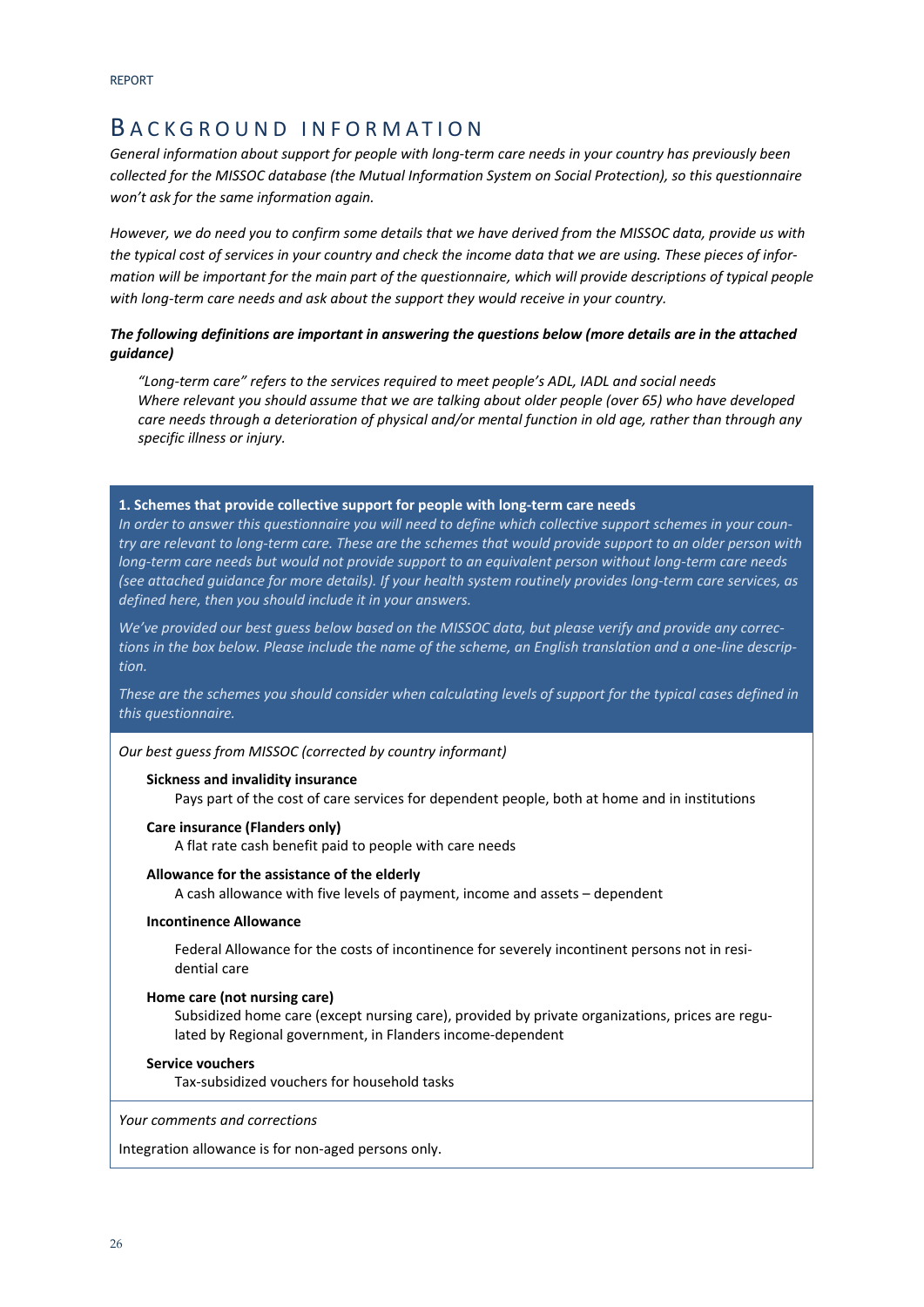### B ACKGROUND INFORMATION

*General information about support for people with long‐term care needs in your country has previously been collected for the MISSOC database (the Mutual Information System on Social Protection), so this questionnaire won't ask for the same information again.* 

*However, we do need you to confirm some details that we have derived from the MISSOC data, provide us with the typical cost of services in your country and check the income data that we are using. These pieces of infor‐ mation will be important for the main part of the questionnaire, which will provide descriptions of typical people with long‐term care needs and ask about the support they would receive in your country.* 

### *The following definitions are important in answering the questions below (more details are in the attached guidance)*

*"Long‐term care" refers to the services required to meet people's ADL, IADL and social needs Where relevant you should assume that we are talking about older people (over 65) who have developed care needs through a deterioration of physical and/or mental function in old age, rather than through any specific illness or injury.* 

#### **1. Schemes that provide collective support for people with long‐term care needs**

*In order to answer this questionnaire you will need to define which collective support schemes in your coun‐ try are relevant to long‐term care. These are the schemes that would provide support to an older person with long‐term care needs but would not provide support to an equivalent person without long‐term care needs (see attached guidance for more details). If your health system routinely provides long‐term care services, as defined here, then you should include it in your answers.* 

*We've provided our best guess below based on the MISSOC data, but please verify and provide any correc‐ tions in the box below. Please include the name of the scheme, an English translation and a one‐line descrip‐ tion.* 

*These are the schemes you should consider when calculating levels of support for the typical cases defined in this questionnaire.*

### *Our best guess from MISSOC (corrected by country informant)*

#### **Sickness and invalidity insurance**

Pays part of the cost of care services for dependent people, both at home and in institutions

#### **Care insurance (Flanders only)**

A flat rate cash benefit paid to people with care needs

#### **Allowance for the assistance of the elderly**

A cash allowance with five levels of payment, income and assets – dependent

#### **Incontinence Allowance**

Federal Allowance for the costs of incontinence for severely incontinent persons not in resi‐ dential care

#### **Home care (not nursing care)**

Subsidized home care (except nursing care), provided by private organizations, prices are regulated by Regional government, in Flanders income‐dependent

#### **Service vouchers**

Tax‐subsidized vouchers for household tasks

*Your comments and corrections* 

Integration allowance is for non‐aged persons only.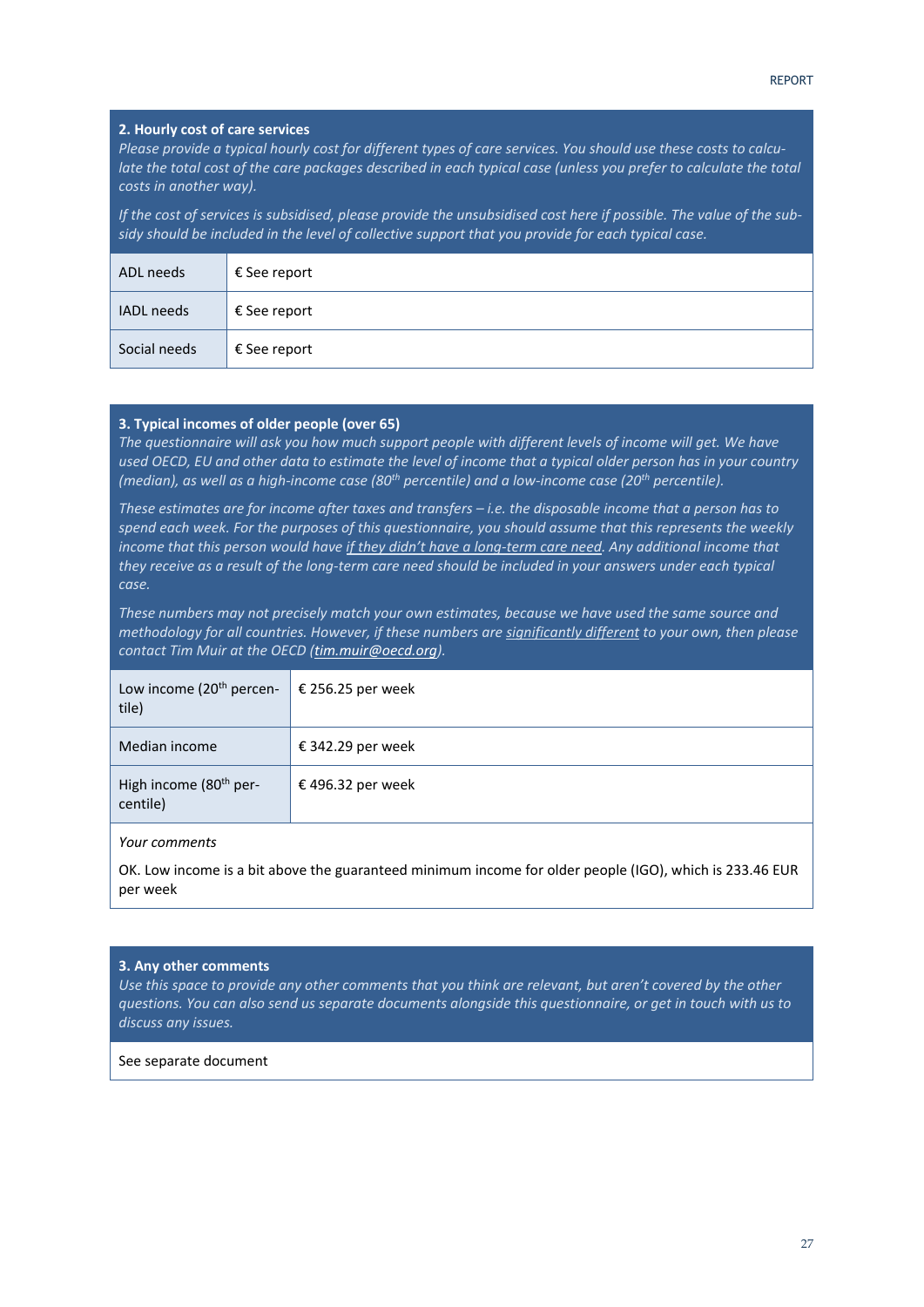#### **2. Hourly cost of care services**

*Please provide a typical hourly cost for different types of care services. You should use these costs to calcu‐ late the total cost of the care packages described in each typical case (unless you prefer to calculate the total costs in another way).* 

*If the cost of services is subsidised, please provide the unsubsidised cost here if possible. The value of the sub‐ sidy should be included in the level of collective support that you provide for each typical case.* 

| ADL needs    | € See report |
|--------------|--------------|
| IADL needs   | € See report |
| Social needs | € See report |

#### **3. Typical incomes of older people (over 65)**

*The questionnaire will ask you how much support people with different levels of income will get. We have used OECD, EU and other data to estimate the level of income that a typical older person has in your country (median), as well as a high‐income case (80th percentile) and a low‐income case (20th percentile).* 

*These estimates are for income after taxes and transfers – i.e. the disposable income that a person has to spend each week. For the purposes of this questionnaire, you should assume that this represents the weekly income that this person would have if they didn't have a long‐term care need. Any additional income that they receive as a result of the long‐term care need should be included in your answers under each typical case.* 

*These numbers may not precisely match your own estimates, because we have used the same source and methodology for all countries. However, if these numbers are significantly different to your own, then please contact Tim Muir at the OECD (tim.muir@oecd.org).* 

| Low income (20 <sup>th</sup> percen- $\vert$ € 256.25 per week<br>tile) |                   |
|-------------------------------------------------------------------------|-------------------|
| Median income                                                           | € 342.29 per week |
| High income (80 <sup>th</sup> per-<br>centile)                          | € 496.32 per week |

### *Your comments*

OK. Low income is a bit above the guaranteed minimum income for older people (IGO), which is 233.46 EUR per week

#### **3. Any other comments**

*Use this space to provide any other comments that you think are relevant, but aren't covered by the other questions. You can also send us separate documents alongside this questionnaire, or get in touch with us to discuss any issues.*

### See separate document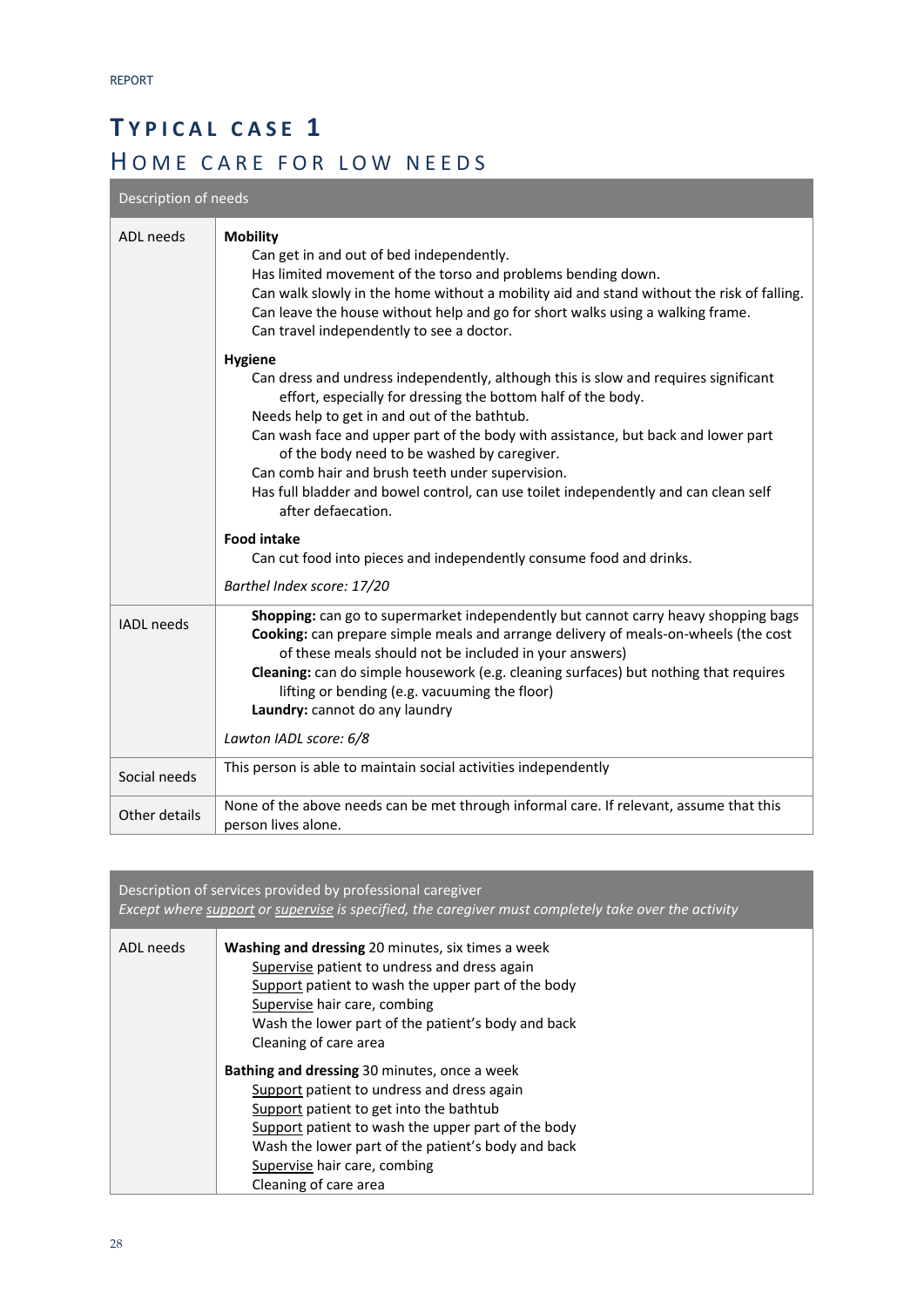# **T YPICAL CASE 1**  HOME CARE FOR LOW NEEDS

Description of needs

| ADL needs         | <b>Mobility</b><br>Can get in and out of bed independently.<br>Has limited movement of the torso and problems bending down.<br>Can walk slowly in the home without a mobility aid and stand without the risk of falling.<br>Can leave the house without help and go for short walks using a walking frame.<br>Can travel independently to see a doctor.                                                                                                                                                                    |
|-------------------|----------------------------------------------------------------------------------------------------------------------------------------------------------------------------------------------------------------------------------------------------------------------------------------------------------------------------------------------------------------------------------------------------------------------------------------------------------------------------------------------------------------------------|
|                   | <b>Hygiene</b><br>Can dress and undress independently, although this is slow and requires significant<br>effort, especially for dressing the bottom half of the body.<br>Needs help to get in and out of the bathtub.<br>Can wash face and upper part of the body with assistance, but back and lower part<br>of the body need to be washed by caregiver.<br>Can comb hair and brush teeth under supervision.<br>Has full bladder and bowel control, can use toilet independently and can clean self<br>after defaecation. |
|                   | <b>Food intake</b><br>Can cut food into pieces and independently consume food and drinks.                                                                                                                                                                                                                                                                                                                                                                                                                                  |
|                   | Barthel Index score: 17/20                                                                                                                                                                                                                                                                                                                                                                                                                                                                                                 |
| <b>IADL</b> needs | Shopping: can go to supermarket independently but cannot carry heavy shopping bags<br>Cooking: can prepare simple meals and arrange delivery of meals-on-wheels (the cost<br>of these meals should not be included in your answers)<br>Cleaning: can do simple housework (e.g. cleaning surfaces) but nothing that requires<br>lifting or bending (e.g. vacuuming the floor)<br>Laundry: cannot do any laundry                                                                                                             |
|                   | Lawton IADL score: 6/8                                                                                                                                                                                                                                                                                                                                                                                                                                                                                                     |
| Social needs      | This person is able to maintain social activities independently                                                                                                                                                                                                                                                                                                                                                                                                                                                            |
| Other details     | None of the above needs can be met through informal care. If relevant, assume that this<br>person lives alone.                                                                                                                                                                                                                                                                                                                                                                                                             |

| Description of services provided by professional caregiver<br>Except where support or supervise is specified, the caregiver must completely take over the activity |                                                                                                                                                                                                                                                                                                                                                                                                                                                                                                                                                                                             |  |
|--------------------------------------------------------------------------------------------------------------------------------------------------------------------|---------------------------------------------------------------------------------------------------------------------------------------------------------------------------------------------------------------------------------------------------------------------------------------------------------------------------------------------------------------------------------------------------------------------------------------------------------------------------------------------------------------------------------------------------------------------------------------------|--|
| ADL needs                                                                                                                                                          | <b>Washing and dressing 20 minutes, six times a week</b><br>Supervise patient to undress and dress again<br>Support patient to wash the upper part of the body<br>Supervise hair care, combing<br>Wash the lower part of the patient's body and back<br>Cleaning of care area<br>Bathing and dressing 30 minutes, once a week<br>Support patient to undress and dress again<br>Support patient to get into the bathtub<br>Support patient to wash the upper part of the body<br>Wash the lower part of the patient's body and back<br>Supervise hair care, combing<br>Cleaning of care area |  |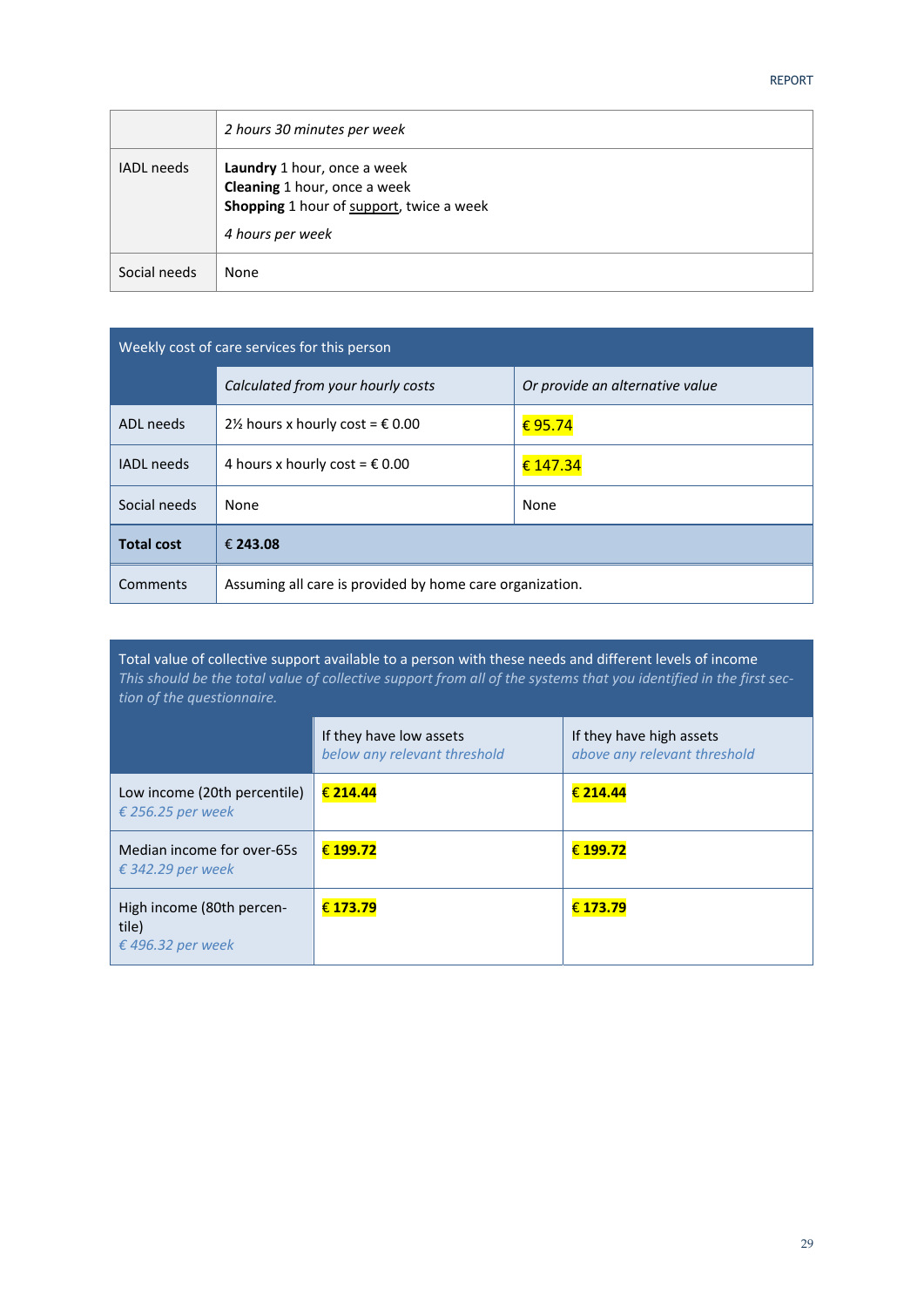|                   | 2 hours 30 minutes per week                                                                                                        |
|-------------------|------------------------------------------------------------------------------------------------------------------------------------|
| <b>IADL</b> needs | Laundry 1 hour, once a week<br><b>Cleaning</b> 1 hour, once a week<br>Shopping 1 hour of support, twice a week<br>4 hours per week |
| Social needs      | None                                                                                                                               |

| Weekly cost of care services for this person |                                                          |                                 |
|----------------------------------------------|----------------------------------------------------------|---------------------------------|
|                                              | Calculated from your hourly costs                        | Or provide an alternative value |
| ADL needs                                    | 2½ hours x hourly cost = $\epsilon$ 0.00                 | € 95.74                         |
| <b>IADL</b> needs                            | 4 hours x hourly cost = $\epsilon$ 0.00                  | € 147.34                        |
| Social needs                                 | None                                                     | None                            |
| <b>Total cost</b>                            | € 243.08                                                 |                                 |
| Comments                                     | Assuming all care is provided by home care organization. |                                 |

Total value of collective support available to a person with these needs and different levels of income *This should be the total value of collective support from all of the systems that you identified in the first sec‐ tion of the questionnaire.*

|                                                         | If they have low assets<br>below any relevant threshold | If they have high assets<br>above any relevant threshold |
|---------------------------------------------------------|---------------------------------------------------------|----------------------------------------------------------|
| Low income (20th percentile)<br>€ 256.25 per week       | € 214.44                                                | € 214.44                                                 |
| Median income for over-65s<br>€ 342.29 per week         | € 199.72                                                | € 199.72                                                 |
| High income (80th percen-<br>tile)<br>€ 496.32 per week | € 173.79                                                | € 173.79                                                 |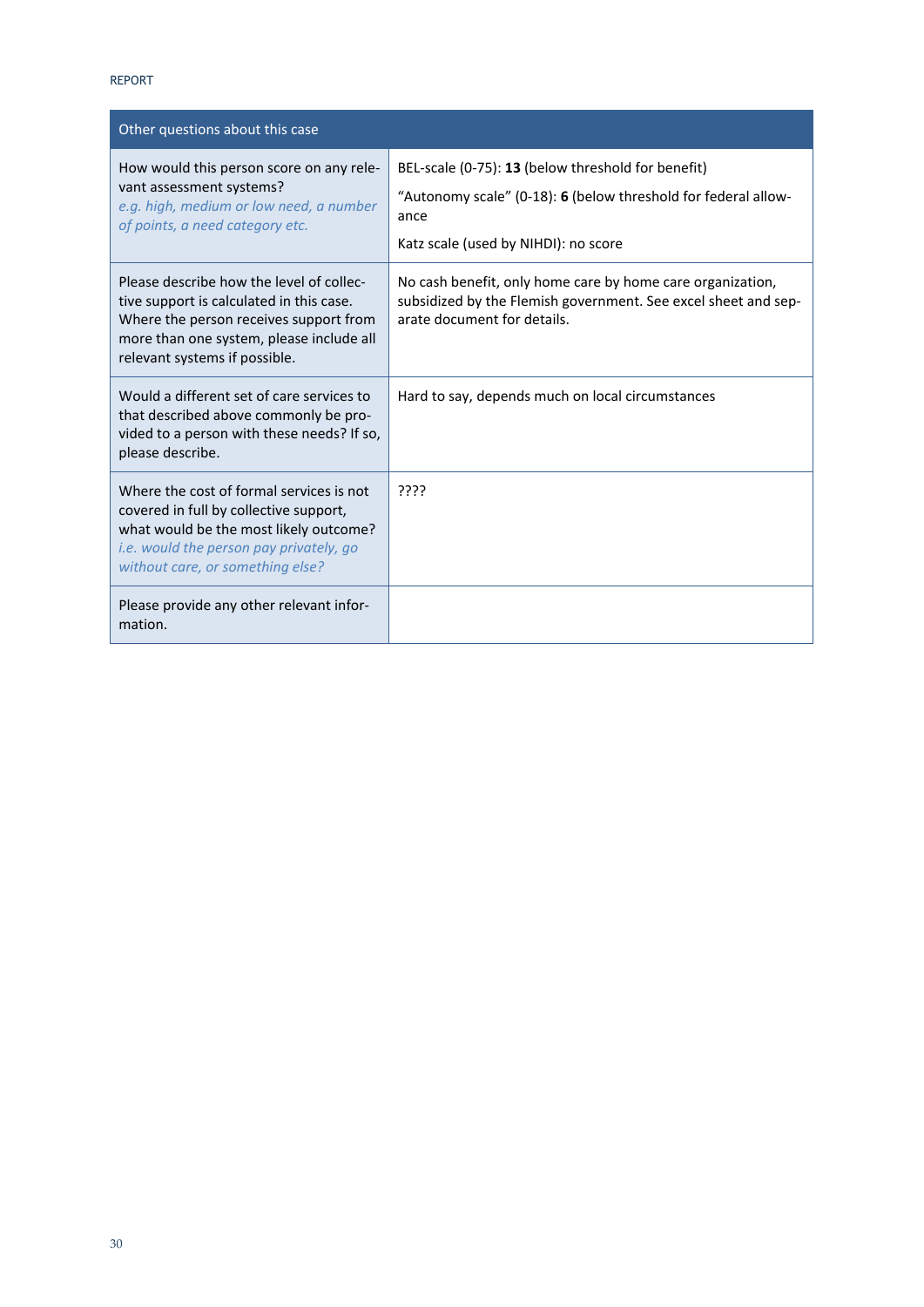| Other questions about this case                                                                                                                                                                                    |                                                                                                                                                                      |
|--------------------------------------------------------------------------------------------------------------------------------------------------------------------------------------------------------------------|----------------------------------------------------------------------------------------------------------------------------------------------------------------------|
| How would this person score on any rele-<br>vant assessment systems?<br>e.g. high, medium or low need, a number<br>of points, a need category etc.                                                                 | BEL-scale (0-75): 13 (below threshold for benefit)<br>"Autonomy scale" (0-18): 6 (below threshold for federal allow-<br>ance<br>Katz scale (used by NIHDI): no score |
| Please describe how the level of collec-<br>tive support is calculated in this case.<br>Where the person receives support from<br>more than one system, please include all<br>relevant systems if possible.        | No cash benefit, only home care by home care organization,<br>subsidized by the Flemish government. See excel sheet and sep-<br>arate document for details.          |
| Would a different set of care services to<br>that described above commonly be pro-<br>vided to a person with these needs? If so,<br>please describe.                                                               | Hard to say, depends much on local circumstances                                                                                                                     |
| Where the cost of formal services is not<br>covered in full by collective support,<br>what would be the most likely outcome?<br><i>i.e.</i> would the person pay privately, go<br>without care, or something else? | ????                                                                                                                                                                 |
| Please provide any other relevant infor-<br>mation.                                                                                                                                                                |                                                                                                                                                                      |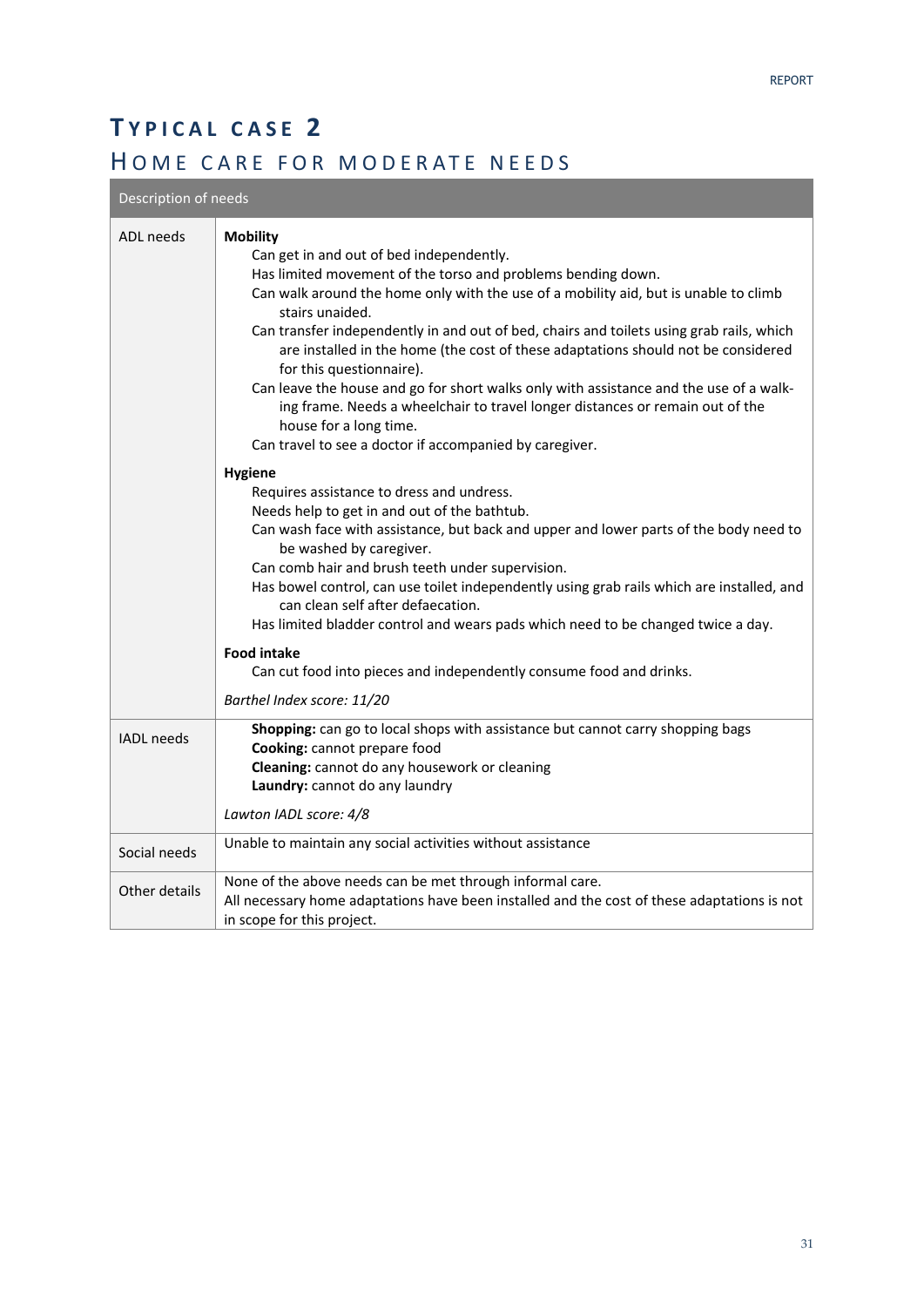# **T YPICAL CASE 2**  HOME CARE FOR MODERATE NEEDS

### Description of needs

| ADL needs         | <b>Mobility</b><br>Can get in and out of bed independently.<br>Has limited movement of the torso and problems bending down.<br>Can walk around the home only with the use of a mobility aid, but is unable to climb<br>stairs unaided.<br>Can transfer independently in and out of bed, chairs and toilets using grab rails, which<br>are installed in the home (the cost of these adaptations should not be considered<br>for this questionnaire).<br>Can leave the house and go for short walks only with assistance and the use of a walk-<br>ing frame. Needs a wheelchair to travel longer distances or remain out of the |
|-------------------|--------------------------------------------------------------------------------------------------------------------------------------------------------------------------------------------------------------------------------------------------------------------------------------------------------------------------------------------------------------------------------------------------------------------------------------------------------------------------------------------------------------------------------------------------------------------------------------------------------------------------------|
|                   | house for a long time.<br>Can travel to see a doctor if accompanied by caregiver.                                                                                                                                                                                                                                                                                                                                                                                                                                                                                                                                              |
|                   | <b>Hygiene</b><br>Requires assistance to dress and undress.<br>Needs help to get in and out of the bathtub.<br>Can wash face with assistance, but back and upper and lower parts of the body need to<br>be washed by caregiver.<br>Can comb hair and brush teeth under supervision.<br>Has bowel control, can use toilet independently using grab rails which are installed, and<br>can clean self after defaecation.<br>Has limited bladder control and wears pads which need to be changed twice a day.<br><b>Food intake</b><br>Can cut food into pieces and independently consume food and drinks.                         |
|                   | Barthel Index score: 11/20                                                                                                                                                                                                                                                                                                                                                                                                                                                                                                                                                                                                     |
| <b>IADL</b> needs | Shopping: can go to local shops with assistance but cannot carry shopping bags<br>Cooking: cannot prepare food<br>Cleaning: cannot do any housework or cleaning<br>Laundry: cannot do any laundry<br>Lawton IADL score: 4/8                                                                                                                                                                                                                                                                                                                                                                                                    |
| Social needs      | Unable to maintain any social activities without assistance                                                                                                                                                                                                                                                                                                                                                                                                                                                                                                                                                                    |
|                   | None of the above needs can be met through informal care.                                                                                                                                                                                                                                                                                                                                                                                                                                                                                                                                                                      |
| Other details     | All necessary home adaptations have been installed and the cost of these adaptations is not<br>in scope for this project.                                                                                                                                                                                                                                                                                                                                                                                                                                                                                                      |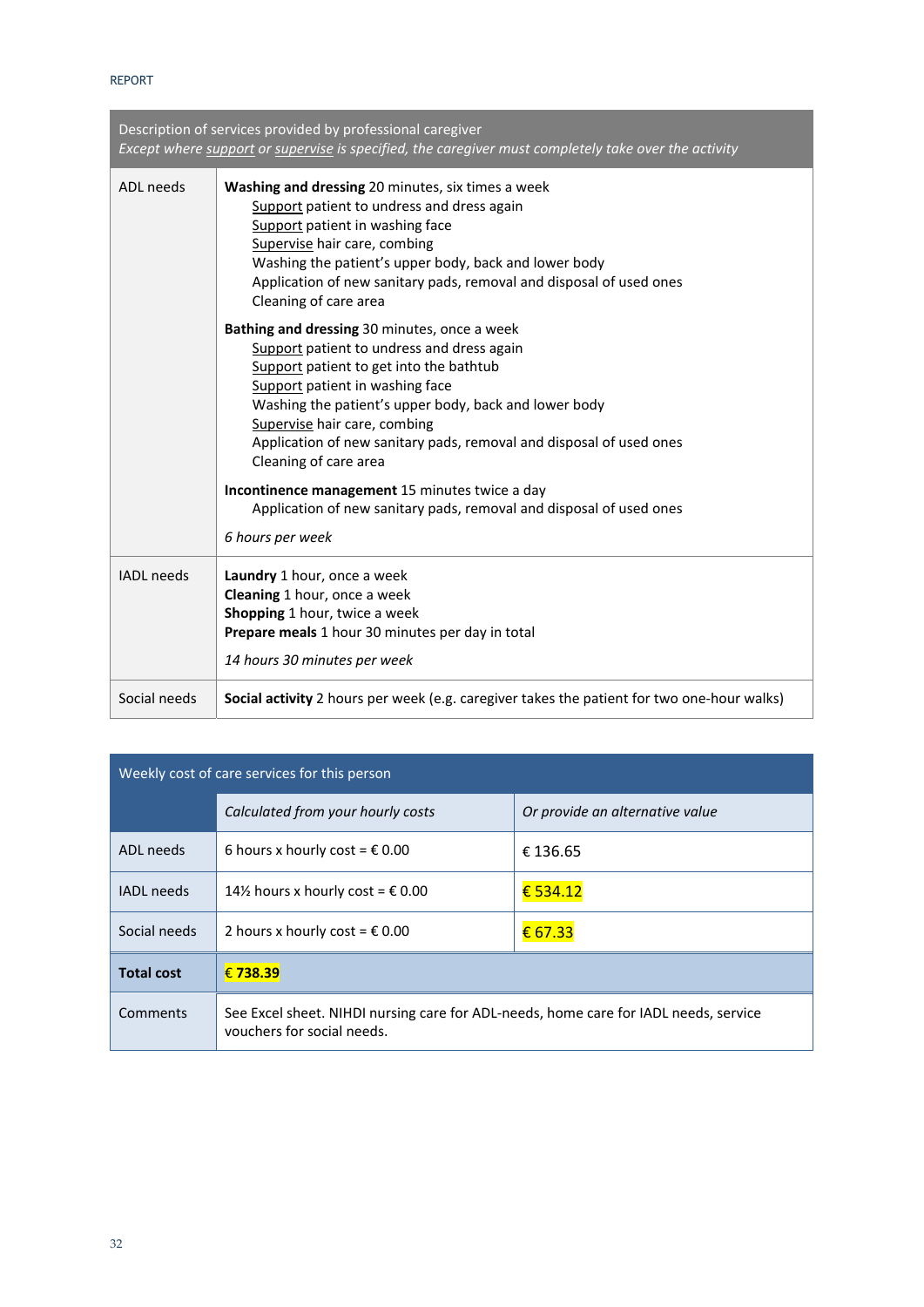| Description of services provided by professional caregiver |                                                                                                                                                                                                                                                                                                                                                                   |  |
|------------------------------------------------------------|-------------------------------------------------------------------------------------------------------------------------------------------------------------------------------------------------------------------------------------------------------------------------------------------------------------------------------------------------------------------|--|
|                                                            | Except where support or supervise is specified, the caregiver must completely take over the activity                                                                                                                                                                                                                                                              |  |
| ADL needs                                                  | Washing and dressing 20 minutes, six times a week<br>Support patient to undress and dress again<br>Support patient in washing face<br>Supervise hair care, combing<br>Washing the patient's upper body, back and lower body<br>Application of new sanitary pads, removal and disposal of used ones<br>Cleaning of care area                                       |  |
|                                                            | Bathing and dressing 30 minutes, once a week<br>Support patient to undress and dress again<br>Support patient to get into the bathtub<br>Support patient in washing face<br>Washing the patient's upper body, back and lower body<br>Supervise hair care, combing<br>Application of new sanitary pads, removal and disposal of used ones<br>Cleaning of care area |  |
|                                                            | Incontinence management 15 minutes twice a day<br>Application of new sanitary pads, removal and disposal of used ones<br>6 hours per week                                                                                                                                                                                                                         |  |
| <b>IADL</b> needs                                          | Laundry 1 hour, once a week<br>Cleaning 1 hour, once a week<br>Shopping 1 hour, twice a week<br>Prepare meals 1 hour 30 minutes per day in total<br>14 hours 30 minutes per week                                                                                                                                                                                  |  |
| Social needs                                               | Social activity 2 hours per week (e.g. caregiver takes the patient for two one-hour walks)                                                                                                                                                                                                                                                                        |  |

| Weekly cost of care services for this person |                                                                                                                    |                                 |
|----------------------------------------------|--------------------------------------------------------------------------------------------------------------------|---------------------------------|
|                                              | Calculated from your hourly costs                                                                                  | Or provide an alternative value |
| ADL needs                                    | 6 hours x hourly cost = $\epsilon$ 0.00                                                                            | € 136.65                        |
| <b>IADL</b> needs                            | 14½ hours x hourly cost = $\epsilon$ 0.00                                                                          | € 534.12                        |
| Social needs                                 | 2 hours x hourly cost = $\epsilon$ 0.00                                                                            | € 67.33                         |
| <b>Total cost</b>                            | €738.39                                                                                                            |                                 |
| Comments                                     | See Excel sheet. NIHDI nursing care for ADL-needs, home care for IADL needs, service<br>vouchers for social needs. |                                 |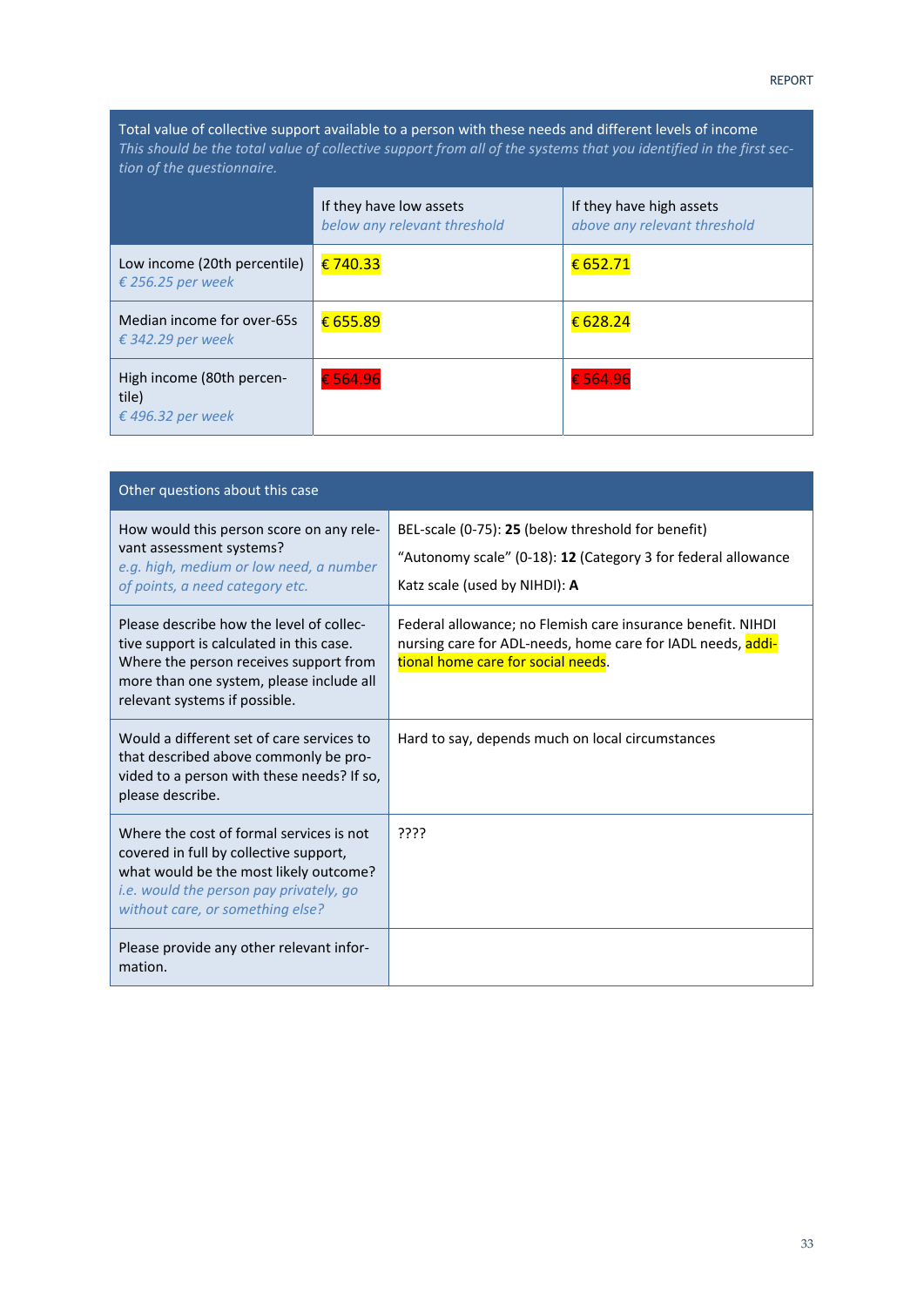Total value of collective support available to a person with these needs and different levels of income *This should be the total value of collective support from all of the systems that you identified in the first sec‐ tion of the questionnaire.*

|                                                         | If they have low assets<br>below any relevant threshold | If they have high assets<br>above any relevant threshold |
|---------------------------------------------------------|---------------------------------------------------------|----------------------------------------------------------|
| Low income (20th percentile)<br>€ 256.25 per week       | €740.33                                                 | € 652.71                                                 |
| Median income for over-65s<br>€ 342.29 per week         | € 655.89                                                | € 628.24                                                 |
| High income (80th percen-<br>tile)<br>€ 496.32 per week | €564.96                                                 | €564.96                                                  |

| Other questions about this case                                                                                                                                                                                    |                                                                                                                                                                  |  |
|--------------------------------------------------------------------------------------------------------------------------------------------------------------------------------------------------------------------|------------------------------------------------------------------------------------------------------------------------------------------------------------------|--|
| How would this person score on any rele-<br>vant assessment systems?<br>e.g. high, medium or low need, a number<br>of points, a need category etc.                                                                 | BEL-scale (0-75): 25 (below threshold for benefit)<br>"Autonomy scale" (0-18): 12 (Category 3 for federal allowance<br>Katz scale (used by NIHDI): A             |  |
| Please describe how the level of collec-<br>tive support is calculated in this case.<br>Where the person receives support from<br>more than one system, please include all<br>relevant systems if possible.        | Federal allowance; no Flemish care insurance benefit. NIHDI<br>nursing care for ADL-needs, home care for IADL needs, addi-<br>tional home care for social needs. |  |
| Would a different set of care services to<br>that described above commonly be pro-<br>vided to a person with these needs? If so,<br>please describe.                                                               | Hard to say, depends much on local circumstances                                                                                                                 |  |
| Where the cost of formal services is not<br>covered in full by collective support,<br>what would be the most likely outcome?<br><i>i.e.</i> would the person pay privately, go<br>without care, or something else? | ַיִּרְיִי                                                                                                                                                        |  |
| Please provide any other relevant infor-<br>mation.                                                                                                                                                                |                                                                                                                                                                  |  |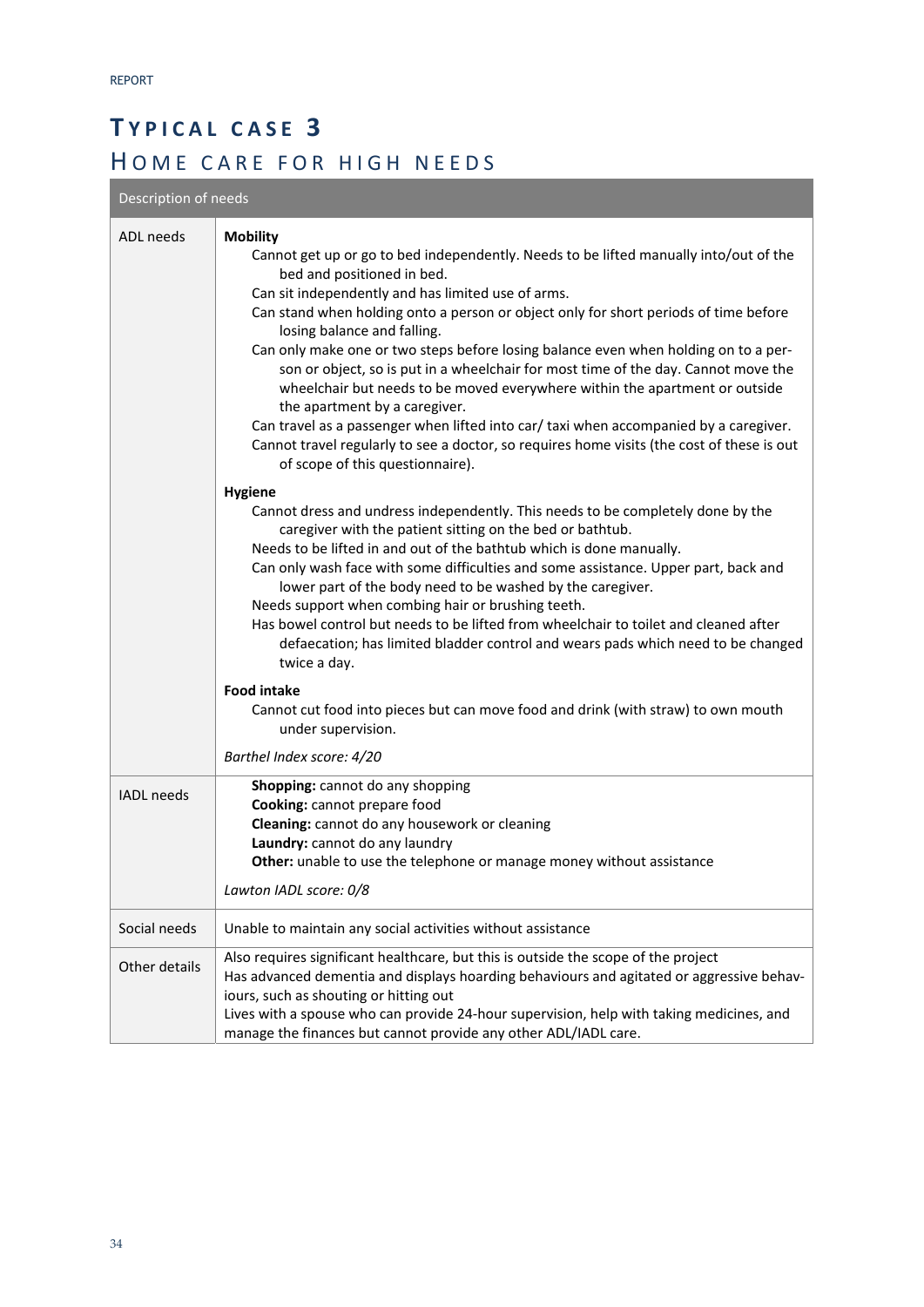# **T YPICAL CASE 3**  HOME CARE FOR HIGH NEEDS

Description of needs

| ADL needs         | <b>Mobility</b><br>Cannot get up or go to bed independently. Needs to be lifted manually into/out of the<br>bed and positioned in bed.                                                                                                                                                                                                                                                                                                                                                                                                                                                                                                        |
|-------------------|-----------------------------------------------------------------------------------------------------------------------------------------------------------------------------------------------------------------------------------------------------------------------------------------------------------------------------------------------------------------------------------------------------------------------------------------------------------------------------------------------------------------------------------------------------------------------------------------------------------------------------------------------|
|                   | Can sit independently and has limited use of arms.<br>Can stand when holding onto a person or object only for short periods of time before<br>losing balance and falling.                                                                                                                                                                                                                                                                                                                                                                                                                                                                     |
|                   | Can only make one or two steps before losing balance even when holding on to a per-<br>son or object, so is put in a wheelchair for most time of the day. Cannot move the<br>wheelchair but needs to be moved everywhere within the apartment or outside<br>the apartment by a caregiver.                                                                                                                                                                                                                                                                                                                                                     |
|                   | Can travel as a passenger when lifted into car/ taxi when accompanied by a caregiver.<br>Cannot travel regularly to see a doctor, so requires home visits (the cost of these is out<br>of scope of this questionnaire).                                                                                                                                                                                                                                                                                                                                                                                                                       |
|                   | <b>Hygiene</b><br>Cannot dress and undress independently. This needs to be completely done by the<br>caregiver with the patient sitting on the bed or bathtub.<br>Needs to be lifted in and out of the bathtub which is done manually.<br>Can only wash face with some difficulties and some assistance. Upper part, back and<br>lower part of the body need to be washed by the caregiver.<br>Needs support when combing hair or brushing teeth.<br>Has bowel control but needs to be lifted from wheelchair to toilet and cleaned after<br>defaecation; has limited bladder control and wears pads which need to be changed<br>twice a day. |
|                   | <b>Food intake</b><br>Cannot cut food into pieces but can move food and drink (with straw) to own mouth<br>under supervision.                                                                                                                                                                                                                                                                                                                                                                                                                                                                                                                 |
|                   | Barthel Index score: 4/20                                                                                                                                                                                                                                                                                                                                                                                                                                                                                                                                                                                                                     |
| <b>IADL</b> needs | Shopping: cannot do any shopping<br>Cooking: cannot prepare food<br>Cleaning: cannot do any housework or cleaning<br>Laundry: cannot do any laundry<br>Other: unable to use the telephone or manage money without assistance                                                                                                                                                                                                                                                                                                                                                                                                                  |
|                   | Lawton IADL score: 0/8                                                                                                                                                                                                                                                                                                                                                                                                                                                                                                                                                                                                                        |
| Social needs      | Unable to maintain any social activities without assistance                                                                                                                                                                                                                                                                                                                                                                                                                                                                                                                                                                                   |
| Other details     | Also requires significant healthcare, but this is outside the scope of the project<br>Has advanced dementia and displays hoarding behaviours and agitated or aggressive behav-<br>iours, such as shouting or hitting out<br>Lives with a spouse who can provide 24-hour supervision, help with taking medicines, and<br>manage the finances but cannot provide any other ADL/IADL care.                                                                                                                                                                                                                                                       |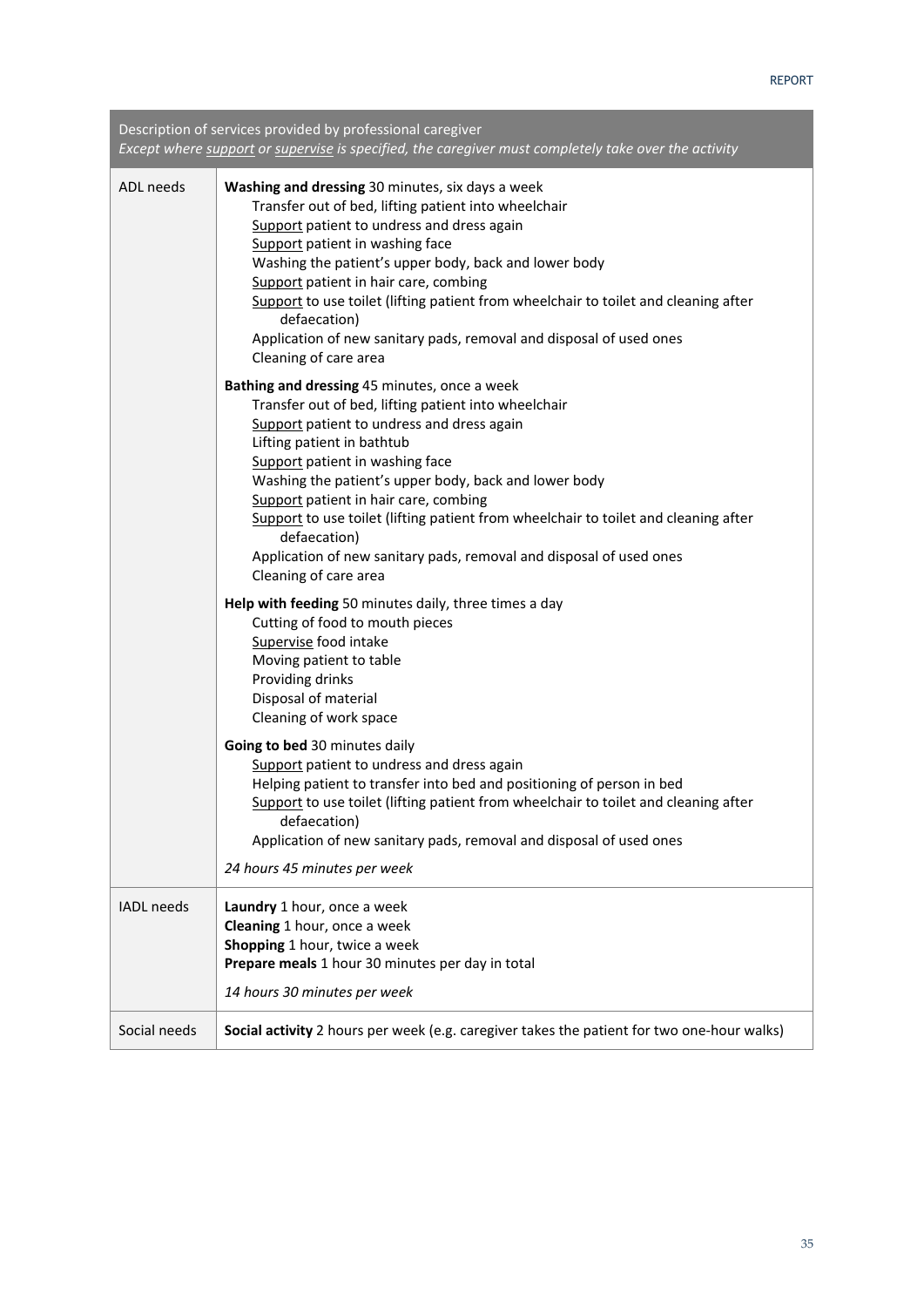Description of services provided by professional caregiver *Except where support or supervise is specified, the caregiver must completely take over the activity*

| ADL needs         | Washing and dressing 30 minutes, six days a week<br>Transfer out of bed, lifting patient into wheelchair<br>Support patient to undress and dress again<br>Support patient in washing face<br>Washing the patient's upper body, back and lower body<br>Support patient in hair care, combing<br>Support to use toilet (lifting patient from wheelchair to toilet and cleaning after<br>defaecation)<br>Application of new sanitary pads, removal and disposal of used ones<br>Cleaning of care area                           |
|-------------------|------------------------------------------------------------------------------------------------------------------------------------------------------------------------------------------------------------------------------------------------------------------------------------------------------------------------------------------------------------------------------------------------------------------------------------------------------------------------------------------------------------------------------|
|                   | Bathing and dressing 45 minutes, once a week<br>Transfer out of bed, lifting patient into wheelchair<br>Support patient to undress and dress again<br>Lifting patient in bathtub<br>Support patient in washing face<br>Washing the patient's upper body, back and lower body<br>Support patient in hair care, combing<br>Support to use toilet (lifting patient from wheelchair to toilet and cleaning after<br>defaecation)<br>Application of new sanitary pads, removal and disposal of used ones<br>Cleaning of care area |
|                   | Help with feeding 50 minutes daily, three times a day<br>Cutting of food to mouth pieces<br>Supervise food intake<br>Moving patient to table<br>Providing drinks<br>Disposal of material<br>Cleaning of work space                                                                                                                                                                                                                                                                                                           |
|                   | Going to bed 30 minutes daily<br>Support patient to undress and dress again<br>Helping patient to transfer into bed and positioning of person in bed<br>Support to use toilet (lifting patient from wheelchair to toilet and cleaning after<br>defaecation)<br>Application of new sanitary pads, removal and disposal of used ones<br>24 hours 45 minutes per week                                                                                                                                                           |
| <b>IADL</b> needs | Laundry 1 hour, once a week<br>Cleaning 1 hour, once a week<br>Shopping 1 hour, twice a week<br>Prepare meals 1 hour 30 minutes per day in total<br>14 hours 30 minutes per week                                                                                                                                                                                                                                                                                                                                             |
| Social needs      | Social activity 2 hours per week (e.g. caregiver takes the patient for two one-hour walks)                                                                                                                                                                                                                                                                                                                                                                                                                                   |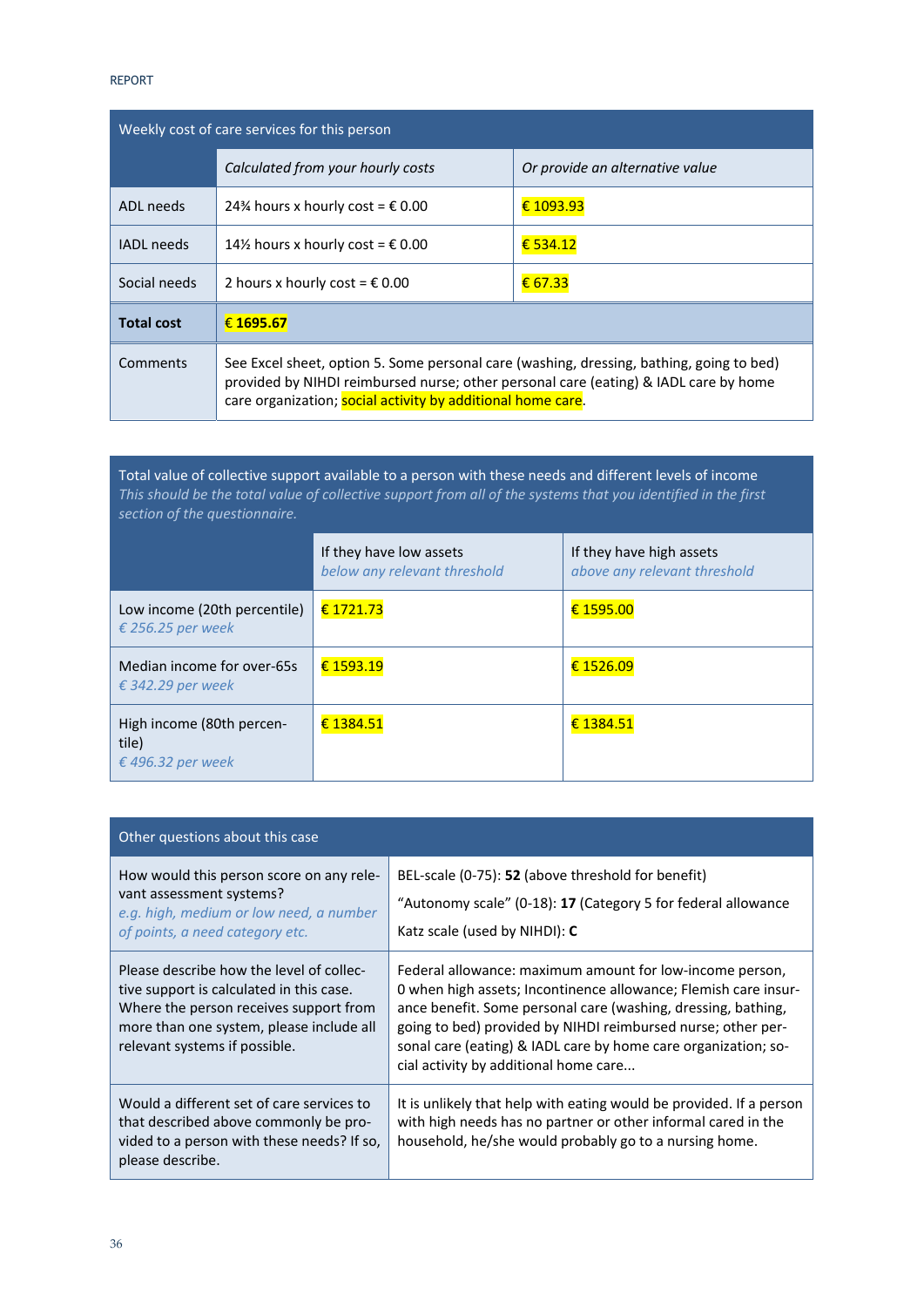| Weekly cost of care services for this person |                                                                                                                                                                                                                                                 |                                 |
|----------------------------------------------|-------------------------------------------------------------------------------------------------------------------------------------------------------------------------------------------------------------------------------------------------|---------------------------------|
|                                              | Calculated from your hourly costs                                                                                                                                                                                                               | Or provide an alternative value |
| ADL needs                                    | 24% hours x hourly cost = $\epsilon$ 0.00                                                                                                                                                                                                       | € 1093.93                       |
| <b>IADL</b> needs                            | 14½ hours x hourly cost = $\epsilon$ 0.00                                                                                                                                                                                                       | € 534.12                        |
| Social needs                                 | 2 hours x hourly cost = $\epsilon$ 0.00                                                                                                                                                                                                         | € 67.33                         |
| <b>Total cost</b>                            | € 1695.67                                                                                                                                                                                                                                       |                                 |
| Comments                                     | See Excel sheet, option 5. Some personal care (washing, dressing, bathing, going to bed)<br>provided by NIHDI reimbursed nurse; other personal care (eating) & IADL care by home<br>care organization; social activity by additional home care. |                                 |

Total value of collective support available to a person with these needs and different levels of income *This should be the total value of collective support from all of the systems that you identified in the first section of the questionnaire.*

|                                                         | If they have low assets<br>below any relevant threshold | If they have high assets<br>above any relevant threshold |
|---------------------------------------------------------|---------------------------------------------------------|----------------------------------------------------------|
| Low income (20th percentile)<br>€ 256.25 per week       | € 1721.73                                               | € 1595.00                                                |
| Median income for over-65s<br>€ 342.29 per week         | € 1593.19                                               | € 1526.09                                                |
| High income (80th percen-<br>tile)<br>€ 496.32 per week | € 1384.51                                               | € 1384.51                                                |

| Other questions about this case                                                                                                                                                                             |                                                                                                                                                                                                                                                                                                                                                                         |  |
|-------------------------------------------------------------------------------------------------------------------------------------------------------------------------------------------------------------|-------------------------------------------------------------------------------------------------------------------------------------------------------------------------------------------------------------------------------------------------------------------------------------------------------------------------------------------------------------------------|--|
| How would this person score on any rele-<br>vant assessment systems?<br>e.g. high, medium or low need, a number<br>of points, a need category etc.                                                          | BEL-scale (0-75): 52 (above threshold for benefit)<br>"Autonomy scale" (0-18): $17$ (Category 5 for federal allowance<br>Katz scale (used by NIHDI): C                                                                                                                                                                                                                  |  |
| Please describe how the level of collec-<br>tive support is calculated in this case.<br>Where the person receives support from<br>more than one system, please include all<br>relevant systems if possible. | Federal allowance: maximum amount for low-income person,<br>0 when high assets; Incontinence allowance; Flemish care insur-<br>ance benefit. Some personal care (washing, dressing, bathing,<br>going to bed) provided by NIHDI reimbursed nurse; other per-<br>sonal care (eating) & IADL care by home care organization; so-<br>cial activity by additional home care |  |
| Would a different set of care services to<br>that described above commonly be pro-<br>vided to a person with these needs? If so,<br>please describe.                                                        | It is unlikely that help with eating would be provided. If a person<br>with high needs has no partner or other informal cared in the<br>household, he/she would probably go to a nursing home.                                                                                                                                                                          |  |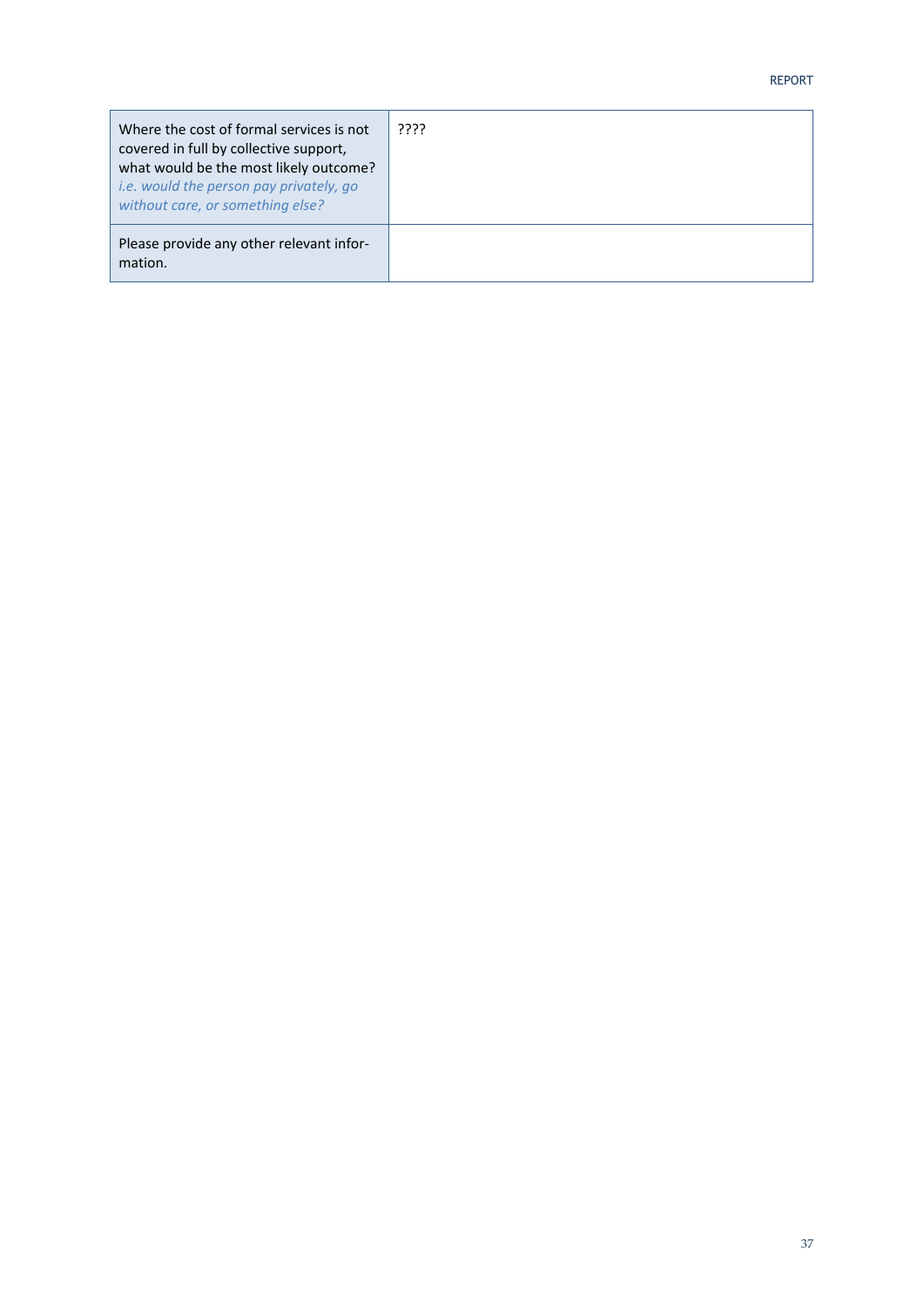| Where the cost of formal services is not<br>covered in full by collective support,<br>what would be the most likely outcome?<br>i.e. would the person pay privately, go<br>without care, or something else? | ???? |
|-------------------------------------------------------------------------------------------------------------------------------------------------------------------------------------------------------------|------|
| Please provide any other relevant infor-<br>mation.                                                                                                                                                         |      |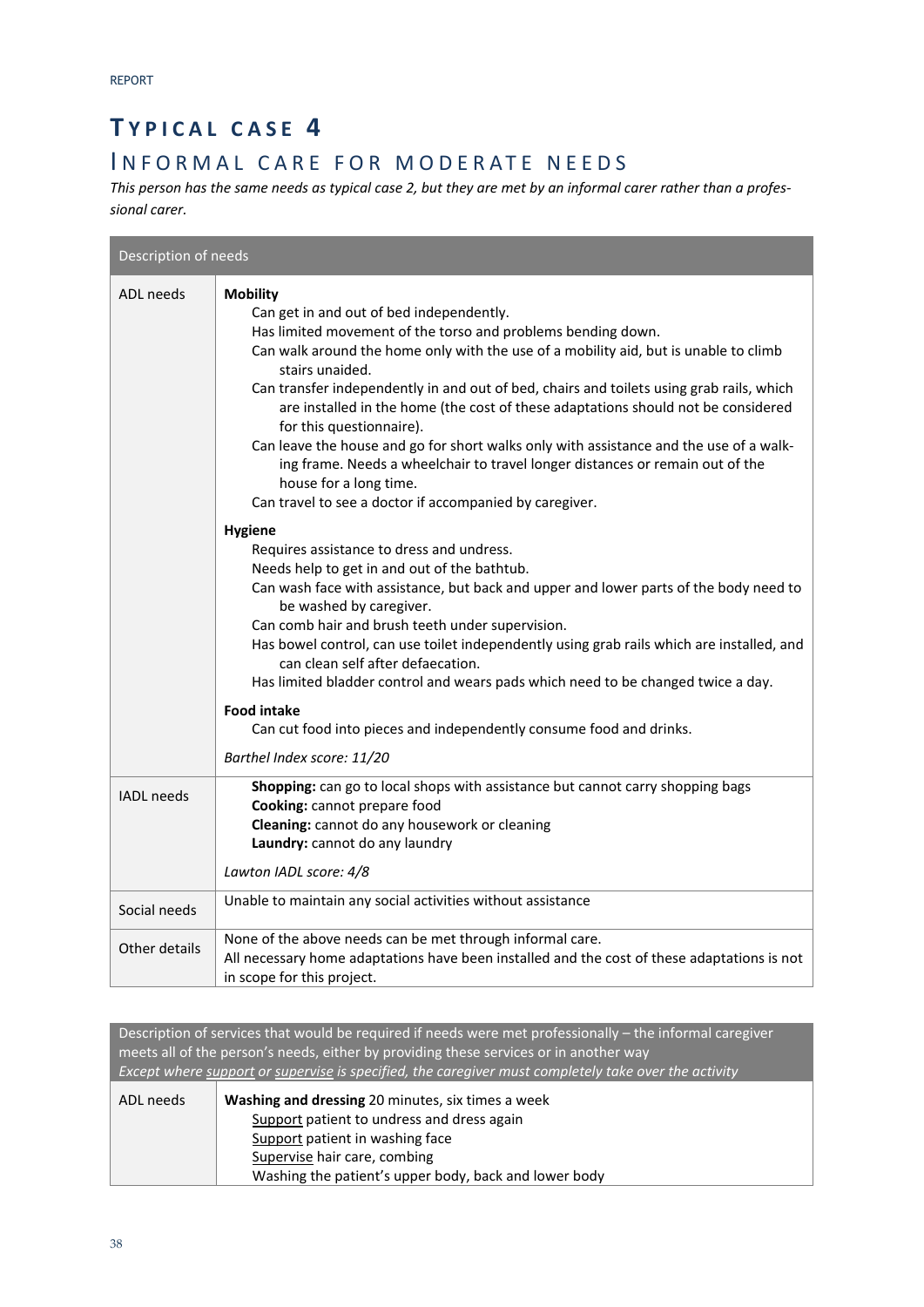### **T YPICAL CASE 4**

### INFORMAL CARE FOR MODERATE NEEDS

*This person has the same needs as typical case 2, but they are met by an informal carer rather than a profes‐ sional carer.* 

| Description of needs |                                                                                                                                                                                                                                                                                                                                                                                                                                                                                                                                                                                                                                                                                                                                                                                                                                                                                                                                                                                                                                                                                                                                                                                                                                                                                                                               |  |
|----------------------|-------------------------------------------------------------------------------------------------------------------------------------------------------------------------------------------------------------------------------------------------------------------------------------------------------------------------------------------------------------------------------------------------------------------------------------------------------------------------------------------------------------------------------------------------------------------------------------------------------------------------------------------------------------------------------------------------------------------------------------------------------------------------------------------------------------------------------------------------------------------------------------------------------------------------------------------------------------------------------------------------------------------------------------------------------------------------------------------------------------------------------------------------------------------------------------------------------------------------------------------------------------------------------------------------------------------------------|--|
| <b>ADL</b> needs     | <b>Mobility</b><br>Can get in and out of bed independently.<br>Has limited movement of the torso and problems bending down.<br>Can walk around the home only with the use of a mobility aid, but is unable to climb<br>stairs unaided.<br>Can transfer independently in and out of bed, chairs and toilets using grab rails, which<br>are installed in the home (the cost of these adaptations should not be considered<br>for this questionnaire).<br>Can leave the house and go for short walks only with assistance and the use of a walk-<br>ing frame. Needs a wheelchair to travel longer distances or remain out of the<br>house for a long time.<br>Can travel to see a doctor if accompanied by caregiver.<br><b>Hygiene</b><br>Requires assistance to dress and undress.<br>Needs help to get in and out of the bathtub.<br>Can wash face with assistance, but back and upper and lower parts of the body need to<br>be washed by caregiver.<br>Can comb hair and brush teeth under supervision.<br>Has bowel control, can use toilet independently using grab rails which are installed, and<br>can clean self after defaecation.<br>Has limited bladder control and wears pads which need to be changed twice a day.<br><b>Food intake</b><br>Can cut food into pieces and independently consume food and drinks. |  |
|                      | Barthel Index score: 11/20                                                                                                                                                                                                                                                                                                                                                                                                                                                                                                                                                                                                                                                                                                                                                                                                                                                                                                                                                                                                                                                                                                                                                                                                                                                                                                    |  |
| <b>IADL</b> needs    | Shopping: can go to local shops with assistance but cannot carry shopping bags<br>Cooking: cannot prepare food<br>Cleaning: cannot do any housework or cleaning<br>Laundry: cannot do any laundry<br>Lawton IADL score: 4/8                                                                                                                                                                                                                                                                                                                                                                                                                                                                                                                                                                                                                                                                                                                                                                                                                                                                                                                                                                                                                                                                                                   |  |
| Social needs         | Unable to maintain any social activities without assistance                                                                                                                                                                                                                                                                                                                                                                                                                                                                                                                                                                                                                                                                                                                                                                                                                                                                                                                                                                                                                                                                                                                                                                                                                                                                   |  |
| Other details        | None of the above needs can be met through informal care.<br>All necessary home adaptations have been installed and the cost of these adaptations is not<br>in scope for this project.                                                                                                                                                                                                                                                                                                                                                                                                                                                                                                                                                                                                                                                                                                                                                                                                                                                                                                                                                                                                                                                                                                                                        |  |

Description of services that would be required if needs were met professionally – the informal caregiver meets all of the person's needs, either by providing these services or in another way *Except where support or supervise is specified, the caregiver must completely take over the activity*

| ADL needs | <b>Washing and dressing 20 minutes, six times a week</b> |  |
|-----------|----------------------------------------------------------|--|
|           | Support patient to undress and dress again               |  |
|           | Support patient in washing face                          |  |
|           | Supervise hair care, combing                             |  |
|           | Washing the patient's upper body, back and lower body    |  |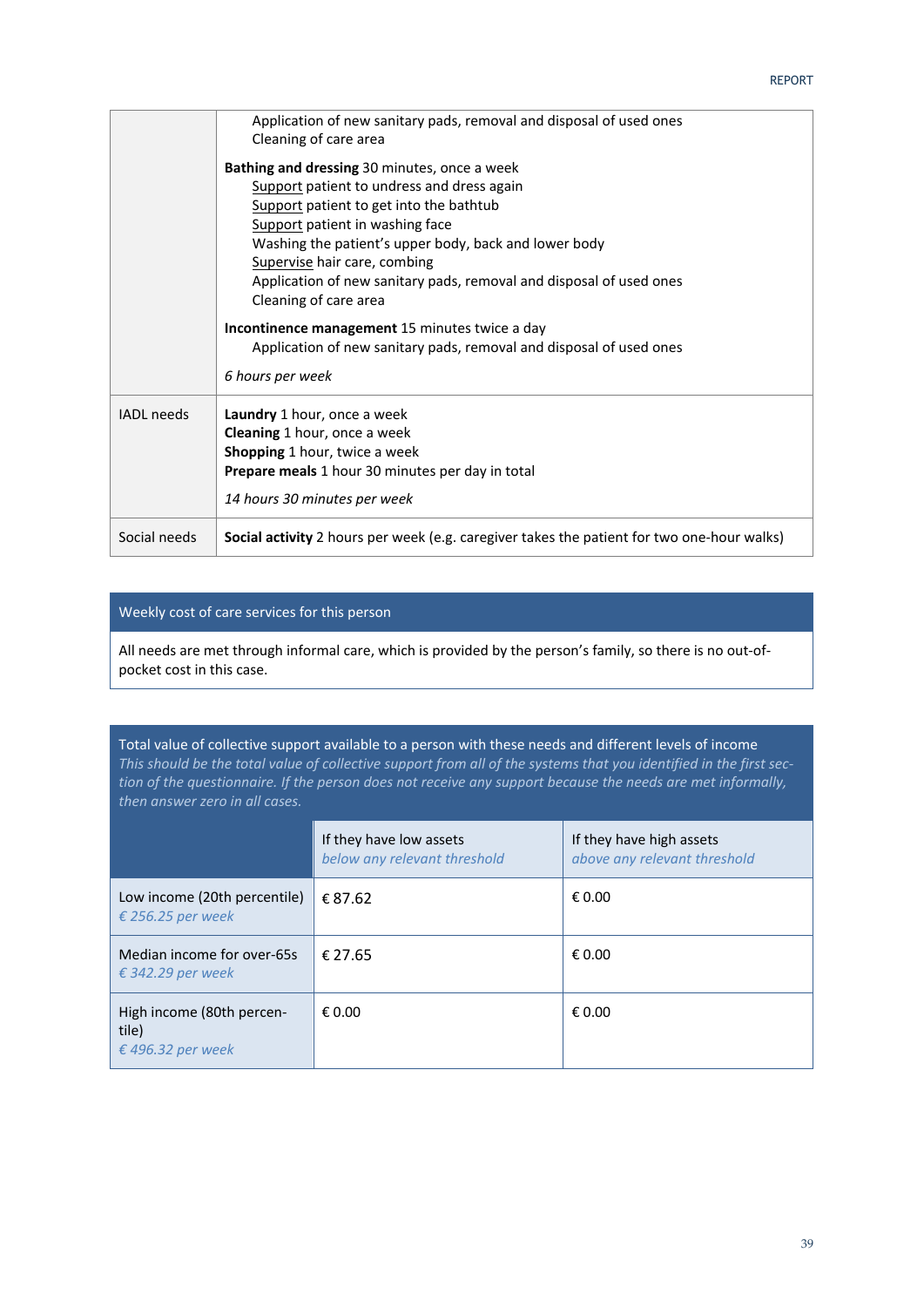|                   | Application of new sanitary pads, removal and disposal of used ones<br>Cleaning of care area                                                                                                                                                                                                                                                                      |
|-------------------|-------------------------------------------------------------------------------------------------------------------------------------------------------------------------------------------------------------------------------------------------------------------------------------------------------------------------------------------------------------------|
|                   | Bathing and dressing 30 minutes, once a week<br>Support patient to undress and dress again<br>Support patient to get into the bathtub<br>Support patient in washing face<br>Washing the patient's upper body, back and lower body<br>Supervise hair care, combing<br>Application of new sanitary pads, removal and disposal of used ones<br>Cleaning of care area |
|                   | Incontinence management 15 minutes twice a day                                                                                                                                                                                                                                                                                                                    |
|                   | Application of new sanitary pads, removal and disposal of used ones                                                                                                                                                                                                                                                                                               |
|                   | 6 hours per week                                                                                                                                                                                                                                                                                                                                                  |
| <b>IADL</b> needs | Laundry 1 hour, once a week<br><b>Cleaning</b> 1 hour, once a week<br><b>Shopping 1 hour, twice a week</b><br><b>Prepare meals</b> 1 hour 30 minutes per day in total<br>14 hours 30 minutes per week                                                                                                                                                             |
| Social needs      | Social activity 2 hours per week (e.g. caregiver takes the patient for two one-hour walks)                                                                                                                                                                                                                                                                        |

### Weekly cost of care services for this person

All needs are met through informal care, which is provided by the person's family, so there is no out‐of‐ pocket cost in this case.

Total value of collective support available to a person with these needs and different levels of income *This should be the total value of collective support from all of the systems that you identified in the first sec‐ tion of the questionnaire. If the person does not receive any support because the needs are met informally, then answer zero in all cases.*

|                                                         | If they have low assets<br>below any relevant threshold | If they have high assets<br>above any relevant threshold |
|---------------------------------------------------------|---------------------------------------------------------|----------------------------------------------------------|
| Low income (20th percentile)<br>€ 256.25 per week       | € 87.62                                                 | € 0.00                                                   |
| Median income for over-65s<br>€ 342.29 per week         | € 27.65                                                 | € 0.00                                                   |
| High income (80th percen-<br>tile)<br>€ 496.32 per week | € 0.00                                                  | € 0.00                                                   |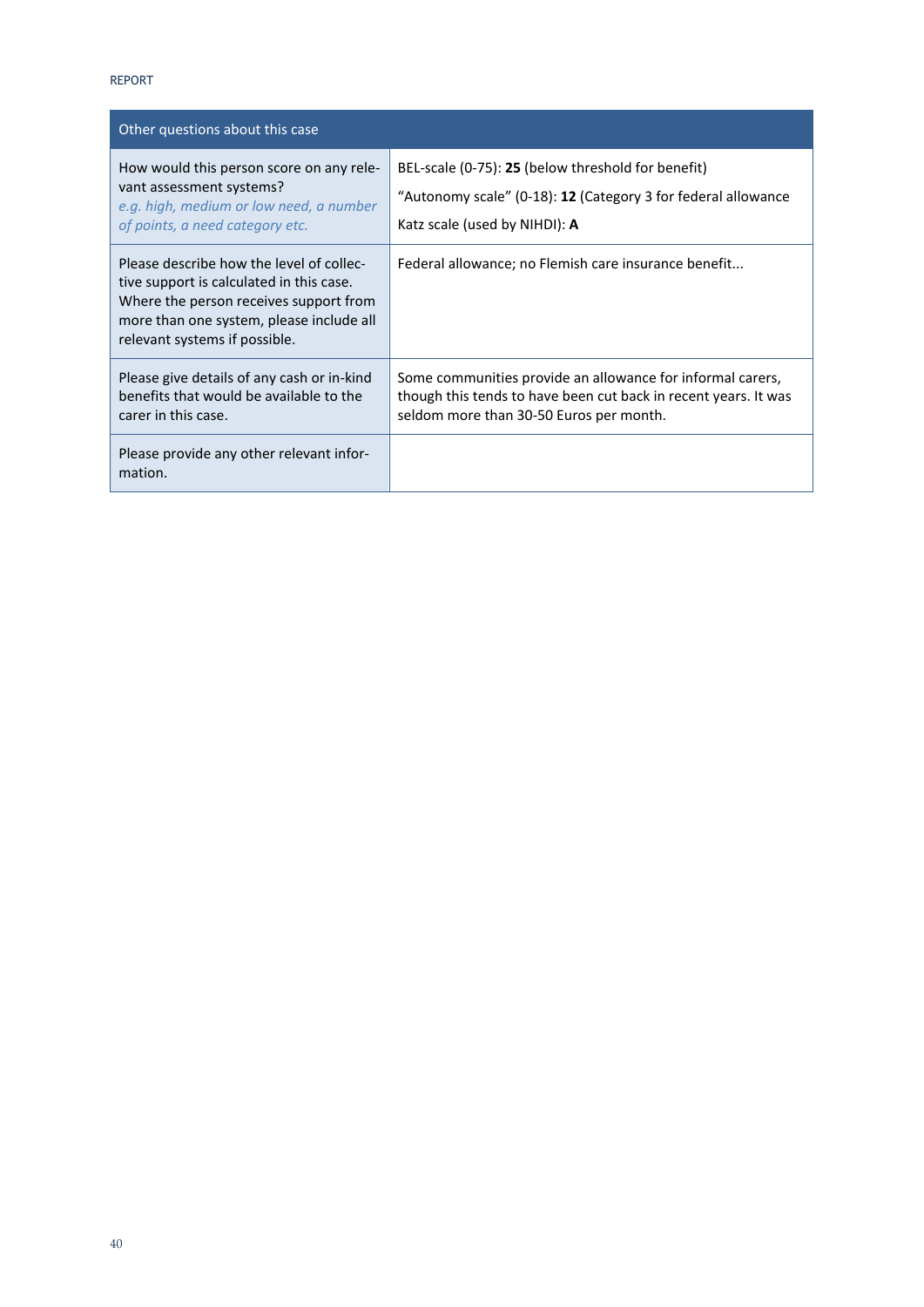| Other questions about this case                                                                                                                                                                             |                                                                                                                                                                          |  |
|-------------------------------------------------------------------------------------------------------------------------------------------------------------------------------------------------------------|--------------------------------------------------------------------------------------------------------------------------------------------------------------------------|--|
| How would this person score on any rele-<br>vant assessment systems?<br>e.g. high, medium or low need, a number<br>of points, a need category etc.                                                          | BEL-scale (0-75): 25 (below threshold for benefit)<br>"Autonomy scale" (0-18): 12 (Category 3 for federal allowance<br>Katz scale (used by NIHDI): A                     |  |
| Please describe how the level of collec-<br>tive support is calculated in this case.<br>Where the person receives support from<br>more than one system, please include all<br>relevant systems if possible. | Federal allowance; no Flemish care insurance benefit                                                                                                                     |  |
| Please give details of any cash or in-kind<br>benefits that would be available to the<br>carer in this case.                                                                                                | Some communities provide an allowance for informal carers,<br>though this tends to have been cut back in recent years. It was<br>seldom more than 30-50 Euros per month. |  |
| Please provide any other relevant infor-<br>mation.                                                                                                                                                         |                                                                                                                                                                          |  |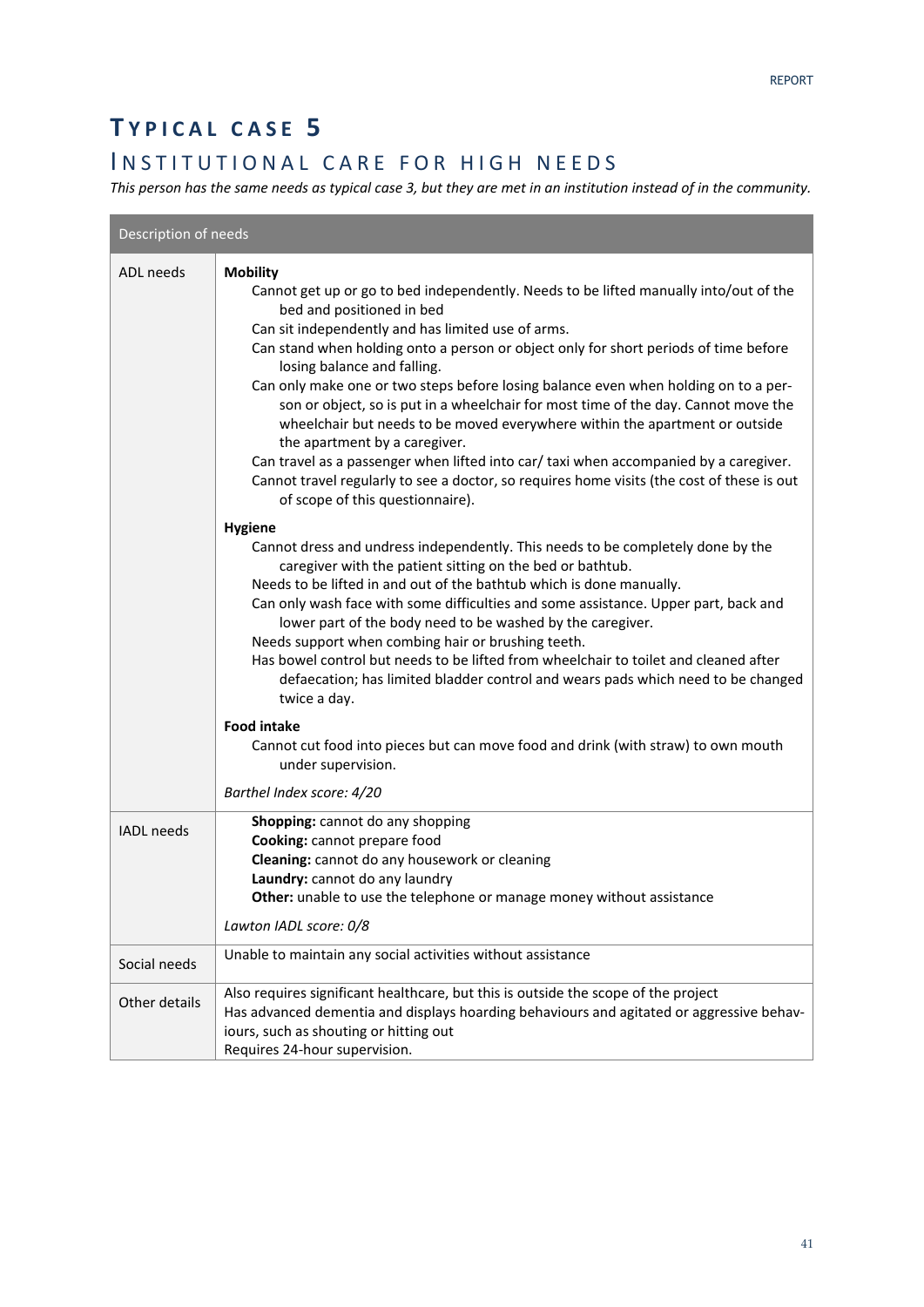### **T YPICAL CASE 5**

### INSTITUTIONAL CARE FOR HIGH NEEDS

*This person has the same needs as typical case 3, but they are met in an institution instead of in the community.* 

| Description of needs |                                                                                                                                                                                                                                                                                                                                                                                                                                                                                                                                                                                                                                                                                                                                                                                                                                                                                                                                                                                                                                                                                                                                                                                                                                                                                                                                                                                                                                                                                                                   |  |
|----------------------|-------------------------------------------------------------------------------------------------------------------------------------------------------------------------------------------------------------------------------------------------------------------------------------------------------------------------------------------------------------------------------------------------------------------------------------------------------------------------------------------------------------------------------------------------------------------------------------------------------------------------------------------------------------------------------------------------------------------------------------------------------------------------------------------------------------------------------------------------------------------------------------------------------------------------------------------------------------------------------------------------------------------------------------------------------------------------------------------------------------------------------------------------------------------------------------------------------------------------------------------------------------------------------------------------------------------------------------------------------------------------------------------------------------------------------------------------------------------------------------------------------------------|--|
| <b>ADL</b> needs     | <b>Mobility</b><br>Cannot get up or go to bed independently. Needs to be lifted manually into/out of the<br>bed and positioned in bed<br>Can sit independently and has limited use of arms.<br>Can stand when holding onto a person or object only for short periods of time before<br>losing balance and falling.<br>Can only make one or two steps before losing balance even when holding on to a per-<br>son or object, so is put in a wheelchair for most time of the day. Cannot move the<br>wheelchair but needs to be moved everywhere within the apartment or outside<br>the apartment by a caregiver.<br>Can travel as a passenger when lifted into car/ taxi when accompanied by a caregiver.<br>Cannot travel regularly to see a doctor, so requires home visits (the cost of these is out<br>of scope of this questionnaire).<br><b>Hygiene</b><br>Cannot dress and undress independently. This needs to be completely done by the<br>caregiver with the patient sitting on the bed or bathtub.<br>Needs to be lifted in and out of the bathtub which is done manually.<br>Can only wash face with some difficulties and some assistance. Upper part, back and<br>lower part of the body need to be washed by the caregiver.<br>Needs support when combing hair or brushing teeth.<br>Has bowel control but needs to be lifted from wheelchair to toilet and cleaned after<br>defaecation; has limited bladder control and wears pads which need to be changed<br>twice a day.<br><b>Food intake</b> |  |
|                      | Cannot cut food into pieces but can move food and drink (with straw) to own mouth<br>under supervision.<br>Barthel Index score: 4/20                                                                                                                                                                                                                                                                                                                                                                                                                                                                                                                                                                                                                                                                                                                                                                                                                                                                                                                                                                                                                                                                                                                                                                                                                                                                                                                                                                              |  |
| <b>IADL</b> needs    | Shopping: cannot do any shopping<br>Cooking: cannot prepare food<br>Cleaning: cannot do any housework or cleaning<br>Laundry: cannot do any laundry<br>Other: unable to use the telephone or manage money without assistance<br>Lawton IADL score: 0/8                                                                                                                                                                                                                                                                                                                                                                                                                                                                                                                                                                                                                                                                                                                                                                                                                                                                                                                                                                                                                                                                                                                                                                                                                                                            |  |
| Social needs         | Unable to maintain any social activities without assistance                                                                                                                                                                                                                                                                                                                                                                                                                                                                                                                                                                                                                                                                                                                                                                                                                                                                                                                                                                                                                                                                                                                                                                                                                                                                                                                                                                                                                                                       |  |
| Other details        | Also requires significant healthcare, but this is outside the scope of the project<br>Has advanced dementia and displays hoarding behaviours and agitated or aggressive behav-<br>iours, such as shouting or hitting out<br>Requires 24-hour supervision.                                                                                                                                                                                                                                                                                                                                                                                                                                                                                                                                                                                                                                                                                                                                                                                                                                                                                                                                                                                                                                                                                                                                                                                                                                                         |  |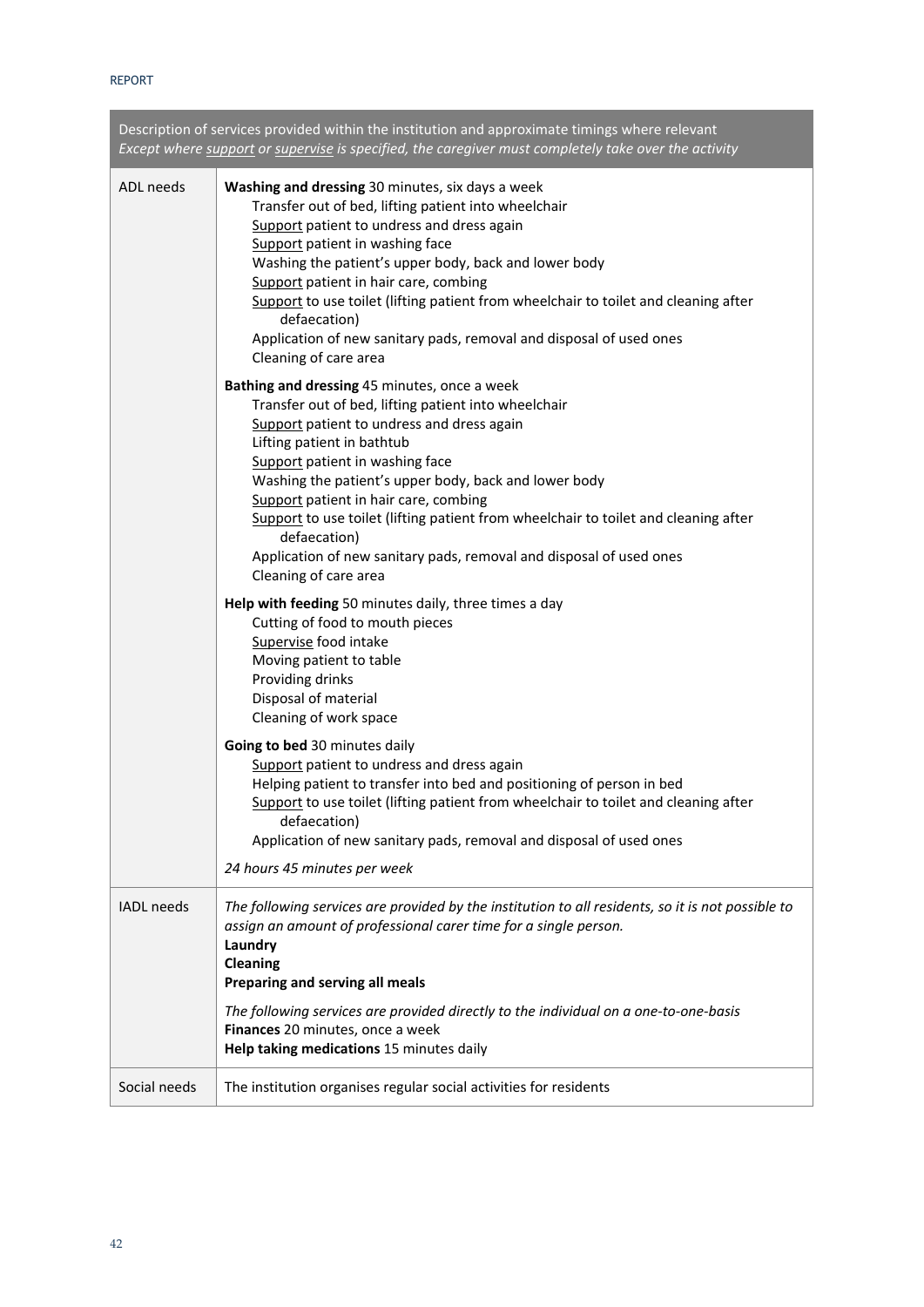| Description of services provided within the institution and approximate timings where relevant<br>Except where support or supervise is specified, the caregiver must completely take over the activity |                                                                                                                                                                                                                                                                                                                                                                                                                                                                                                                              |  |
|--------------------------------------------------------------------------------------------------------------------------------------------------------------------------------------------------------|------------------------------------------------------------------------------------------------------------------------------------------------------------------------------------------------------------------------------------------------------------------------------------------------------------------------------------------------------------------------------------------------------------------------------------------------------------------------------------------------------------------------------|--|
| ADL needs                                                                                                                                                                                              | Washing and dressing 30 minutes, six days a week<br>Transfer out of bed, lifting patient into wheelchair<br>Support patient to undress and dress again<br>Support patient in washing face<br>Washing the patient's upper body, back and lower body<br>Support patient in hair care, combing<br>Support to use toilet (lifting patient from wheelchair to toilet and cleaning after<br>defaecation)<br>Application of new sanitary pads, removal and disposal of used ones<br>Cleaning of care area                           |  |
|                                                                                                                                                                                                        | Bathing and dressing 45 minutes, once a week<br>Transfer out of bed, lifting patient into wheelchair<br>Support patient to undress and dress again<br>Lifting patient in bathtub<br>Support patient in washing face<br>Washing the patient's upper body, back and lower body<br>Support patient in hair care, combing<br>Support to use toilet (lifting patient from wheelchair to toilet and cleaning after<br>defaecation)<br>Application of new sanitary pads, removal and disposal of used ones<br>Cleaning of care area |  |
|                                                                                                                                                                                                        | Help with feeding 50 minutes daily, three times a day<br>Cutting of food to mouth pieces<br>Supervise food intake<br>Moving patient to table<br>Providing drinks<br>Disposal of material<br>Cleaning of work space                                                                                                                                                                                                                                                                                                           |  |
|                                                                                                                                                                                                        | Going to bed 30 minutes daily<br>Support patient to undress and dress again<br>Helping patient to transfer into bed and positioning of person in bed<br>Support to use toilet (lifting patient from wheelchair to toilet and cleaning after<br>defaecation)<br>Application of new sanitary pads, removal and disposal of used ones<br>24 hours 45 minutes per week                                                                                                                                                           |  |
| IADL needs                                                                                                                                                                                             | The following services are provided by the institution to all residents, so it is not possible to<br>assign an amount of professional carer time for a single person.<br>Laundry<br>Cleaning<br>Preparing and serving all meals<br>The following services are provided directly to the individual on a one-to-one-basis<br>Finances 20 minutes, once a week<br>Help taking medications 15 minutes daily                                                                                                                      |  |
| Social needs                                                                                                                                                                                           | The institution organises regular social activities for residents                                                                                                                                                                                                                                                                                                                                                                                                                                                            |  |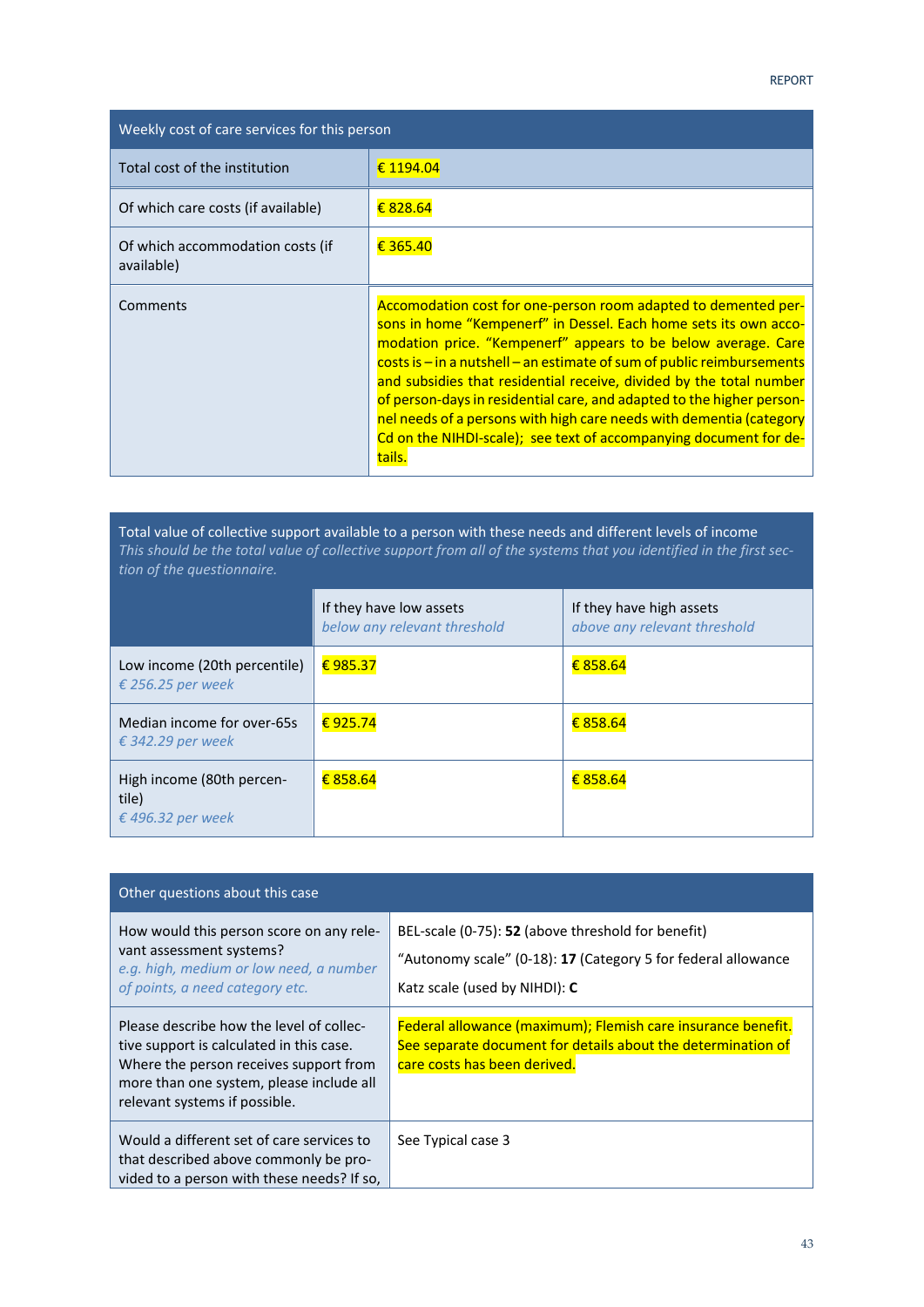| Weekly cost of care services for this person   |                                                                                                                                                                                                                                                                                                                                                                                                                                                                                                                                                                                           |  |
|------------------------------------------------|-------------------------------------------------------------------------------------------------------------------------------------------------------------------------------------------------------------------------------------------------------------------------------------------------------------------------------------------------------------------------------------------------------------------------------------------------------------------------------------------------------------------------------------------------------------------------------------------|--|
| Total cost of the institution                  | € 1194.04                                                                                                                                                                                                                                                                                                                                                                                                                                                                                                                                                                                 |  |
| Of which care costs (if available)             | € 828.64                                                                                                                                                                                                                                                                                                                                                                                                                                                                                                                                                                                  |  |
| Of which accommodation costs (if<br>available) | € 365.40                                                                                                                                                                                                                                                                                                                                                                                                                                                                                                                                                                                  |  |
| Comments                                       | Accomodation cost for one-person room adapted to demented per-<br>sons in home "Kempenerf" in Dessel. Each home sets its own acco-<br>modation price. "Kempenerf" appears to be below average. Care<br>$costs$ is $-$ in a nutshell $-$ an estimate of sum of public reimbursements<br>and subsidies that residential receive, divided by the total number<br>of person-days in residential care, and adapted to the higher person-<br>nel needs of a persons with high care needs with dementia (category<br>Cd on the NIHDI-scale); see text of accompanying document for de-<br>tails. |  |

Total value of collective support available to a person with these needs and different levels of income *This should be the total value of collective support from all of the systems that you identified in the first sec‐ tion of the questionnaire.*

|                                                         | If they have low assets<br>below any relevant threshold | If they have high assets<br>above any relevant threshold |
|---------------------------------------------------------|---------------------------------------------------------|----------------------------------------------------------|
| Low income (20th percentile)<br>€ 256.25 per week       | €985.37                                                 | € 858.64                                                 |
| Median income for over-65s<br>€ 342.29 per week         | €925.74                                                 | € 858.64                                                 |
| High income (80th percen-<br>tile)<br>€ 496.32 per week | € 858.64                                                | € 858.64                                                 |

| Other questions about this case                                                                                                                                                                             |                                                                                                                                                              |  |
|-------------------------------------------------------------------------------------------------------------------------------------------------------------------------------------------------------------|--------------------------------------------------------------------------------------------------------------------------------------------------------------|--|
| How would this person score on any rele-<br>vant assessment systems?<br>e.g. high, medium or low need, a number<br>of points, a need category etc.                                                          | BEL-scale (0-75): 52 (above threshold for benefit)<br>"Autonomy scale" (0-18): 17 (Category 5 for federal allowance<br>Katz scale (used by NIHDI): C         |  |
| Please describe how the level of collec-<br>tive support is calculated in this case.<br>Where the person receives support from<br>more than one system, please include all<br>relevant systems if possible. | Federal allowance (maximum); Flemish care insurance benefit.<br>See separate document for details about the determination of<br>care costs has been derived. |  |
| Would a different set of care services to<br>that described above commonly be pro-<br>vided to a person with these needs? If so,                                                                            | See Typical case 3                                                                                                                                           |  |